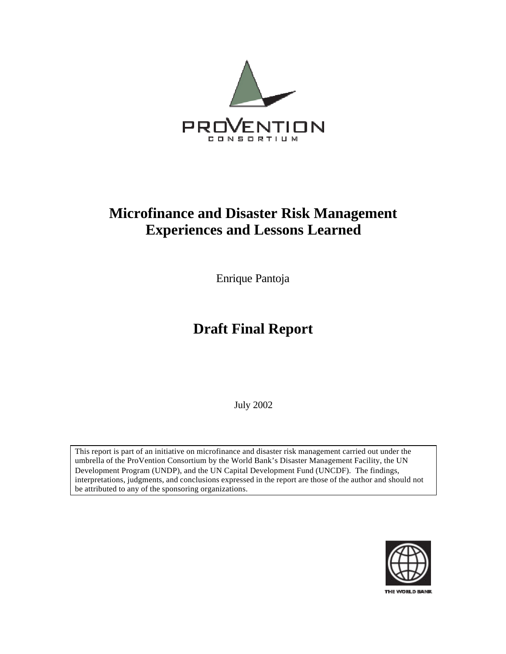

## **Microfinance and Disaster Risk Management Experiences and Lessons Learned**

Enrique Pantoja

# **Draft Final Report**

July 2002

This report is part of an initiative on microfinance and disaster risk management carried out under the umbrella of the ProVention Consortium by the World Bank's Disaster Management Facility, the UN Development Program (UNDP), and the UN Capital Development Fund (UNCDF). The findings, interpretations, judgments, and conclusions expressed in the report are those of the author and should not be attributed to any of the sponsoring organizations.

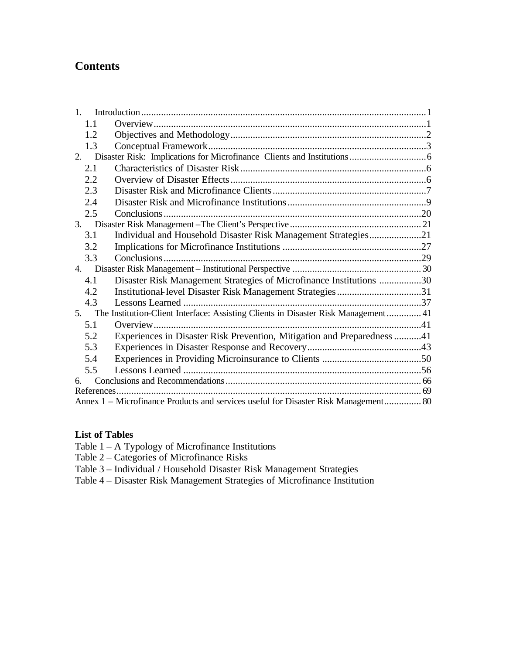## **Contents**

| 1.                                                                                  |                                                                                    |  |  |
|-------------------------------------------------------------------------------------|------------------------------------------------------------------------------------|--|--|
| 1.1                                                                                 |                                                                                    |  |  |
| 1.2                                                                                 |                                                                                    |  |  |
| 1.3                                                                                 |                                                                                    |  |  |
| 2.                                                                                  |                                                                                    |  |  |
| 2.1                                                                                 |                                                                                    |  |  |
| 2.2                                                                                 |                                                                                    |  |  |
| 2.3                                                                                 |                                                                                    |  |  |
| 2.4                                                                                 |                                                                                    |  |  |
| 2.5                                                                                 |                                                                                    |  |  |
| 3.                                                                                  |                                                                                    |  |  |
| 3.1                                                                                 | Individual and Household Disaster Risk Management Strategies21                     |  |  |
| 3.2                                                                                 |                                                                                    |  |  |
| 3.3                                                                                 |                                                                                    |  |  |
| 4.                                                                                  |                                                                                    |  |  |
| 4.1                                                                                 | Disaster Risk Management Strategies of Microfinance Institutions 30                |  |  |
| 4.2                                                                                 |                                                                                    |  |  |
| 4.3                                                                                 |                                                                                    |  |  |
| 5.                                                                                  | The Institution-Client Interface: Assisting Clients in Disaster Risk Management 41 |  |  |
| 5.1                                                                                 |                                                                                    |  |  |
| 5.2                                                                                 | Experiences in Disaster Risk Prevention, Mitigation and Preparedness 41            |  |  |
| 5.3                                                                                 |                                                                                    |  |  |
| 5.4                                                                                 |                                                                                    |  |  |
| 5.5                                                                                 |                                                                                    |  |  |
| 6.                                                                                  |                                                                                    |  |  |
|                                                                                     |                                                                                    |  |  |
| Annex 1 - Microfinance Products and services useful for Disaster Risk Management 80 |                                                                                    |  |  |

## **List of Tables**

Table 1 – A Typology of Microfinance Institutions

- Table 2 Categories of Microfinance Risks
- Table 3 Individual / Household Disaster Risk Management Strategies
- Table 4 Disaster Risk Management Strategies of Microfinance Institution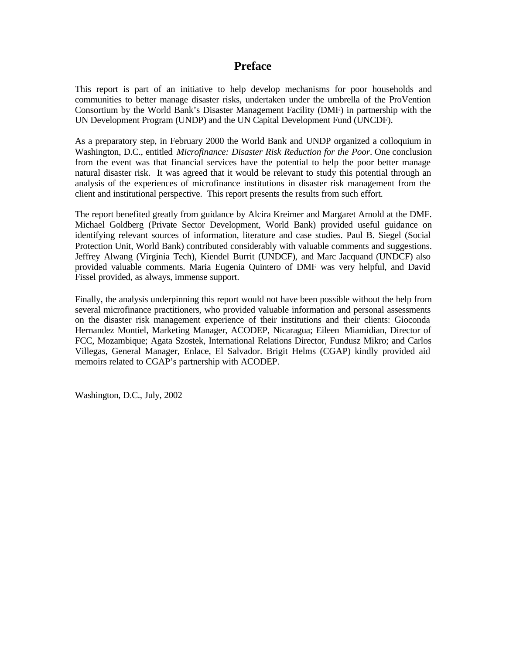## **Preface**

This report is part of an initiative to help develop mechanisms for poor households and communities to better manage disaster risks, undertaken under the umbrella of the ProVention Consortium by the World Bank's Disaster Management Facility (DMF) in partnership with the UN Development Program (UNDP) and the UN Capital Development Fund (UNCDF).

As a preparatory step, in February 2000 the World Bank and UNDP organized a colloquium in Washington, D.C., entitled *Microfinance: Disaster Risk Reduction for the Poor*. One conclusion from the event was that financial services have the potential to help the poor better manage natural disaster risk. It was agreed that it would be relevant to study this potential through an analysis of the experiences of microfinance institutions in disaster risk management from the client and institutional perspective. This report presents the results from such effort.

The report benefited greatly from guidance by Alcira Kreimer and Margaret Arnold at the DMF. Michael Goldberg (Private Sector Development, World Bank) provided useful guidance on identifying relevant sources of information, literature and case studies. Paul B. Siegel (Social Protection Unit, World Bank) contributed considerably with valuable comments and suggestions. Jeffrey Alwang (Virginia Tech), Kiendel Burrit (UNDCF), and Marc Jacquand (UNDCF) also provided valuable comments. Maria Eugenia Quintero of DMF was very helpful, and David Fissel provided, as always, immense support.

Finally, the analysis underpinning this report would not have been possible without the help from several microfinance practitioners, who provided valuable information and personal assessments on the disaster risk management experience of their institutions and their clients: Gioconda Hernandez Montiel, Marketing Manager, ACODEP, Nicaragua; Eileen Miamidian, Director of FCC, Mozambique; Agata Szostek, International Relations Director, Fundusz Mikro; and Carlos Villegas, General Manager, Enlace, El Salvador. Brigit Helms (CGAP) kindly provided aid memoirs related to CGAP's partnership with ACODEP.

Washington, D.C., July, 2002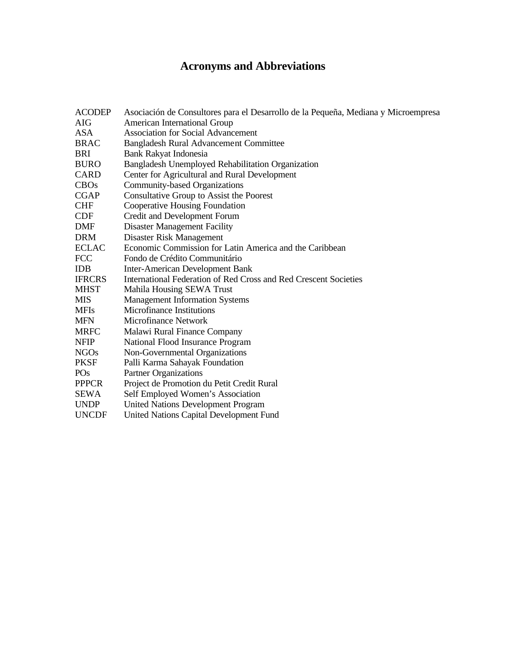## **Acronyms and Abbreviations**

| <b>ACODEP</b><br><b>AIG</b> | Asociación de Consultores para el Desarrollo de la Pequeña, Mediana y Microempresa<br><b>American International Group</b> |
|-----------------------------|---------------------------------------------------------------------------------------------------------------------------|
| <b>ASA</b>                  | <b>Association for Social Advancement</b>                                                                                 |
| <b>BRAC</b>                 | <b>Bangladesh Rural Advancement Committee</b>                                                                             |
| <b>BRI</b>                  | Bank Rakyat Indonesia                                                                                                     |
| <b>BURO</b>                 | Bangladesh Unemployed Rehabilitation Organization                                                                         |
| <b>CARD</b>                 | Center for Agricultural and Rural Development                                                                             |
| <b>CBOs</b>                 | Community-based Organizations                                                                                             |
| <b>CGAP</b>                 | Consultative Group to Assist the Poorest                                                                                  |
| <b>CHF</b>                  | <b>Cooperative Housing Foundation</b>                                                                                     |
| <b>CDF</b>                  | Credit and Development Forum                                                                                              |
| <b>DMF</b>                  | <b>Disaster Management Facility</b>                                                                                       |
| <b>DRM</b>                  | Disaster Risk Management                                                                                                  |
| <b>ECLAC</b>                | Economic Commission for Latin America and the Caribbean                                                                   |
| <b>FCC</b>                  | Fondo de Crédito Communitário                                                                                             |
| <b>IDB</b>                  | <b>Inter-American Development Bank</b>                                                                                    |
| <b>IFRCRS</b>               | International Federation of Red Cross and Red Crescent Societies                                                          |
| <b>MHST</b>                 | Mahila Housing SEWA Trust                                                                                                 |
| <b>MIS</b>                  | <b>Management Information Systems</b>                                                                                     |
| <b>MFIs</b>                 | <b>Microfinance Institutions</b>                                                                                          |
| <b>MFN</b>                  | Microfinance Network                                                                                                      |
| <b>MRFC</b>                 | Malawi Rural Finance Company                                                                                              |
| <b>NFIP</b>                 | National Flood Insurance Program                                                                                          |
| <b>NGOs</b>                 | Non-Governmental Organizations                                                                                            |
| <b>PKSF</b>                 | Palli Karma Sahayak Foundation                                                                                            |
| PO <sub>s</sub>             | <b>Partner Organizations</b>                                                                                              |
| <b>PPPCR</b>                | Project de Promotion du Petit Credit Rural                                                                                |
| <b>SEWA</b>                 | Self Employed Women's Association                                                                                         |
| <b>UNDP</b>                 | <b>United Nations Development Program</b>                                                                                 |
| <b>UNCDF</b>                | <b>United Nations Capital Development Fund</b>                                                                            |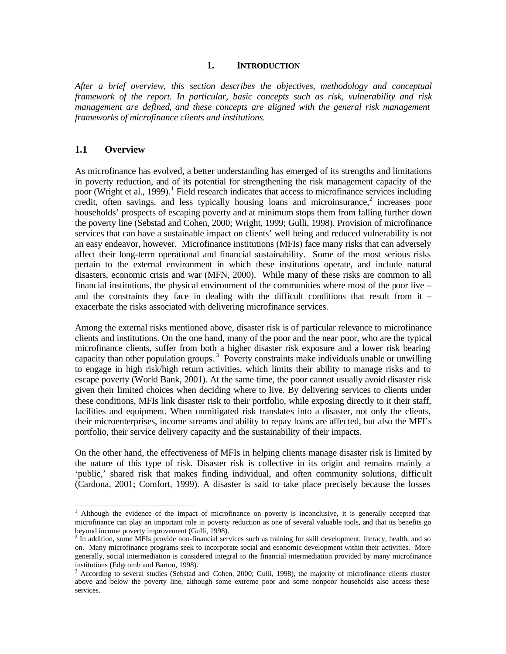#### **1. INTRODUCTION**

*After a brief overview, this section describes the objectives, methodology and conceptual framework of the report. In particular, basic concepts such as risk, vulnerability and risk management are defined, and these concepts are aligned with the general risk management frameworks of microfinance clients and institutions.*

#### **1.1 Overview**

 $\overline{a}$ 

As microfinance has evolved, a better understanding has emerged of its strengths and limitations in poverty reduction, and of its potential for strengthening the risk management capacity of the poor (Wright et al., 1999).<sup>1</sup> Field research indicates that access to microfinance services including credit, often savings, and less typically housing loans and microinsurance, $2$  increases poor households' prospects of escaping poverty and at minimum stops them from falling further down the poverty line (Sebstad and Cohen, 2000; Wright, 1999; Gulli, 1998). Provision of microfinance services that can have a sustainable impact on clients' well being and reduced vulnerability is not an easy endeavor, however. Microfinance institutions (MFIs) face many risks that can adversely affect their long-term operational and financial sustainability. Some of the most serious risks pertain to the external environment in which these institutions operate, and include natural disasters, economic crisis and war (MFN, 2000). While many of these risks are common to all financial institutions, the physical environment of the communities where most of the poor live – and the constraints they face in dealing with the difficult conditions that result from it – exacerbate the risks associated with delivering microfinance services.

Among the external risks mentioned above, disaster risk is of particular relevance to microfinance clients and institutions. On the one hand, many of the poor and the near poor, who are the typical microfinance clients, suffer from both a higher disaster risk exposure and a lower risk bearing capacity than other population groups.<sup>3</sup> Poverty constraints make individuals unable or unwilling to engage in high risk/high return activities, which limits their ability to manage risks and to escape poverty (World Bank, 2001). At the same time, the poor cannot usually avoid disaster risk given their limited choices when deciding where to live. By delivering services to clients under these conditions, MFIs link disaster risk to their portfolio, while exposing directly to it their staff, facilities and equipment. When unmitigated risk translates into a disaster, not only the clients, their microenterprises, income streams and ability to repay loans are affected, but also the MFI's portfolio, their service delivery capacity and the sustainability of their impacts.

On the other hand, the effectiveness of MFIs in helping clients manage disaster risk is limited by the nature of this type of risk. Disaster risk is collective in its origin and remains mainly a 'public,' shared risk that makes finding individual, and often community solutions, difficult (Cardona, 2001; Comfort, 1999). A disaster is said to take place precisely because the losses

<sup>&</sup>lt;sup>1</sup> Although the evidence of the impact of microfinance on poverty is inconclusive, it is generally accepted that microfinance can play an important role in poverty reduction as one of several valuable tools, and that its benefits go beyond income poverty improvement (Gulli, 1998).

 $<sup>2</sup>$  In addition, some MFIs provide non-financial services such as training for skill development, literacy, health, and so</sup> on. Many microfinance programs seek to incorporate social and economic development within their activities. More generally, social intermediation is considered integral to the financial intermediation provided by many microfinance institutions (Edgcomb and Barton, 1998).

<sup>&</sup>lt;sup>3</sup> According to several studies (Sebstad and Cohen, 2000; Gulli, 1998), the majority of microfinance clients cluster above and below the poverty line, although some extreme poor and some nonpoor households also access these services.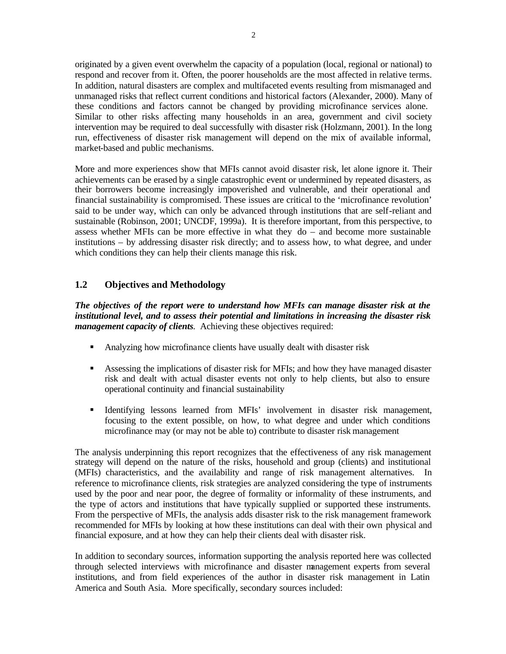originated by a given event overwhelm the capacity of a population (local, regional or national) to respond and recover from it. Often, the poorer households are the most affected in relative terms. In addition, natural disasters are complex and multifaceted events resulting from mismanaged and unmanaged risks that reflect current conditions and historical factors (Alexander, 2000). Many of these conditions and factors cannot be changed by providing microfinance services alone. Similar to other risks affecting many households in an area, government and civil society intervention may be required to deal successfully with disaster risk (Holzmann, 2001). In the long run, effectiveness of disaster risk management will depend on the mix of available informal, market-based and public mechanisms.

More and more experiences show that MFIs cannot avoid disaster risk, let alone ignore it. Their achievements can be erased by a single catastrophic event or undermined by repeated disasters, as their borrowers become increasingly impoverished and vulnerable, and their operational and financial sustainability is compromised. These issues are critical to the 'microfinance revolution' said to be under way, which can only be advanced through institutions that are self-reliant and sustainable (Robinson, 2001; UNCDF, 1999a). It is therefore important, from this perspective, to assess whether MFIs can be more effective in what they do – and become more sustainable institutions – by addressing disaster risk directly; and to assess how, to what degree, and under which conditions they can help their clients manage this risk.

## **1.2 Objectives and Methodology**

*The objectives of the report were to understand how MFIs can manage disaster risk at the institutional level, and to assess their potential and limitations in increasing the disaster risk management capacity of clients.* Achieving these objectives required:

- Analyzing how microfinance clients have usually dealt with disaster risk
- **•** Assessing the implications of disaster risk for MFIs; and how they have managed disaster risk and dealt with actual disaster events not only to help clients, but also to ensure operational continuity and financial sustainability
- ß Identifying lessons learned from MFIs' involvement in disaster risk management, focusing to the extent possible, on how, to what degree and under which conditions microfinance may (or may not be able to) contribute to disaster risk management

The analysis underpinning this report recognizes that the effectiveness of any risk management strategy will depend on the nature of the risks, household and group (clients) and institutional (MFIs) characteristics, and the availability and range of risk management alternatives. In reference to microfinance clients, risk strategies are analyzed considering the type of instruments used by the poor and near poor, the degree of formality or informality of these instruments, and the type of actors and institutions that have typically supplied or supported these instruments. From the perspective of MFIs, the analysis adds disaster risk to the risk management framework recommended for MFIs by looking at how these institutions can deal with their own physical and financial exposure, and at how they can help their clients deal with disaster risk.

In addition to secondary sources, information supporting the analysis reported here was collected through selected interviews with microfinance and disaster management experts from several institutions, and from field experiences of the author in disaster risk management in Latin America and South Asia. More specifically, secondary sources included: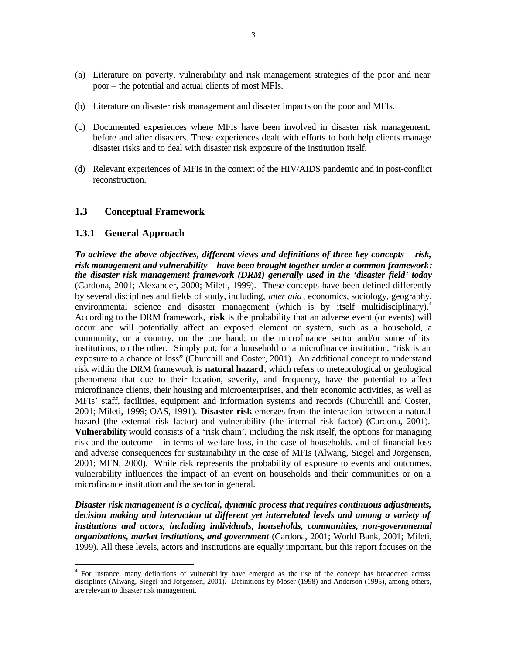- (a) Literature on poverty, vulnerability and risk management strategies of the poor and near poor – the potential and actual clients of most MFIs.
- (b) Literature on disaster risk management and disaster impacts on the poor and MFIs.
- (c) Documented experiences where MFIs have been involved in disaster risk management, before and after disasters. These experiences dealt with efforts to both help clients manage disaster risks and to deal with disaster risk exposure of the institution itself.
- (d) Relevant experiences of MFIs in the context of the HIV/AIDS pandemic and in post-conflict reconstruction.

#### **1.3 Conceptual Framework**

#### **1.3.1 General Approach**

 $\overline{a}$ 

*To achieve the above objectives, different views and definitions of three key concepts – risk, risk management and vulnerability – have been brought together under a common framework: the disaster risk management framework (DRM) generally used in the 'disaster field' today* (Cardona, 2001; Alexander, 2000; Mileti, 1999). These concepts have been defined differently by several disciplines and fields of study, including, *inter alia*, economics, sociology, geography, environmental science and disaster management (which is by itself multidisciplinary).<sup>4</sup> According to the DRM framework, **risk** is the probability that an adverse event (or events) will occur and will potentially affect an exposed element or system, such as a household, a community, or a country, on the one hand; or the microfinance sector and/or some of its institutions, on the other. Simply put, for a household or a microfinance institution, "risk is an exposure to a chance of loss" (Churchill and Coster, 2001). An additional concept to understand risk within the DRM framework is **natural hazard**, which refers to meteorological or geological phenomena that due to their location, severity, and frequency, have the potential to affect microfinance clients, their housing and microenterprises, and their economic activities, as well as MFIs' staff, facilities, equipment and information systems and records (Churchill and Coster, 2001; Mileti, 1999; OAS, 1991). **Disaster risk** emerges from the interaction between a natural hazard (the external risk factor) and vulnerability (the internal risk factor) (Cardona, 2001). **Vulnerability** would consists of a 'risk chain', including the risk itself, the options for managing risk and the outcome – in terms of welfare loss, in the case of households, and of financial loss and adverse consequences for sustainability in the case of MFIs (Alwang, Siegel and Jorgensen, 2001; MFN, 2000). While risk represents the probability of exposure to events and outcomes, vulnerability influences the impact of an event on households and their communities or on a microfinance institution and the sector in general.

*Disaster risk management is a cyclical, dynamic process that requires continuous adjustments, decision making and interaction at different yet interrelated levels and among a variety of institutions and actors, including individuals, households, communities, non-governmental organizations, market institutions, and government* (Cardona, 2001; World Bank, 2001; Mileti, 1999). All these levels, actors and institutions are equally important, but this report focuses on the

<sup>4</sup> For instance, many definitions of vulnerability have emerged as the use of the concept has broadened across disciplines (Alwang, Siegel and Jorgensen, 2001). Definitions by Moser (1998) and Anderson (1995), among others, are relevant to disaster risk management.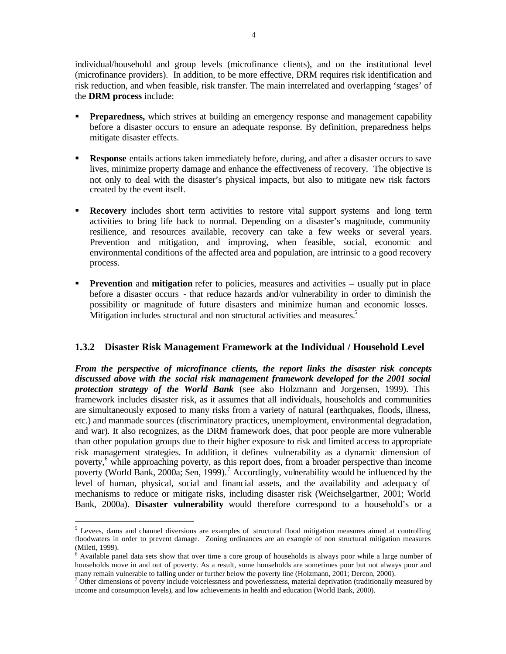individual/household and group levels (microfinance clients), and on the institutional level (microfinance providers). In addition, to be more effective, DRM requires risk identification and risk reduction, and when feasible, risk transfer. The main interrelated and overlapping 'stages' of the **DRM process** include:

- **Preparedness,** which strives at building an emergency response and management capability before a disaster occurs to ensure an adequate response. By definition, preparedness helps mitigate disaster effects.
- **Response** entails actions taken immediately before, during, and after a disaster occurs to save lives, minimize property damage and enhance the effectiveness of recovery. The objective is not only to deal with the disaster's physical impacts, but also to mitigate new risk factors created by the event itself.
- **Recovery** includes short term activities to restore vital support systems and long term activities to bring life back to normal. Depending on a disaster's magnitude, community resilience, and resources available, recovery can take a few weeks or several years. Prevention and mitigation, and improving, when feasible, social, economic and environmental conditions of the affected area and population, are intrinsic to a good recovery process.
- **Prevention** and **mitigation** refer to policies, measures and activities usually put in place before a disaster occurs - that reduce hazards and/or vulnerability in order to diminish the possibility or magnitude of future disasters and minimize human and economic losses. Mitigation includes structural and non structural activities and measures.<sup>5</sup>

## **1.3.2 Disaster Risk Management Framework at the Individual / Household Level**

*From the perspective of microfinance clients, the report links the disaster risk concepts discussed above with the social risk management framework developed for the 2001 social protection strategy of the World Bank* (see also Holzmann and Jorgensen, 1999). This framework includes disaster risk, as it assumes that all individuals, households and communities are simultaneously exposed to many risks from a variety of natural (earthquakes, floods, illness, etc.) and manmade sources (discriminatory practices, unemployment, environmental degradation, and war). It also recognizes, as the DRM framework does, that poor people are more vulnerable than other population groups due to their higher exposure to risk and limited access to appropriate risk management strategies. In addition, it defines vulnerability as a dynamic dimension of poverty,<sup>6</sup> while approaching poverty, as this report does, from a broader perspective than income poverty (World Bank, 2000a; Sen, 1999).<sup>7</sup> Accordingly, vulnerability would be influenced by the level of human, physical, social and financial assets, and the availability and adequacy of mechanisms to reduce or mitigate risks, including disaster risk (Weichselgartner, 2001; World Bank, 2000a). **Disaster vulnerability** would therefore correspond to a household's or a

<sup>&</sup>lt;sup>5</sup> Levees, dams and channel diversions are examples of structural flood mitigation measures aimed at controlling floodwaters in order to prevent damage. Zoning ordinances are an example of non structural mitigation measures (Mileti, 1999).

<sup>&</sup>lt;sup>6</sup> Available panel data sets show that over time a core group of households is always poor while a large number of households move in and out of poverty. As a result, some households are sometimes poor but not always poor and many remain vulnerable to falling under or further below the poverty line (Holzmann, 2001; Dercon, 2000).

 $<sup>7</sup>$  Other dimensions of poverty include voicelessness and powerlessness, material deprivation (traditionally measured by</sup> income and consumption levels), and low achievements in health and education (World Bank, 2000).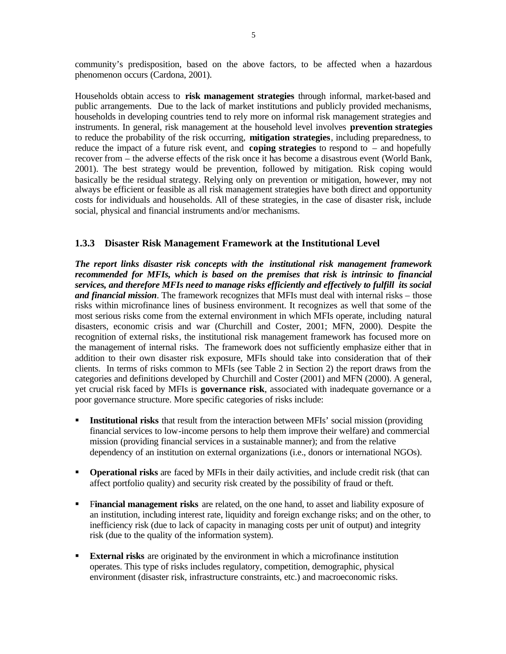community's predisposition, based on the above factors, to be affected when a hazardous phenomenon occurs (Cardona, 2001).

Households obtain access to **risk management strategies** through informal, market-based and public arrangements. Due to the lack of market institutions and publicly provided mechanisms, households in developing countries tend to rely more on informal risk management strategies and instruments. In general, risk management at the household level involves **prevention strategies** to reduce the probability of the risk occurring, **mitigation strategies**, including preparedness, to reduce the impact of a future risk event, and **coping strategies** to respond to – and hopefully recover from – the adverse effects of the risk once it has become a disastrous event (World Bank, 2001). The best strategy would be prevention, followed by mitigation. Risk coping would basically be the residual strategy. Relying only on prevention or mitigation, however, may not always be efficient or feasible as all risk management strategies have both direct and opportunity costs for individuals and households. All of these strategies, in the case of disaster risk, include social, physical and financial instruments and/or mechanisms.

## **1.3.3 Disaster Risk Management Framework at the Institutional Level**

*The report links disaster risk concepts with the institutional risk management framework recommended for MFIs, which is based on the premises that risk is intrinsic to financial services, and therefore MFIs need to manage risks efficiently and effectively to fulfill its social and financial mission*. The framework recognizes that MFIs must deal with internal risks – those risks within microfinance lines of business environment. It recognizes as well that some of the most serious risks come from the external environment in which MFIs operate, including natural disasters, economic crisis and war (Churchill and Coster, 2001; MFN, 2000). Despite the recognition of external risks, the institutional risk management framework has focused more on the management of internal risks. The framework does not sufficiently emphasize either that in addition to their own disaster risk exposure, MFIs should take into consideration that of their clients. In terms of risks common to MFIs (see Table 2 in Section 2) the report draws from the categories and definitions developed by Churchill and Coster (2001) and MFN (2000). A general, yet crucial risk faced by MFIs is **governance risk**, associated with inadequate governance or a poor governance structure. More specific categories of risks include:

- **Institutional risks** that result from the interaction between MFIs' social mission (providing financial services to low-income persons to help them improve their welfare) and commercial mission (providing financial services in a sustainable manner); and from the relative dependency of an institution on external organizations (i.e., donors or international NGOs).
- **Operational risks** are faced by MFIs in their daily activities, and include credit risk (that can affect portfolio quality) and security risk created by the possibility of fraud or theft.
- **Financial management risks** are related, on the one hand, to asset and liability exposure of an institution, including interest rate, liquidity and foreign exchange risks; and on the other, to inefficiency risk (due to lack of capacity in managing costs per unit of output) and integrity risk (due to the quality of the information system).
- **External risks** are originated by the environment in which a microfinance institution operates. This type of risks includes regulatory, competition, demographic, physical environment (disaster risk, infrastructure constraints, etc.) and macroeconomic risks.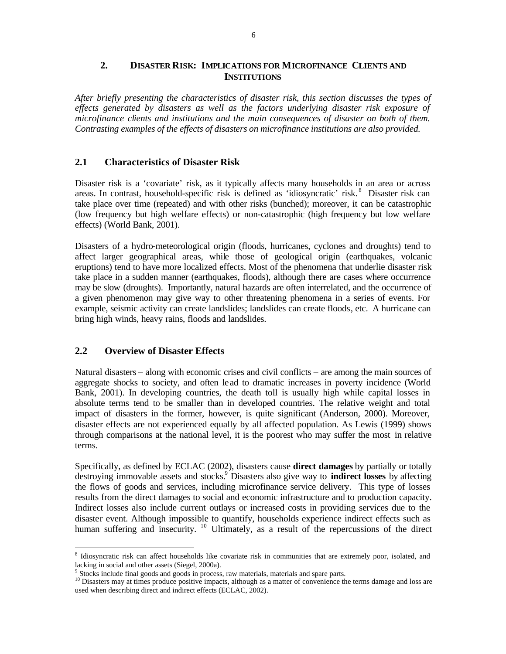## **2. DISASTER RISK: IMPLICATIONS FOR MICROFINANCE CLIENTS AND INSTITUTIONS**

*After briefly presenting the characteristics of disaster risk, this section discusses the types of effects generated by disasters as well as the factors underlying disaster risk exposure of microfinance clients and institutions and the main consequences of disaster on both of them. Contrasting examples of the effects of disasters on microfinance institutions are also provided.* 

## **2.1 Characteristics of Disaster Risk**

Disaster risk is a 'covariate' risk, as it typically affects many households in an area or across areas. In contrast, household-specific risk is defined as 'idiosyncratic' risk.<sup>8</sup> Disaster risk can take place over time (repeated) and with other risks (bunched); moreover, it can be catastrophic (low frequency but high welfare effects) or non-catastrophic (high frequency but low welfare effects) (World Bank, 2001).

Disasters of a hydro-meteorological origin (floods, hurricanes, cyclones and droughts) tend to affect larger geographical areas, while those of geological origin (earthquakes, volcanic eruptions) tend to have more localized effects. Most of the phenomena that underlie disaster risk take place in a sudden manner (earthquakes, floods), although there are cases where occurrence may be slow (droughts). Importantly, natural hazards are often interrelated, and the occurrence of a given phenomenon may give way to other threatening phenomena in a series of events. For example, seismic activity can create landslides; landslides can create floods, etc. A hurricane can bring high winds, heavy rains, floods and landslides.

## **2.2 Overview of Disaster Effects**

Natural disasters – along with economic crises and civil conflicts – are among the main sources of aggregate shocks to society, and often le ad to dramatic increases in poverty incidence (World Bank, 2001). In developing countries, the death toll is usually high while capital losses in absolute terms tend to be smaller than in developed countries. The relative weight and total impact of disasters in the former, however, is quite significant (Anderson, 2000). Moreover, disaster effects are not experienced equally by all affected population. As Lewis (1999) shows through comparisons at the national level, it is the poorest who may suffer the most in relative terms.

Specifically, as defined by ECLAC (2002), disasters cause **direct damages** by partially or totally destroying immovable assets and stocks.<sup>9</sup> Disasters also give way to **indirect losses** by affecting the flows of goods and services, including microfinance service delivery. This type of losses results from the direct damages to social and economic infrastructure and to production capacity. Indirect losses also include current outlays or increased costs in providing services due to the disaster event. Although impossible to quantify, households experience indirect effects such as human suffering and insecurity. <sup>10</sup> Ultimately, as a result of the repercussions of the direct

 $\overline{a}$ 8 Idiosyncratic risk can affect households like covariate risk in communities that are extremely poor, isolated, and lacking in social and other assets (Siegel, 2000a).

<sup>&</sup>lt;sup>9</sup> Stocks include final goods and goods in process, raw materials, materials and spare parts.

<sup>&</sup>lt;sup>10</sup> Disasters may at times produce positive impacts, although as a matter of convenience the terms damage and loss are used when describing direct and indirect effects (ECLAC, 2002).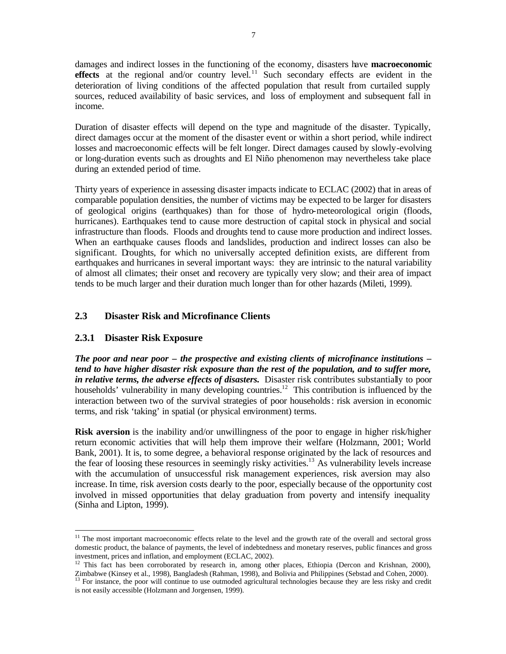damages and indirect losses in the functioning of the economy, disasters have **macroeconomic effects** at the regional and/or country level.<sup>11</sup> Such secondary effects are evident in the deterioration of living conditions of the affected population that result from curtailed supply sources, reduced availability of basic services, and loss of employment and subsequent fall in income.

Duration of disaster effects will depend on the type and magnitude of the disaster. Typically, direct damages occur at the moment of the disaster event or within a short period, while indirect losses and macroeconomic effects will be felt longer. Direct damages caused by slowly-evolving or long-duration events such as droughts and El Niño phenomenon may nevertheless take place during an extended period of time.

Thirty years of experience in assessing disaster impacts indicate to ECLAC (2002) that in areas of comparable population densities, the number of victims may be expected to be larger for disasters of geological origins (earthquakes) than for those of hydro-meteorological origin (floods, hurricanes). Earthquakes tend to cause more destruction of capital stock in physical and social infrastructure than floods. Floods and droughts tend to cause more production and indirect losses. When an earthquake causes floods and landslides, production and indirect losses can also be significant. Droughts, for which no universally accepted definition exists, are different from earthquakes and hurricanes in several important ways: they are intrinsic to the natural variability of almost all climates; their onset and recovery are typically very slow; and their area of impact tends to be much larger and their duration much longer than for other hazards (Mileti, 1999).

## **2.3 Disaster Risk and Microfinance Clients**

## **2.3.1 Disaster Risk Exposure**

 $\overline{a}$ 

*The poor and near poor – the prospective and existing clients of microfinance institutions – tend to have higher disaster risk exposure than the rest of the population, and to suffer more, in relative terms, the adverse effects of disasters.* Disaster risk contributes substantially to poor households' vulnerability in many developing countries.<sup>12</sup> This contribution is influenced by the interaction between two of the survival strategies of poor households: risk aversion in economic terms, and risk 'taking' in spatial (or physical environment) terms.

**Risk aversion** is the inability and/or unwillingness of the poor to engage in higher risk/higher return economic activities that will help them improve their welfare (Holzmann, 2001; World Bank, 2001). It is, to some degree, a behavioral response originated by the lack of resources and the fear of loosing these resources in seemingly risky activities.<sup>13</sup> As vulnerability levels increase with the accumulation of unsuccessful risk management experiences, risk aversion may also increase. In time, risk aversion costs dearly to the poor, especially because of the opportunity cost involved in missed opportunities that delay graduation from poverty and intensify inequality (Sinha and Lipton, 1999).

 $11$  The most important macroeconomic effects relate to the level and the growth rate of the overall and sectoral gross domestic product, the balance of payments, the level of indebtedness and monetary reserves, public finances and gross investment, prices and inflation, and employment (ECLAC, 2002).

<sup>&</sup>lt;sup>12</sup> This fact has been corroborated by research in, among other places, Ethiopia (Dercon and Krishnan, 2000), Zimbabwe (Kinsey et al., 1998), Bangladesh (Rahman, 1998), and Bolivia and Philippines (Sebstad and Cohen, 2000).

 $13$  For instance, the poor will continue to use outmoded agricultural technologies because they are less risky and credit is not easily accessible (Holzmann and Jorgensen, 1999).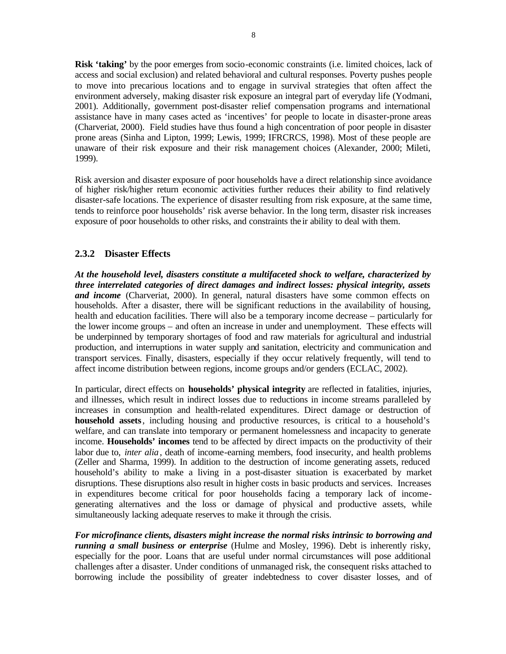**Risk 'taking'** by the poor emerges from socio-economic constraints (i.e. limited choices, lack of access and social exclusion) and related behavioral and cultural responses. Poverty pushes people to move into precarious locations and to engage in survival strategies that often affect the environment adversely, making disaster risk exposure an integral part of everyday life (Yodmani, 2001). Additionally, government post-disaster relief compensation programs and international assistance have in many cases acted as 'incentives' for people to locate in disaster-prone areas (Charveriat, 2000). Field studies have thus found a high concentration of poor people in disaster prone areas (Sinha and Lipton, 1999; Lewis, 1999; IFRCRCS, 1998). Most of these people are unaware of their risk exposure and their risk management choices (Alexander, 2000; Mileti, 1999).

Risk aversion and disaster exposure of poor households have a direct relationship since avoidance of higher risk/higher return economic activities further reduces their ability to find relatively disaster-safe locations. The experience of disaster resulting from risk exposure, at the same time, tends to reinforce poor households' risk averse behavior. In the long term, disaster risk increases exposure of poor households to other risks, and constraints the ir ability to deal with them.

## **2.3.2 Disaster Effects**

*At the household level, disasters constitute a multifaceted shock to welfare, characterized by three interrelated categories of direct damages and indirect losses: physical integrity, assets and income* (Charveriat, 2000). In general, natural disasters have some common effects on households. After a disaster, there will be significant reductions in the availability of housing, health and education facilities. There will also be a temporary income decrease – particularly for the lower income groups – and often an increase in under and unemployment. These effects will be underpinned by temporary shortages of food and raw materials for agricultural and industrial production, and interruptions in water supply and sanitation, electricity and communication and transport services. Finally, disasters, especially if they occur relatively frequently, will tend to affect income distribution between regions, income groups and/or genders (ECLAC, 2002).

In particular, direct effects on **households' physical integrity** are reflected in fatalities, injuries, and illnesses, which result in indirect losses due to reductions in income streams paralleled by increases in consumption and health-related expenditures. Direct damage or destruction of **household assets**, including housing and productive resources, is critical to a household's welfare, and can translate into temporary or permanent homelessness and incapacity to generate income. **Households' incomes** tend to be affected by direct impacts on the productivity of their labor due to, *inter alia*, death of income-earning members, food insecurity, and health problems (Zeller and Sharma, 1999). In addition to the destruction of income generating assets, reduced household's ability to make a living in a post-disaster situation is exacerbated by market disruptions. These disruptions also result in higher costs in basic products and services. Increases in expenditures become critical for poor households facing a temporary lack of incomegenerating alternatives and the loss or damage of physical and productive assets, while simultaneously lacking adequate reserves to make it through the crisis.

*For microfinance clients, disasters might increase the normal risks intrinsic to borrowing and running a small business or enterprise* (Hulme and Mosley, 1996). Debt is inherently risky, especially for the poor. Loans that are useful under normal circumstances will pose additional challenges after a disaster. Under conditions of unmanaged risk, the consequent risks attached to borrowing include the possibility of greater indebtedness to cover disaster losses, and of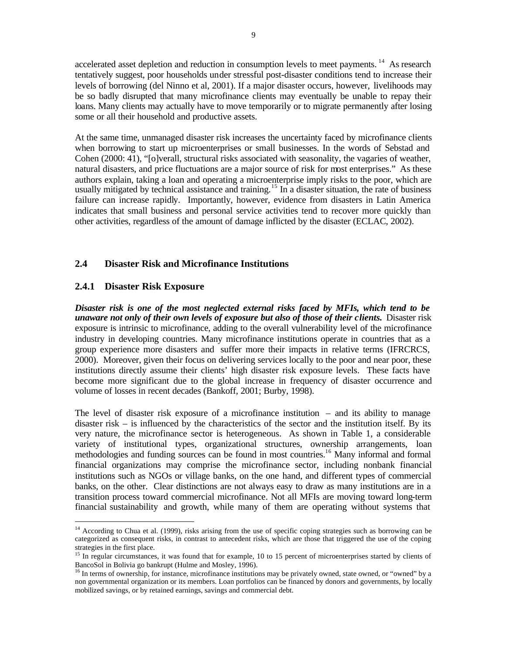accelerated asset depletion and reduction in consumption levels to meet payments.<sup>14</sup> As research tentatively suggest, poor households under stressful post-disaster conditions tend to increase their levels of borrowing (del Ninno et al, 2001). If a major disaster occurs, however, livelihoods may be so badly disrupted that many microfinance clients may eventually be unable to repay their loans. Many clients may actually have to move temporarily or to migrate permanently after losing some or all their household and productive assets.

At the same time, unmanaged disaster risk increases the uncertainty faced by microfinance clients when borrowing to start up microenterprises or small businesses. In the words of Sebstad and Cohen (2000: 41), "[o]verall, structural risks associated with seasonality, the vagaries of weather, natural disasters, and price fluctuations are a major source of risk for most enterprises." As these authors explain, taking a loan and operating a microenterprise imply risks to the poor, which are usually mitigated by technical assistance and training.<sup>15</sup> In a disaster situation, the rate of business failure can increase rapidly. Importantly, however, evidence from disasters in Latin America indicates that small business and personal service activities tend to recover more quickly than other activities, regardless of the amount of damage inflicted by the disaster (ECLAC, 2002).

## **2.4 Disaster Risk and Microfinance Institutions**

## **2.4.1 Disaster Risk Exposure**

 $\overline{a}$ 

*Disaster risk is one of the most neglected external risks faced by MFIs, which tend to be unaware not only of their own levels of exposure but also of those of their clients.* Disaster risk exposure is intrinsic to microfinance, adding to the overall vulnerability level of the microfinance industry in developing countries. Many microfinance institutions operate in countries that as a group experience more disasters and suffer more their impacts in relative terms (IFRCRCS, 2000). Moreover, given their focus on delivering services locally to the poor and near poor, these institutions directly assume their clients' high disaster risk exposure levels. These facts have become more significant due to the global increase in frequency of disaster occurrence and volume of losses in recent decades (Bankoff, 2001; Burby, 1998).

The level of disaster risk exposure of a microfinance institution – and its ability to manage disaster risk  $-$  is influenced by the characteristics of the sector and the institution itself. By its very nature, the microfinance sector is heterogeneous. As shown in Table 1, a considerable variety of institutional types, organizational structures, ownership arrangements, loan methodologies and funding sources can be found in most countries.<sup>16</sup> Many informal and formal financial organizations may comprise the microfinance sector, including nonbank financial institutions such as NGOs or village banks, on the one hand, and different types of commercial banks, on the other. Clear distinctions are not always easy to draw as many institutions are in a transition process toward commercial microfinance. Not all MFIs are moving toward long-term financial sustainability and growth, while many of them are operating without systems that

<sup>&</sup>lt;sup>14</sup> According to Chua et al. (1999), risks arising from the use of specific coping strategies such as borrowing can be categorized as consequent risks, in contrast to antecedent risks, which are those that triggered the use of the coping strategies in the first place.

<sup>&</sup>lt;sup>15</sup> In regular circumstances, it was found that for example, 10 to 15 percent of microenterprises started by clients of BancoSol in Bolivia go bankrupt (Hulme and Mosley, 1996).

<sup>&</sup>lt;sup>16</sup> In terms of ownership, for instance, microfinance institutions may be privately owned, state owned, or "owned" by a non governmental organization or its members. Loan portfolios can be financed by donors and governments, by locally mobilized savings, or by retained earnings, savings and commercial debt.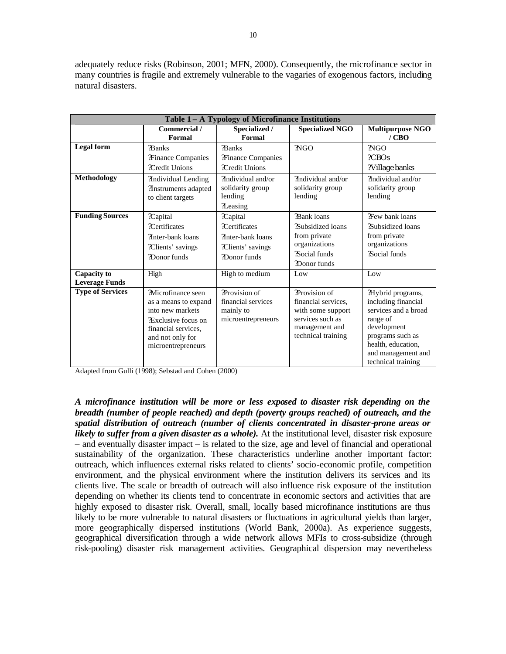adequately reduce risks (Robinson, 2001; MFN, 2000). Consequently, the microfinance sector in many countries is fragile and extremely vulnerable to the vagaries of exogenous factors, including natural disasters.

| Table 1 – A Typology of Microfinance Institutions |                                                                                                                                                              |                                                                                                   |                                                                                                                       |                                                                                                                                                                                   |
|---------------------------------------------------|--------------------------------------------------------------------------------------------------------------------------------------------------------------|---------------------------------------------------------------------------------------------------|-----------------------------------------------------------------------------------------------------------------------|-----------------------------------------------------------------------------------------------------------------------------------------------------------------------------------|
|                                                   | Commercial /<br>Formal                                                                                                                                       | Specialized /<br>Formal                                                                           | <b>Specialized NGO</b>                                                                                                | <b>Multipurpose NGO</b><br>/CBO                                                                                                                                                   |
| <b>Legal</b> form                                 | ?Banks<br><b>Trinance Companies</b><br>?Credit Unions                                                                                                        | ?Banks<br>?Finance Companies<br><b>?Credit Unions</b>                                             | 2NGO                                                                                                                  | ?NGO<br>2CBOS<br>?Village banks                                                                                                                                                   |
| Methodology                                       | <b>Mndividual Lending</b><br>?Instruments adapted<br>to client targets                                                                                       | ?Individual and/or<br>solidarity group<br>lending<br>?Leasing                                     | ?Individual and/or<br>solidarity group<br>lending                                                                     | Tindividual and/or<br>solidarity group<br>lending                                                                                                                                 |
| <b>Funding Sources</b>                            | ?Capital<br><b>?Certificates</b><br>?Inter-bank loans<br>?Clients' savings<br><b>?Donor</b> funds                                                            | ?Capital<br><b>?Certificates</b><br>?Inter-bank loans<br>?Clients' savings<br><b>?Donor</b> funds | ?Bank loans<br><b>2Subsidized loans</b><br>from private<br>organizations<br><b>?Social funds</b><br>?Donor funds      | ?Few bank loans<br><b>2Subsidized loans</b><br>from private<br>organizations<br><b>2Social funds</b>                                                                              |
| <b>Capacity to</b><br><b>Leverage Funds</b>       | High                                                                                                                                                         | High to medium                                                                                    | Low                                                                                                                   | Low                                                                                                                                                                               |
| <b>Type of Services</b>                           | ?Microfinance seen<br>as a means to expand<br>into new markets<br><b>Exclusive focus on</b><br>financial services.<br>and not only for<br>microentrepreneurs | ?Provision of<br>financial services<br>mainly to<br>microentrepreneurs                            | ?Provision of<br>financial services,<br>with some support<br>services such as<br>management and<br>technical training | ?Hybrid programs,<br>including financial<br>services and a broad<br>range of<br>development<br>programs such as<br>health, education,<br>and management and<br>technical training |

Adapted from Gulli (1998); Sebstad and Cohen (2000)

*A microfinance institution will be more or less exposed to disaster risk depending on the breadth (number of people reached) and depth (poverty groups reached) of outreach, and the spatial distribution of outreach (number of clients concentrated in disaster-prone areas or likely to suffer from a given disaster as a whole).* At the institutional level, disaster risk exposure – and eventually disaster impact – is related to the size, age and level of financial and operational sustainability of the organization. These characteristics underline another important factor: outreach, which influences external risks related to clients' socio-economic profile, competition environment, and the physical environment where the institution delivers its services and its clients live. The scale or breadth of outreach will also influence risk exposure of the institution depending on whether its clients tend to concentrate in economic sectors and activities that are highly exposed to disaster risk. Overall, small, locally based microfinance institutions are thus likely to be more vulnerable to natural disasters or fluctuations in agricultural yields than larger, more geographically dispersed institutions (World Bank, 2000a). As experience suggests, geographical diversification through a wide network allows MFIs to cross-subsidize (through risk-pooling) disaster risk management activities. Geographical dispersion may nevertheless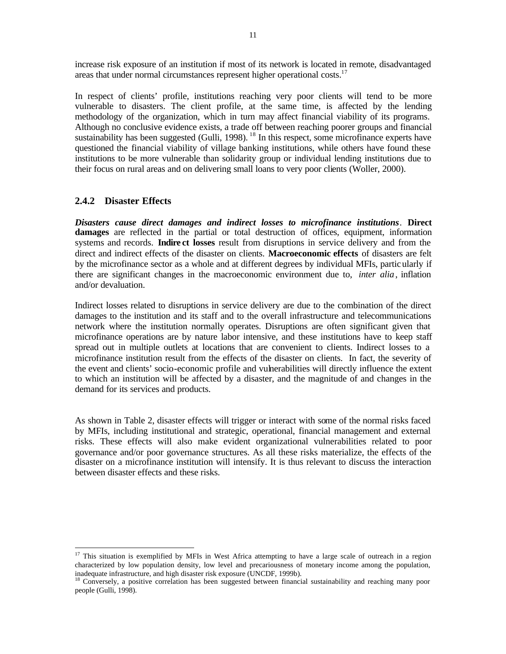increase risk exposure of an institution if most of its network is located in remote, disadvantaged areas that under normal circumstances represent higher operational costs. $17$ 

In respect of clients' profile, institutions reaching very poor clients will tend to be more vulnerable to disasters. The client profile, at the same time, is affected by the lending methodology of the organization, which in turn may affect financial viability of its programs. Although no conclusive evidence exists, a trade off between reaching poorer groups and financial sustainability has been suggested (Gulli, 1998).<sup>18</sup> In this respect, some microfinance experts have questioned the financial viability of village banking institutions, while others have found these institutions to be more vulnerable than solidarity group or individual lending institutions due to their focus on rural areas and on delivering small loans to very poor clients (Woller, 2000).

#### **2.4.2 Disaster Effects**

 $\overline{a}$ 

*Disasters cause direct damages and indirect losses to microfinance institutions*. **Direct damages** are reflected in the partial or total destruction of offices, equipment, information systems and records. **Indire ct losses** result from disruptions in service delivery and from the direct and indirect effects of the disaster on clients. **Macroeconomic effects** of disasters are felt by the microfinance sector as a whole and at different degrees by individual MFIs, particularly if there are significant changes in the macroeconomic environment due to, *inter alia*, inflation and/or devaluation.

Indirect losses related to disruptions in service delivery are due to the combination of the direct damages to the institution and its staff and to the overall infrastructure and telecommunications network where the institution normally operates. Disruptions are often significant given that microfinance operations are by nature labor intensive, and these institutions have to keep staff spread out in multiple outlets at locations that are convenient to clients. Indirect losses to a microfinance institution result from the effects of the disaster on clients. In fact, the severity of the event and clients' socio-economic profile and vulnerabilities will directly influence the extent to which an institution will be affected by a disaster, and the magnitude of and changes in the demand for its services and products.

As shown in Table 2, disaster effects will trigger or interact with some of the normal risks faced by MFIs, including institutional and strategic, operational, financial management and external risks. These effects will also make evident organizational vulnerabilities related to poor governance and/or poor governance structures. As all these risks materialize, the effects of the disaster on a microfinance institution will intensify. It is thus relevant to discuss the interaction between disaster effects and these risks.

<sup>&</sup>lt;sup>17</sup> This situation is exemplified by MFIs in West Africa attempting to have a large scale of outreach in a region characterized by low population density, low level and precariousness of monetary income among the population, inadequate infrastructure, and high disaster risk exposure (UNCDF, 1999b).

<sup>&</sup>lt;sup>18</sup> Conversely, a positive correlation has been suggested between financial sustainability and reaching many poor people (Gulli, 1998).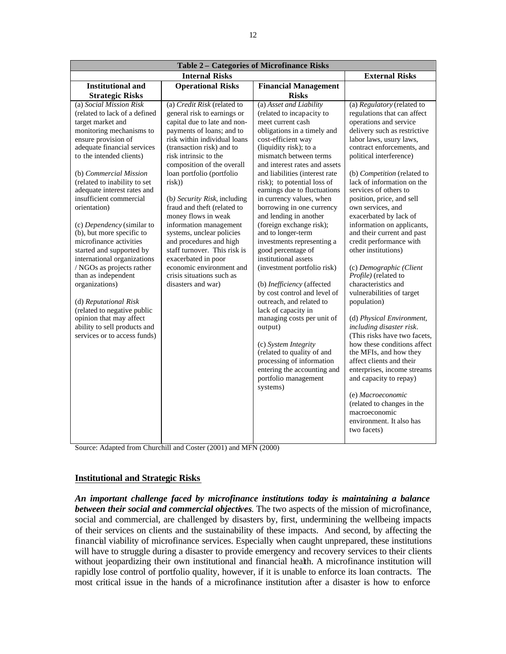| Table 2 - Categories of Microfinance Risks                                                                                                                                                                                                                                                                                                                                                                                                                                                                                                                                                                                                                                                                                                                                                                                                                                                                                                                                                                                                                                                                                                                                                                                                                                                                   |                                                                                                                                                                                                                                                                                                                                                                                                                                                                                                                                                                                                                                                                                                                                                                                                                                                                                      |                                                                                                                                                                                                                                                                                                                                                                                                                                                                                                                                                                                                                                                                                                                                                                                                                                                                                                                                                                     |  |  |
|--------------------------------------------------------------------------------------------------------------------------------------------------------------------------------------------------------------------------------------------------------------------------------------------------------------------------------------------------------------------------------------------------------------------------------------------------------------------------------------------------------------------------------------------------------------------------------------------------------------------------------------------------------------------------------------------------------------------------------------------------------------------------------------------------------------------------------------------------------------------------------------------------------------------------------------------------------------------------------------------------------------------------------------------------------------------------------------------------------------------------------------------------------------------------------------------------------------------------------------------------------------------------------------------------------------|--------------------------------------------------------------------------------------------------------------------------------------------------------------------------------------------------------------------------------------------------------------------------------------------------------------------------------------------------------------------------------------------------------------------------------------------------------------------------------------------------------------------------------------------------------------------------------------------------------------------------------------------------------------------------------------------------------------------------------------------------------------------------------------------------------------------------------------------------------------------------------------|---------------------------------------------------------------------------------------------------------------------------------------------------------------------------------------------------------------------------------------------------------------------------------------------------------------------------------------------------------------------------------------------------------------------------------------------------------------------------------------------------------------------------------------------------------------------------------------------------------------------------------------------------------------------------------------------------------------------------------------------------------------------------------------------------------------------------------------------------------------------------------------------------------------------------------------------------------------------|--|--|
| <b>Internal Risks</b>                                                                                                                                                                                                                                                                                                                                                                                                                                                                                                                                                                                                                                                                                                                                                                                                                                                                                                                                                                                                                                                                                                                                                                                                                                                                                        | <b>External Risks</b>                                                                                                                                                                                                                                                                                                                                                                                                                                                                                                                                                                                                                                                                                                                                                                                                                                                                |                                                                                                                                                                                                                                                                                                                                                                                                                                                                                                                                                                                                                                                                                                                                                                                                                                                                                                                                                                     |  |  |
| <b>Institutional and</b><br><b>Operational Risks</b>                                                                                                                                                                                                                                                                                                                                                                                                                                                                                                                                                                                                                                                                                                                                                                                                                                                                                                                                                                                                                                                                                                                                                                                                                                                         | <b>Financial Management</b>                                                                                                                                                                                                                                                                                                                                                                                                                                                                                                                                                                                                                                                                                                                                                                                                                                                          |                                                                                                                                                                                                                                                                                                                                                                                                                                                                                                                                                                                                                                                                                                                                                                                                                                                                                                                                                                     |  |  |
| <b>Strategic Risks</b>                                                                                                                                                                                                                                                                                                                                                                                                                                                                                                                                                                                                                                                                                                                                                                                                                                                                                                                                                                                                                                                                                                                                                                                                                                                                                       | <b>Risks</b>                                                                                                                                                                                                                                                                                                                                                                                                                                                                                                                                                                                                                                                                                                                                                                                                                                                                         |                                                                                                                                                                                                                                                                                                                                                                                                                                                                                                                                                                                                                                                                                                                                                                                                                                                                                                                                                                     |  |  |
| (a) Social Mission Risk<br>(a) Credit Risk (related to<br>(related to lack of a defined<br>general risk to earnings or<br>capital due to late and non-<br>target market and<br>monitoring mechanisms to<br>payments of loans; and to<br>ensure provision of<br>risk within individual loans<br>adequate financial services<br>(transaction risk) and to<br>to the intended clients)<br>risk intrinsic to the<br>composition of the overall<br>loan portfolio (portfolio<br>(b) Commercial Mission<br>(related to inability to set<br>risk)<br>adequate interest rates and<br>insufficient commercial<br>(b) Security Risk, including<br>fraud and theft (related to<br>orientation)<br>money flows in weak<br>(c) Dependency (similar to<br>information management<br>(b), but more specific to<br>systems, unclear policies<br>microfinance activities<br>and procedures and high<br>staff turnover. This risk is<br>started and supported by<br>international organizations<br>exacerbated in poor<br>economic environment and<br>/ NGOs as projects rather<br>crisis situations such as<br>than as independent<br>organizations)<br>disasters and war)<br>(d) Reputational Risk<br>(related to negative public<br>opinion that may affect<br>ability to sell products and<br>services or to access funds) | (a) Asset and Liability<br>(related to incapacity to<br>meet current cash<br>obligations in a timely and<br>cost-efficient way<br>(liquidity risk); to a<br>mismatch between terms<br>and interest rates and assets<br>and liabilities (interest rate<br>risk); to potential loss of<br>earnings due to fluctuations<br>in currency values, when<br>borrowing in one currency<br>and lending in another<br>(foreign exchange risk);<br>and to longer-term<br>investments representing a<br>good percentage of<br>institutional assets<br>(investment portfolio risk)<br>(b) Inefficiency (affected<br>by cost control and level of<br>outreach, and related to<br>lack of capacity in<br>managing costs per unit of<br>output)<br>(c) System Integrity<br>(related to quality of and<br>processing of information<br>entering the accounting and<br>portfolio management<br>systems) | (a) Regulatory (related to<br>regulations that can affect<br>operations and service<br>delivery such as restrictive<br>labor laws, usury laws,<br>contract enforcements, and<br>political interference)<br>(b) Competition (related to<br>lack of information on the<br>services of others to<br>position, price, and sell<br>own services, and<br>exacerbated by lack of<br>information on applicants,<br>and their current and past<br>credit performance with<br>other institutions)<br>(c) Demographic (Client<br>Profile) (related to<br>characteristics and<br>vulnerabilities of target<br>population)<br>(d) Physical Environment,<br>including disaster risk.<br>(This risks have two facets,<br>how these conditions affect<br>the MFIs, and how they<br>affect clients and their<br>enterprises, income streams<br>and capacity to repay)<br>(e) Macroeconomic<br>(related to changes in the<br>macroeconomic<br>environment. It also has<br>two facets) |  |  |

Source: Adapted from Churchill and Coster (2001) and MFN (2000)

#### **Institutional and Strategic Risks**

*An important challenge faced by microfinance institutions today is maintaining a balance between their social and commercial objectives*. The two aspects of the mission of microfinance, social and commercial, are challenged by disasters by, first, undermining the wellbeing impacts of their services on clients and the sustainability of these impacts. And second, by affecting the financial viability of microfinance services. Especially when caught unprepared, these institutions will have to struggle during a disaster to provide emergency and recovery services to their clients without jeopardizing their own institutional and financial health. A microfinance institution will rapidly lose control of portfolio quality, however, if it is unable to enforce its loan contracts. The most critical issue in the hands of a microfinance institution after a disaster is how to enforce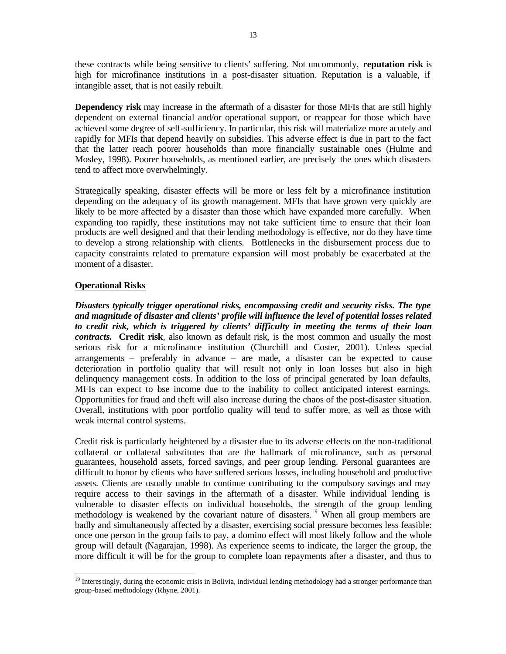these contracts while being sensitive to clients' suffering. Not uncommonly, **reputation risk** is high for microfinance institutions in a post-disaster situation. Reputation is a valuable, if intangible asset, that is not easily rebuilt.

**Dependency risk** may increase in the aftermath of a disaster for those MFIs that are still highly dependent on external financial and/or operational support, or reappear for those which have achieved some degree of self-sufficiency. In particular, this risk will materialize more acutely and rapidly for MFIs that depend heavily on subsidies. This adverse effect is due in part to the fact that the latter reach poorer households than more financially sustainable ones (Hulme and Mosley, 1998). Poorer households, as mentioned earlier, are precisely the ones which disasters tend to affect more overwhelmingly.

Strategically speaking, disaster effects will be more or less felt by a microfinance institution depending on the adequacy of its growth management. MFIs that have grown very quickly are likely to be more affected by a disaster than those which have expanded more carefully. When expanding too rapidly, these institutions may not take sufficient time to ensure that their loan products are well designed and that their lending methodology is effective, nor do they have time to develop a strong relationship with clients. Bottlenecks in the disbursement process due to capacity constraints related to premature expansion will most probably be exacerbated at the moment of a disaster.

#### **Operational Risks**

*Disasters typically trigger operational risks, encompassing credit and security risks. The type and magnitude of disaster and clients' profile will influence the level of potential losses related to credit risk, which is triggered by clients' difficulty in meeting the terms of their loan contracts.* **Credit risk**, also known as default risk, is the most common and usually the most serious risk for a microfinance institution (Churchill and Coster, 2001). Unless special arrangements – preferably in advance – are made, a disaster can be expected to cause deterioration in portfolio quality that will result not only in loan losses but also in high delinquency management costs. In addition to the loss of principal generated by loan defaults, MFIs can expect to bse income due to the inability to collect anticipated interest earnings. Opportunities for fraud and theft will also increase during the chaos of the post-disaster situation. Overall, institutions with poor portfolio quality will tend to suffer more, as well as those with weak internal control systems.

Credit risk is particularly heightened by a disaster due to its adverse effects on the non-traditional collateral or collateral substitutes that are the hallmark of microfinance, such as personal guarantees, household assets, forced savings, and peer group lending. Personal guarantees are difficult to honor by clients who have suffered serious losses, including household and productive assets. Clients are usually unable to continue contributing to the compulsory savings and may require access to their savings in the aftermath of a disaster. While individual lending is vulnerable to disaster effects on individual households, the strength of the group lending methodology is weakened by the covariant nature of disasters.<sup>19</sup> When all group members are badly and simultaneously affected by a disaster, exercising social pressure becomes less feasible: once one person in the group fails to pay, a domino effect will most likely follow and the whole group will default (Nagarajan, 1998). As experience seems to indicate, the larger the group, the more difficult it will be for the group to complete loan repayments after a disaster, and thus to

 $\overline{a}$ <sup>19</sup> Interestingly, during the economic crisis in Bolivia, individual lending methodology had a stronger performance than group-based methodology (Rhyne, 2001).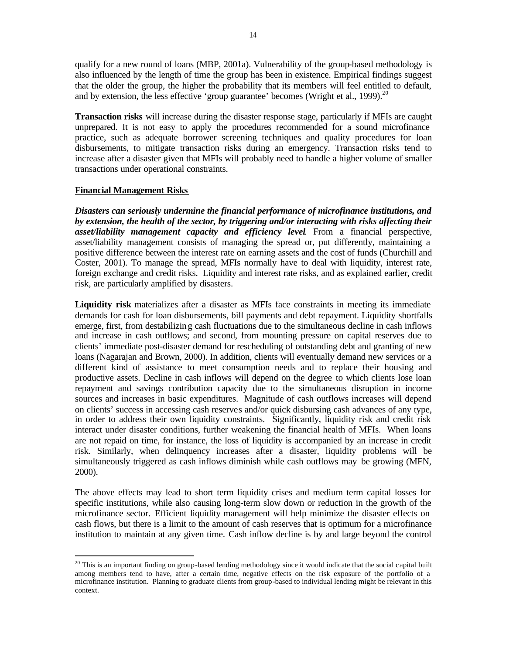qualify for a new round of loans (MBP, 2001a). Vulnerability of the group-based methodology is also influenced by the length of time the group has been in existence. Empirical findings suggest that the older the group, the higher the probability that its members will feel entitled to default, and by extension, the less effective 'group guarantee' becomes (Wright et al., 1999).<sup>20</sup>

**Transaction risks** will increase during the disaster response stage, particularly if MFIs are caught unprepared. It is not easy to apply the procedures recommended for a sound microfinance practice, such as adequate borrower screening techniques and quality procedures for loan disbursements, to mitigate transaction risks during an emergency. Transaction risks tend to increase after a disaster given that MFIs will probably need to handle a higher volume of smaller transactions under operational constraints.

#### **Financial Management Risks**

 $\overline{a}$ 

*Disasters can seriously undermine the financial performance of microfinance institutions, and by extension, the health of the sector, by triggering and/or interacting with risks affecting their asset/liability management capacity and efficiency level*. From a financial perspective, asset/liability management consists of managing the spread or, put differently, maintaining a positive difference between the interest rate on earning assets and the cost of funds (Churchill and Coster, 2001). To manage the spread, MFIs normally have to deal with liquidity, interest rate, foreign exchange and credit risks. Liquidity and interest rate risks, and as explained earlier, credit risk, are particularly amplified by disasters.

**Liquidity risk** materializes after a disaster as MFIs face constraints in meeting its immediate demands for cash for loan disbursements, bill payments and debt repayment. Liquidity shortfalls emerge, first, from destabilizing cash fluctuations due to the simultaneous decline in cash inflows and increase in cash outflows; and second, from mounting pressure on capital reserves due to clients' immediate post-disaster demand for rescheduling of outstanding debt and granting of new loans (Nagarajan and Brown, 2000). In addition, clients will eventually demand new services or a different kind of assistance to meet consumption needs and to replace their housing and productive assets. Decline in cash inflows will depend on the degree to which clients lose loan repayment and savings contribution capacity due to the simultaneous disruption in income sources and increases in basic expenditures. Magnitude of cash outflows increases will depend on clients' success in accessing cash reserves and/or quick disbursing cash advances of any type, in order to address their own liquidity constraints. Significantly, liquidity risk and credit risk interact under disaster conditions, further weakening the financial health of MFIs. When loans are not repaid on time, for instance, the loss of liquidity is accompanied by an increase in credit risk. Similarly, when delinquency increases after a disaster, liquidity problems will be simultaneously triggered as cash inflows diminish while cash outflows may be growing (MFN, 2000).

The above effects may lead to short term liquidity crises and medium term capital losses for specific institutions, while also causing long-term slow down or reduction in the growth of the microfinance sector. Efficient liquidity management will help minimize the disaster effects on cash flows, but there is a limit to the amount of cash reserves that is optimum for a microfinance institution to maintain at any given time. Cash inflow decline is by and large beyond the control

 $20$  This is an important finding on group-based lending methodology since it would indicate that the social capital built among members tend to have, after a certain time, negative effects on the risk exposure of the portfolio of a microfinance institution. Planning to graduate clients from group-based to individual lending might be relevant in this context.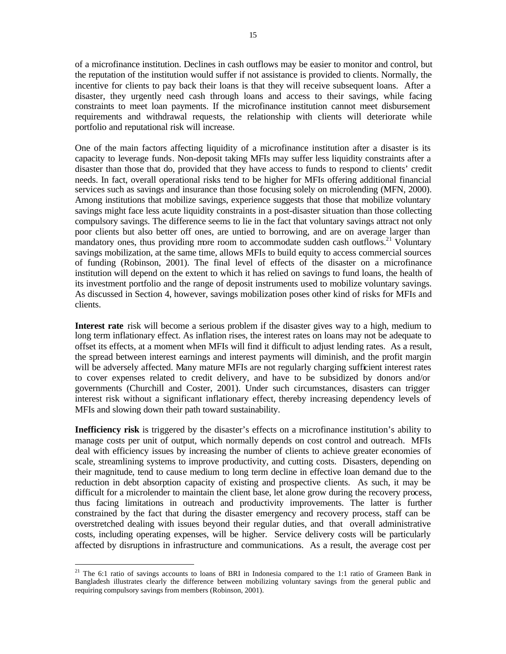of a microfinance institution. Declines in cash outflows may be easier to monitor and control, but the reputation of the institution would suffer if not assistance is provided to clients. Normally, the incentive for clients to pay back their loans is that they will receive subsequent loans. After a disaster, they urgently need cash through loans and access to their savings, while facing constraints to meet loan payments. If the microfinance institution cannot meet disbursement requirements and withdrawal requests, the relationship with clients will deteriorate while portfolio and reputational risk will increase.

One of the main factors affecting liquidity of a microfinance institution after a disaster is its capacity to leverage funds. Non-deposit taking MFIs may suffer less liquidity constraints after a disaster than those that do, provided that they have access to funds to respond to clients' credit needs. In fact, overall operational risks tend to be higher for MFIs offering additional financial services such as savings and insurance than those focusing solely on microlending (MFN, 2000). Among institutions that mobilize savings, experience suggests that those that mobilize voluntary savings might face less acute liquidity constraints in a post-disaster situation than those collecting compulsory savings. The difference seems to lie in the fact that voluntary savings attract not only poor clients but also better off ones, are untied to borrowing, and are on average larger than mandatory ones, thus providing more room to accommodate sudden cash outflows.<sup>21</sup> Voluntary savings mobilization, at the same time, allows MFIs to build equity to access commercial sources of funding (Robinson, 2001). The final level of effects of the disaster on a microfinance institution will depend on the extent to which it has relied on savings to fund loans, the health of its investment portfolio and the range of deposit instruments used to mobilize voluntary savings. As discussed in Section 4, however, savings mobilization poses other kind of risks for MFIs and clients.

**Interest rate** risk will become a serious problem if the disaster gives way to a high, medium to long term inflationary effect. As inflation rises, the interest rates on loans may not be adequate to offset its effects, at a moment when MFIs will find it difficult to adjust lending rates. As a result, the spread between interest earnings and interest payments will diminish, and the profit margin will be adversely affected. Many mature MFIs are not regularly charging sufficient interest rates to cover expenses related to credit delivery, and have to be subsidized by donors and/or governments (Churchill and Coster, 2001). Under such circumstances, disasters can trigger interest risk without a significant inflationary effect, thereby increasing dependency levels of MFIs and slowing down their path toward sustainability.

**Inefficiency risk** is triggered by the disaster's effects on a microfinance institution's ability to manage costs per unit of output, which normally depends on cost control and outreach. MFIs deal with efficiency issues by increasing the number of clients to achieve greater economies of scale, streamlining systems to improve productivity, and cutting costs. Disasters, depending on their magnitude, tend to cause medium to long term decline in effective loan demand due to the reduction in debt absorption capacity of existing and prospective clients. As such, it may be difficult for a microlender to maintain the client base, let alone grow during the recovery process, thus facing limitations in outreach and productivity improvements. The latter is further constrained by the fact that during the disaster emergency and recovery process, staff can be overstretched dealing with issues beyond their regular duties, and that overall administrative costs, including operating expenses, will be higher. Service delivery costs will be particularly affected by disruptions in infrastructure and communications. As a result, the average cost per

<sup>&</sup>lt;sup>21</sup> The 6:1 ratio of savings accounts to loans of BRI in Indonesia compared to the 1:1 ratio of Grameen Bank in Bangladesh illustrates clearly the difference between mobilizing voluntary savings from the general public and requiring compulsory savings from members (Robinson, 2001).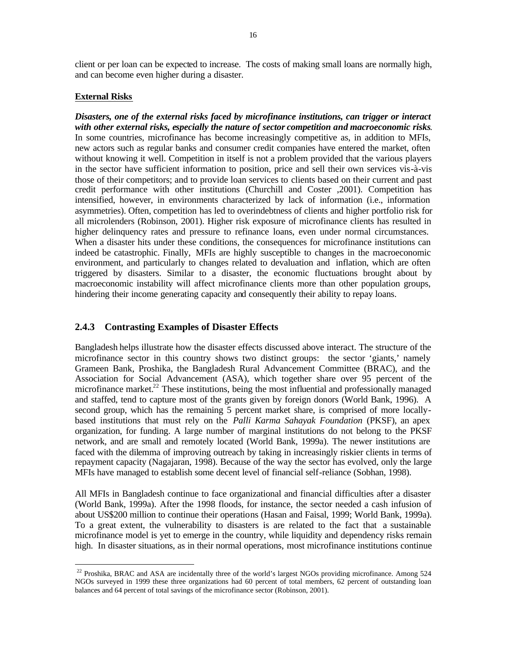client or per loan can be expected to increase. The costs of making small loans are normally high, and can become even higher during a disaster.

#### **External Risks**

 $\overline{a}$ 

*Disasters, one of the external risks faced by microfinance institutions, can trigger or interact with other external risks, especially the nature of sector competition and macroeconomic risks*. In some countries, microfinance has become increasingly competitive as, in addition to MFIs, new actors such as regular banks and consumer credit companies have entered the market, often without knowing it well. Competition in itself is not a problem provided that the various players in the sector have sufficient information to position, price and sell their own services vis-à-vis those of their competitors; and to provide loan services to clients based on their current and past credit performance with other institutions (Churchill and Coster ,2001). Competition has intensified, however, in environments characterized by lack of information (i.e., information asymmetries). Often, competition has led to overindebtness of clients and higher portfolio risk for all microlenders (Robinson, 2001). Higher risk exposure of microfinance clients has resulted in higher delinquency rates and pressure to refinance loans, even under normal circumstances. When a disaster hits under these conditions, the consequences for microfinance institutions can indeed be catastrophic. Finally, MFIs are highly susceptible to changes in the macroeconomic environment, and particularly to changes related to devaluation and inflation, which are often triggered by disasters. Similar to a disaster, the economic fluctuations brought about by macroeconomic instability will affect microfinance clients more than other population groups, hindering their income generating capacity and consequently their ability to repay loans.

#### **2.4.3 Contrasting Examples of Disaster Effects**

Bangladesh helps illustrate how the disaster effects discussed above interact. The structure of the microfinance sector in this country shows two distinct groups: the sector 'giants,' namely Grameen Bank, Proshika, the Bangladesh Rural Advancement Committee (BRAC), and the Association for Social Advancement (ASA), which together share over 95 percent of the microfinance market.<sup>22</sup> These institutions, being the most influential and professionally managed and staffed, tend to capture most of the grants given by foreign donors (World Bank, 1996). A second group, which has the remaining 5 percent market share, is comprised of more locallybased institutions that must rely on the *Palli Karma Sahayak Foundation* (PKSF), an apex organization, for funding. A large number of marginal institutions do not belong to the PKSF network, and are small and remotely located (World Bank, 1999a). The newer institutions are faced with the dilemma of improving outreach by taking in increasingly riskier clients in terms of repayment capacity (Nagajaran, 1998). Because of the way the sector has evolved, only the large MFIs have managed to establish some decent level of financial self-reliance (Sobhan, 1998).

All MFIs in Bangladesh continue to face organizational and financial difficulties after a disaster (World Bank, 1999a). After the 1998 floods, for instance, the sector needed a cash infusion of about US\$200 million to continue their operations (Hasan and Faisal, 1999; World Bank, 1999a). To a great extent, the vulnerability to disasters is are related to the fact that a sustainable microfinance model is yet to emerge in the country, while liquidity and dependency risks remain high. In disaster situations, as in their normal operations, most microfinance institutions continue

<sup>&</sup>lt;sup>22</sup> Proshika, BRAC and ASA are incidentally three of the world's largest NGOs providing microfinance. Among 524 NGOs surveyed in 1999 these three organizations had 60 percent of total members, 62 percent of outstanding loan balances and 64 percent of total savings of the microfinance sector (Robinson, 2001).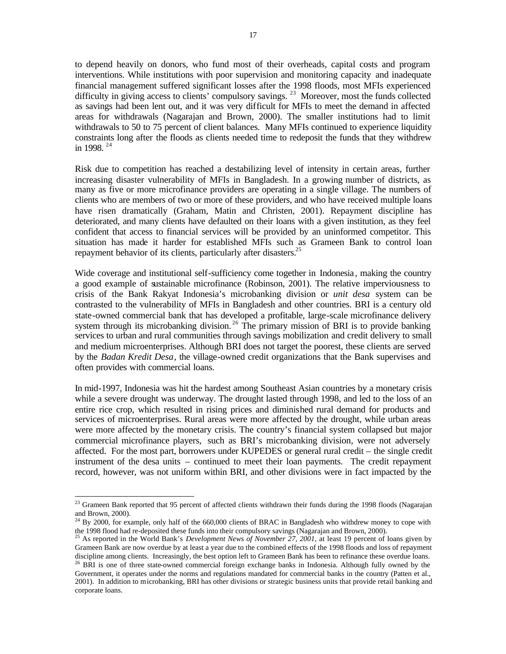to depend heavily on donors, who fund most of their overheads, capital costs and program interventions. While institutions with poor supervision and monitoring capacity and inadequate financial management suffered significant losses after the 1998 floods, most MFIs experienced difficulty in giving access to clients' compulsory savings.<sup>23</sup> Moreover, most the funds collected as savings had been lent out, and it was very difficult for MFIs to meet the demand in affected areas for withdrawals (Nagarajan and Brown, 2000). The smaller institutions had to limit withdrawals to 50 to 75 percent of client balances. Many MFIs continued to experience liquidity constraints long after the floods as clients needed time to redeposit the funds that they withdrew in 1998.  $24$ 

Risk due to competition has reached a destabilizing level of intensity in certain areas, further increasing disaster vulnerability of MFIs in Bangladesh. In a growing number of districts, as many as five or more microfinance providers are operating in a single village. The numbers of clients who are members of two or more of these providers, and who have received multiple loans have risen dramatically (Graham, Matin and Christen, 2001). Repayment discipline has deteriorated, and many clients have defaulted on their loans with a given institution, as they feel confident that access to financial services will be provided by an uninformed competitor. This situation has made it harder for established MFIs such as Grameen Bank to control loan repayment behavior of its clients, particularly after disasters.<sup>25</sup>

Wide coverage and institutional self-sufficiency come together in Indonesia, making the country a good example of sustainable microfinance (Robinson, 2001). The relative imperviousness to crisis of the Bank Rakyat Indonesia's microbanking division or *unit desa* system can be contrasted to the vulnerability of MFIs in Bangladesh and other countries. BRI is a century old state-owned commercial bank that has developed a profitable, large-scale microfinance delivery system through its microbanking division.<sup>26</sup> The primary mission of BRI is to provide banking services to urban and rural communities through savings mobilization and credit delivery to small and medium microenterprises. Although BRI does not target the poorest, these clients are served by the *Badan Kredit Desa*, the village-owned credit organizations that the Bank supervises and often provides with commercial loans.

In mid-1997, Indonesia was hit the hardest among Southeast Asian countries by a monetary crisis while a severe drought was underway. The drought lasted through 1998, and led to the loss of an entire rice crop, which resulted in rising prices and diminished rural demand for products and services of microenterprises. Rural areas were more affected by the drought, while urban areas were more affected by the monetary crisis. The country's financial system collapsed but major commercial microfinance players, such as BRI's microbanking division, were not adversely affected. For the most part, borrowers under KUPEDES or general rural credit – the single credit instrument of the desa units – continued to meet their loan payments. The credit repayment record, however, was not uniform within BRI, and other divisions were in fact impacted by the

 $23$  Grameen Bank reported that 95 percent of affected clients withdrawn their funds during the 1998 floods (Nagarajan and Brown, 2000).

<sup>&</sup>lt;sup>24</sup> By 2000, for example, only half of the 660,000 clients of BRAC in Bangladesh who withdrew money to cope with the 1998 flood had re-deposited these funds into their compulsory savings (Nagarajan and Brown, 2000).

<sup>25</sup> As reported in the World Bank's *Development News of November 27, 2001*, at least 19 percent of loans given by Grameen Bank are now overdue by at least a year due to the combined effects of the 1998 floods and loss of repayment discipline among clients. Increasingly, the best option left to Grameen Bank has been to refinance these overdue loans. <sup>26</sup> BRI is one of three state-owned commercial foreign exchange banks in Indonesia. Although fully owned by the Government, it operates under the norms and regulations mandated for commercial banks in the country (Patten et al., 2001). In addition to microbanking, BRI has other divisions or strategic business units that provide retail banking and corporate loans.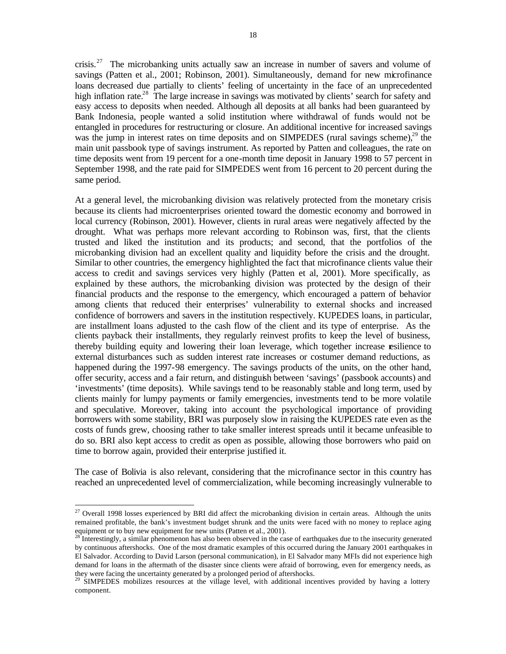crisis.<sup>27</sup> The microbanking units actually saw an increase in number of savers and volume of savings (Patten et al., 2001; Robinson, 2001). Simultaneously, demand for new microfinance loans decreased due partially to clients' feeling of uncertainty in the face of an unprecedented high inflation rate.<sup>28</sup> The large increase in savings was motivated by clients' search for safety and easy access to deposits when needed. Although all deposits at all banks had been guaranteed by Bank Indonesia, people wanted a solid institution where withdrawal of funds would not be entangled in procedures for restructuring or closure. An additional incentive for increased savings was the jump in interest rates on time deposits and on SIMPEDES (rural savings scheme), $^{29}$  the main unit passbook type of savings instrument. As reported by Patten and colleagues, the rate on time deposits went from 19 percent for a one-month time deposit in January 1998 to 57 percent in September 1998, and the rate paid for SIMPEDES went from 16 percent to 20 percent during the same period.

At a general level, the microbanking division was relatively protected from the monetary crisis because its clients had microenterprises oriented toward the domestic economy and borrowed in local currency (Robinson, 2001). However, clients in rural areas were negatively affected by the drought. What was perhaps more relevant according to Robinson was, first, that the clients trusted and liked the institution and its products; and second, that the portfolios of the microbanking division had an excellent quality and liquidity before the crisis and the drought. Similar to other countries, the emergency highlighted the fact that microfinance clients value their access to credit and savings services very highly (Patten et al, 2001). More specifically, as explained by these authors, the microbanking division was protected by the design of their financial products and the response to the emergency, which encouraged a pattern of behavior among clients that reduced their enterprises' vulnerability to external shocks and increased confidence of borrowers and savers in the institution respectively. KUPEDES loans, in particular, are installment loans adjusted to the cash flow of the client and its type of enterprise. As the clients payback their installments, they regularly reinvest profits to keep the level of business, thereby building equity and lowering their loan leverage, which together increase resilience to external disturbances such as sudden interest rate increases or costumer demand reductions, as happened during the 1997-98 emergency. The savings products of the units, on the other hand, offer security, access and a fair return, and distinguish between 'savings' (passbook accounts) and 'investments' (time deposits). While savings tend to be reasonably stable and long term, used by clients mainly for lumpy payments or family emergencies, investments tend to be more volatile and speculative. Moreover, taking into account the psychological importance of providing borrowers with some stability, BRI was purposely slow in raising the KUPEDES rate even as the costs of funds grew, choosing rather to take smaller interest spreads until it became unfeasible to do so. BRI also kept access to credit as open as possible, allowing those borrowers who paid on time to borrow again, provided their enterprise justified it.

The case of Bolivia is also relevant, considering that the microfinance sector in this country has reached an unprecedented level of commercialization, while becoming increasingly vulnerable to

<sup>&</sup>lt;sup>27</sup> Overall 1998 losses experienced by BRI did affect the microbanking division in certain areas. Although the units remained profitable, the bank's investment budget shrunk and the units were faced with no money to replace aging equipment or to buy new equipment for new units (Patten et al., 2001).

 $^{28}$  Interestingly, a similar phenomenon has also been observed in the case of earthquakes due to the insecurity generated by continuous aftershocks. One of the most dramatic examples of this occurred during the January 2001 earthquakes in El Salvador. According to David Larson (personal communication), in El Salvador many MFIs did not experience high demand for loans in the aftermath of the disaster since clients were afraid of borrowing, even for emergency needs, as they were facing the uncertainty generated by a prolonged period of aftershocks.

<sup>&</sup>lt;sup>29</sup> SIMPEDES mobilizes resources at the village level, with additional incentives provided by having a lottery component.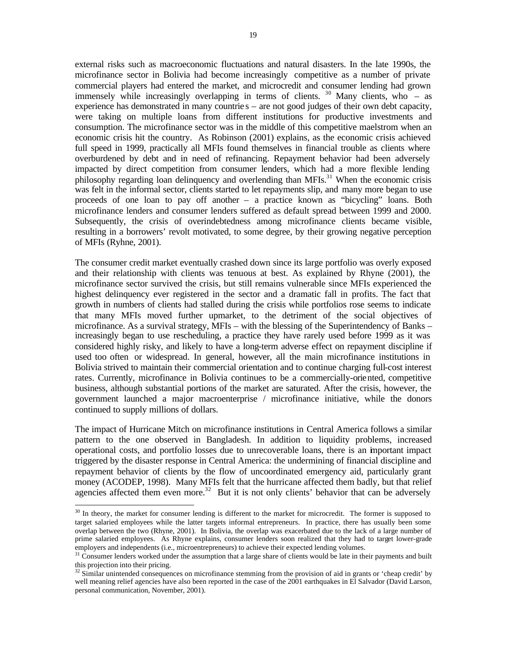external risks such as macroeconomic fluctuations and natural disasters. In the late 1990s, the microfinance sector in Bolivia had become increasingly competitive as a number of private commercial players had entered the market, and microcredit and consumer lending had grown immensely while increasingly overlapping in terms of clients.  $30$  Many clients, who – as experience has demonstrated in many countrie s – are not good judges of their own debt capacity, were taking on multiple loans from different institutions for productive investments and consumption. The microfinance sector was in the middle of this competitive maelstrom when an economic crisis hit the country. As Robinson (2001) explains, as the economic crisis achieved full speed in 1999, practically all MFIs found themselves in financial trouble as clients where overburdened by debt and in need of refinancing. Repayment behavior had been adversely impacted by direct competition from consumer lenders, which had a more flexible lending philosophy regarding loan delinquency and overlending than MFIs.<sup>31</sup> When the economic crisis was felt in the informal sector, clients started to let repayments slip, and many more began to use proceeds of one loan to pay off another – a practice known as "bicycling" loans. Both microfinance lenders and consumer lenders suffered as default spread between 1999 and 2000. Subsequently, the crisis of overindebtedness among microfinance clients became visible, resulting in a borrowers' revolt motivated, to some degree, by their growing negative perception of MFIs (Ryhne, 2001).

The consumer credit market eventually crashed down since its large portfolio was overly exposed and their relationship with clients was tenuous at best. As explained by Rhyne (2001), the microfinance sector survived the crisis, but still remains vulnerable since MFIs experienced the highest delinquency ever registered in the sector and a dramatic fall in profits. The fact that growth in numbers of clients had stalled during the crisis while portfolios rose seems to indicate that many MFIs moved further upmarket, to the detriment of the social objectives of microfinance. As a survival strategy, MFIs – with the blessing of the Superintendency of Banks – increasingly began to use rescheduling, a practice they have rarely used before 1999 as it was considered highly risky, and likely to have a long-term adverse effect on repayment discipline if used too often or widespread. In general, however, all the main microfinance institutions in Bolivia strived to maintain their commercial orientation and to continue charging full-cost interest rates. Currently, microfinance in Bolivia continues to be a commercially-oriented, competitive business, although substantial portions of the market are saturated. After the crisis, however, the government launched a major macroenterprise / microfinance initiative, while the donors continued to supply millions of dollars.

The impact of Hurricane Mitch on microfinance institutions in Central America follows a similar pattern to the one observed in Bangladesh. In addition to liquidity problems, increased operational costs, and portfolio losses due to unrecoverable loans, there is an important impact triggered by the disaster response in Central America: the undermining of financial discipline and repayment behavior of clients by the flow of uncoordinated emergency aid, particularly grant money (ACODEP, 1998). Many MFIs felt that the hurricane affected them badly, but that relief agencies affected them even more.<sup>32</sup> But it is not only clients' behavior that can be adversely

<sup>&</sup>lt;sup>30</sup> In theory, the market for consumer lending is different to the market for microcredit. The former is supposed to target salaried employees while the latter targets informal entrepreneurs. In practice, there has usually been some overlap between the two (Rhyne, 2001). In Bolivia, the overlap was exacerbated due to the lack of a large number of prime salaried employees. As Rhyne explains, consumer lenders soon realized that they had to target lower-grade employers and independents (i.e., microentrepreneurs) to achieve their expected lending volumes.

 $31$  Consumer lenders worked under the assumption that a large share of clients would be late in their payments and built this projection into their pricing.

 $32$  Similar unintended consequences on microfinance stemming from the provision of aid in grants or 'cheap credit' by well meaning relief agencies have also been reported in the case of the 2001 earthquakes in El Salvador (David Larson, personal communication, November, 2001).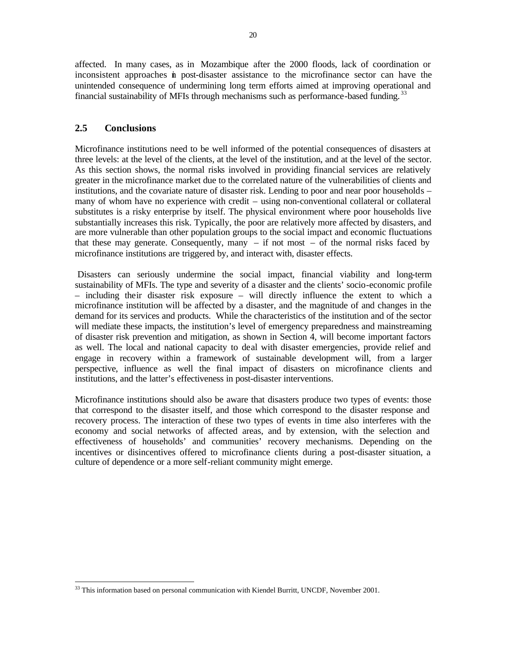affected. In many cases, as in Mozambique after the 2000 floods, lack of coordination or inconsistent approaches in post-disaster assistance to the microfinance sector can have the unintended consequence of undermining long term efforts aimed at improving operational and financial sustainability of MFIs through mechanisms such as performance-based funding.<sup>33</sup>

## **2.5 Conclusions**

 $\overline{a}$ 

Microfinance institutions need to be well informed of the potential consequences of disasters at three levels: at the level of the clients, at the level of the institution, and at the level of the sector. As this section shows, the normal risks involved in providing financial services are relatively greater in the microfinance market due to the correlated nature of the vulnerabilities of clients and institutions, and the covariate nature of disaster risk. Lending to poor and near poor households – many of whom have no experience with credit – using non-conventional collateral or collateral substitutes is a risky enterprise by itself. The physical environment where poor households live substantially increases this risk. Typically, the poor are relatively more affected by disasters, and are more vulnerable than other population groups to the social impact and economic fluctuations that these may generate. Consequently, many  $-$  if not most  $-$  of the normal risks faced by microfinance institutions are triggered by, and interact with, disaster effects.

 Disasters can seriously undermine the social impact, financial viability and long-term sustainability of MFIs. The type and severity of a disaster and the clients' socio-economic profile – including their disaster risk exposure – will directly influence the extent to which a microfinance institution will be affected by a disaster, and the magnitude of and changes in the demand for its services and products. While the characteristics of the institution and of the sector will mediate these impacts, the institution's level of emergency preparedness and mainstreaming of disaster risk prevention and mitigation, as shown in Section 4, will become important factors as well. The local and national capacity to deal with disaster emergencies, provide relief and engage in recovery within a framework of sustainable development will, from a larger perspective, influence as well the final impact of disasters on microfinance clients and institutions, and the latter's effectiveness in post-disaster interventions.

Microfinance institutions should also be aware that disasters produce two types of events: those that correspond to the disaster itself, and those which correspond to the disaster response and recovery process. The interaction of these two types of events in time also interferes with the economy and social networks of affected areas, and by extension, with the selection and effectiveness of households' and communities' recovery mechanisms. Depending on the incentives or disincentives offered to microfinance clients during a post-disaster situation, a culture of dependence or a more self-reliant community might emerge.

 $33$  This information based on personal communication with Kiendel Burritt, UNCDF, November 2001.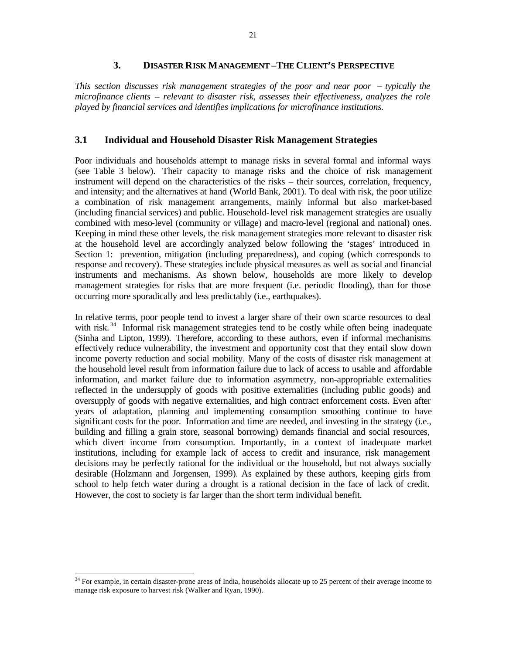#### **3. DISASTER RISK MANAGEMENT –THE CLIENT'S PERSPECTIVE**

*This section discusses risk management strategies of the poor and near poor – typically the microfinance clients – relevant to disaster risk, assesses their effectiveness, analyzes the role played by financial services and identifies implications for microfinance institutions.* 

#### **3.1 Individual and Household Disaster Risk Management Strategies**

Poor individuals and households attempt to manage risks in several formal and informal ways (see Table 3 below). Their capacity to manage risks and the choice of risk management instrument will depend on the characteristics of the risks – their sources, correlation, frequency, and intensity; and the alternatives at hand (World Bank, 2001). To deal with risk, the poor utilize a combination of risk management arrangements, mainly informal but also market-based (including financial services) and public. Household-level risk management strategies are usually combined with meso-level (community or village) and macro-level (regional and national) ones. Keeping in mind these other levels, the risk management strategies more relevant to disaster risk at the household level are accordingly analyzed below following the 'stages' introduced in Section 1: prevention, mitigation (including preparedness), and coping (which corresponds to response and recovery). These strategies include physical measures as well as social and financial instruments and mechanisms. As shown below, households are more likely to develop management strategies for risks that are more frequent (i.e. periodic flooding), than for those occurring more sporadically and less predictably (i.e., earthquakes).

In relative terms, poor people tend to invest a larger share of their own scarce resources to deal with risk.<sup>34</sup> Informal risk management strategies tend to be costly while often being inadequate (Sinha and Lipton, 1999). Therefore, according to these authors, even if informal mechanisms effectively reduce vulnerability, the investment and opportunity cost that they entail slow down income poverty reduction and social mobility. Many of the costs of disaster risk management at the household level result from information failure due to lack of access to usable and affordable information, and market failure due to information asymmetry, non-appropriable externalities reflected in the undersupply of goods with positive externalities (including public goods) and oversupply of goods with negative externalities, and high contract enforcement costs. Even after years of adaptation, planning and implementing consumption smoothing continue to have significant costs for the poor. Information and time are needed, and investing in the strategy (i.e., building and filling a grain store, seasonal borrowing) demands financial and social resources, which divert income from consumption. Importantly, in a context of inadequate market institutions, including for example lack of access to credit and insurance, risk management decisions may be perfectly rational for the individual or the household, but not always socially desirable (Holzmann and Jorgensen, 1999). As explained by these authors, keeping girls from school to help fetch water during a drought is a rational decision in the face of lack of credit. However, the cost to society is far larger than the short term individual benefit.

 $34$  For example, in certain disaster-prone areas of India, households allocate up to 25 percent of their average income to manage risk exposure to harvest risk (Walker and Ryan, 1990).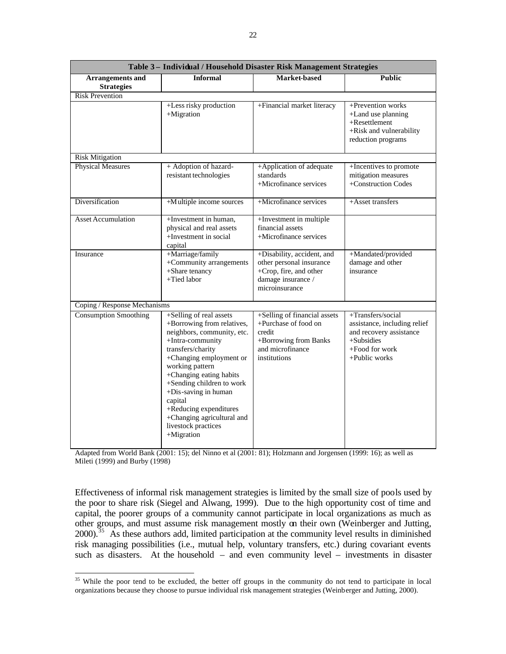| Table 3- Individual / Household Disaster Risk Management Strategies |                                                                                                                                                                                                                                                                                                                                                                       |                                                                                                                             |                                                                                                                                   |  |
|---------------------------------------------------------------------|-----------------------------------------------------------------------------------------------------------------------------------------------------------------------------------------------------------------------------------------------------------------------------------------------------------------------------------------------------------------------|-----------------------------------------------------------------------------------------------------------------------------|-----------------------------------------------------------------------------------------------------------------------------------|--|
| <b>Arrangements</b> and<br><b>Strategies</b>                        | <b>Informal</b>                                                                                                                                                                                                                                                                                                                                                       | Market-based                                                                                                                | <b>Public</b>                                                                                                                     |  |
| <b>Risk Prevention</b>                                              |                                                                                                                                                                                                                                                                                                                                                                       |                                                                                                                             |                                                                                                                                   |  |
|                                                                     | +Less risky production<br>$+$ Migration                                                                                                                                                                                                                                                                                                                               | +Financial market literacy                                                                                                  | +Prevention works<br>+Land use planning<br>$+$ Resettlement<br>+Risk and vulnerability<br>reduction programs                      |  |
| <b>Risk Mitigation</b>                                              |                                                                                                                                                                                                                                                                                                                                                                       |                                                                                                                             |                                                                                                                                   |  |
| <b>Physical Measures</b>                                            | + Adoption of hazard-<br>resistant technologies                                                                                                                                                                                                                                                                                                                       | +Application of adequate<br>standards<br>+Microfinance services                                                             | +Incentives to promote<br>mitigation measures<br>+Construction Codes                                                              |  |
| Diversification                                                     | +Multiple income sources                                                                                                                                                                                                                                                                                                                                              | +Microfinance services                                                                                                      | +Asset transfers                                                                                                                  |  |
| <b>Asset Accumulation</b>                                           | +Investment in human,<br>physical and real assets<br>+Investment in social<br>capital                                                                                                                                                                                                                                                                                 | +Investment in multiple<br>financial assets<br>+Microfinance services                                                       |                                                                                                                                   |  |
| Insurance                                                           | +Marriage/family<br>+Community arrangements<br>+Share tenancy<br>+Tied labor                                                                                                                                                                                                                                                                                          | +Disability, accident, and<br>other personal insurance<br>+Crop, fire, and other<br>damage insurance /<br>microinsurance    | +Mandated/provided<br>damage and other<br>insurance                                                                               |  |
| Coping / Response Mechanisms                                        |                                                                                                                                                                                                                                                                                                                                                                       |                                                                                                                             |                                                                                                                                   |  |
| <b>Consumption Smoothing</b>                                        | +Selling of real assets<br>+Borrowing from relatives,<br>neighbors, community, etc.<br>+Intra-community<br>transfers/charity<br>+Changing employment or<br>working pattern<br>+Changing eating habits<br>+Sending children to work<br>+Dis-saving in human<br>capital<br>+Reducing expenditures<br>+Changing agricultural and<br>livestock practices<br>$+$ Migration | +Selling of financial assets<br>+Purchase of food on<br>credit<br>+Borrowing from Banks<br>and microfinance<br>institutions | +Transfers/social<br>assistance, including relief<br>and recovery assistance<br>$+Subsides$<br>$+$ Food for work<br>+Public works |  |

Adapted from World Bank (2001: 15); del Ninno et al (2001: 81); Holzmann and Jorgensen (1999: 16); as well as Mileti (1999) and Burby (1998)

Effectiveness of informal risk management strategies is limited by the small size of pools used by the poor to share risk (Siegel and Alwang, 1999). Due to the high opportunity cost of time and capital, the poorer groups of a community cannot participate in local organizations as much as other groups, and must assume risk management mostly on their own (Weinberger and Jutting, 2000).<sup>35</sup> As these authors add, limited participation at the community level results in diminished risk managing possibilities (i.e., mutual help, voluntary transfers, etc.) during covariant events such as disasters. At the household – and even community level – investments in disaster

<sup>&</sup>lt;sup>35</sup> While the poor tend to be excluded, the better off groups in the community do not tend to participate in local organizations because they choose to pursue individual risk management strategies (Weinberger and Jutting, 2000).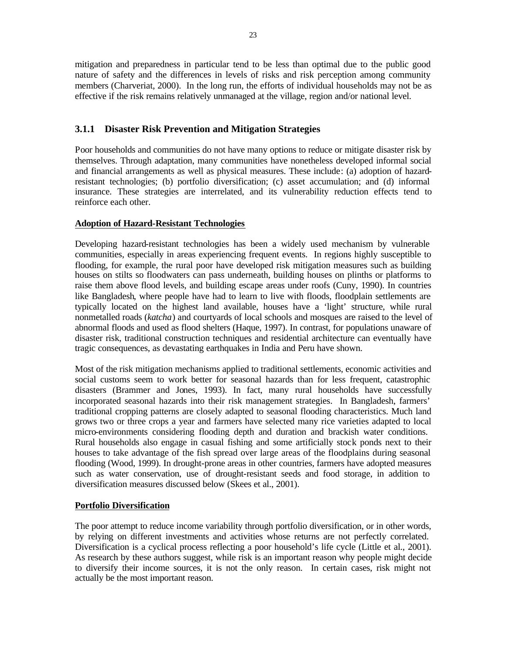mitigation and preparedness in particular tend to be less than optimal due to the public good nature of safety and the differences in levels of risks and risk perception among community members (Charveriat, 2000). In the long run, the efforts of individual households may not be as effective if the risk remains relatively unmanaged at the village, region and/or national level.

## **3.1.1 Disaster Risk Prevention and Mitigation Strategies**

Poor households and communities do not have many options to reduce or mitigate disaster risk by themselves. Through adaptation, many communities have nonetheless developed informal social and financial arrangements as well as physical measures. These include: (a) adoption of hazardresistant technologies; (b) portfolio diversification; (c) asset accumulation; and (d) informal insurance. These strategies are interrelated, and its vulnerability reduction effects tend to reinforce each other.

## **Adoption of Hazard-Resistant Technologies**

Developing hazard-resistant technologies has been a widely used mechanism by vulnerable communities, especially in areas experiencing frequent events. In regions highly susceptible to flooding, for example, the rural poor have developed risk mitigation measures such as building houses on stilts so floodwaters can pass underneath, building houses on plinths or platforms to raise them above flood levels, and building escape areas under roofs (Cuny, 1990). In countries like Bangladesh, where people have had to learn to live with floods, floodplain settlements are typically located on the highest land available, houses have a 'light' structure, while rural nonmetalled roads (*katcha*) and courtyards of local schools and mosques are raised to the level of abnormal floods and used as flood shelters (Haque, 1997). In contrast, for populations unaware of disaster risk, traditional construction techniques and residential architecture can eventually have tragic consequences, as devastating earthquakes in India and Peru have shown.

Most of the risk mitigation mechanisms applied to traditional settlements, economic activities and social customs seem to work better for seasonal hazards than for less frequent, catastrophic disasters (Brammer and Jones, 1993). In fact, many rural households have successfully incorporated seasonal hazards into their risk management strategies. In Bangladesh, farmers' traditional cropping patterns are closely adapted to seasonal flooding characteristics. Much land grows two or three crops a year and farmers have selected many rice varieties adapted to local micro-environments considering flooding depth and duration and brackish water conditions. Rural households also engage in casual fishing and some artificially stock ponds next to their houses to take advantage of the fish spread over large areas of the floodplains during seasonal flooding (Wood, 1999). In drought-prone areas in other countries, farmers have adopted measures such as water conservation, use of drought-resistant seeds and food storage, in addition to diversification measures discussed below (Skees et al., 2001).

#### **Portfolio Diversification**

The poor attempt to reduce income variability through portfolio diversification, or in other words, by relying on different investments and activities whose returns are not perfectly correlated. Diversification is a cyclical process reflecting a poor household's life cycle (Little et al., 2001). As research by these authors suggest, while risk is an important reason why people might decide to diversify their income sources, it is not the only reason. In certain cases, risk might not actually be the most important reason.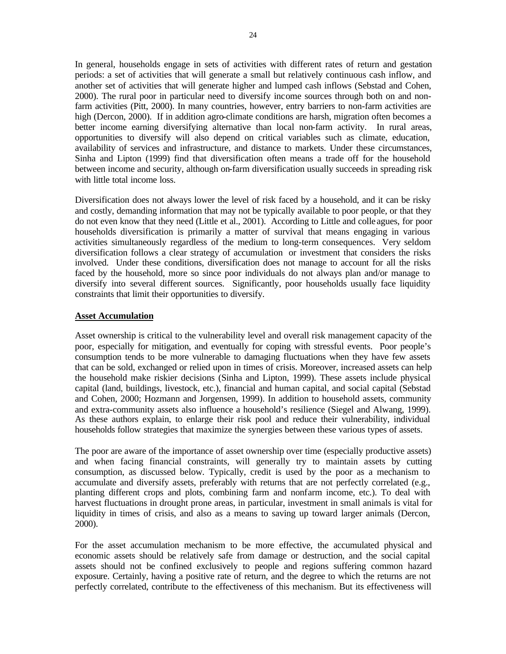In general, households engage in sets of activities with different rates of return and gestation periods: a set of activities that will generate a small but relatively continuous cash inflow, and another set of activities that will generate higher and lumped cash inflows (Sebstad and Cohen, 2000). The rural poor in particular need to diversify income sources through both on and nonfarm activities (Pitt, 2000). In many countries, however, entry barriers to non-farm activities are high (Dercon, 2000). If in addition agro-climate conditions are harsh, migration often becomes a better income earning diversifying alternative than local non-farm activity. In rural areas, opportunities to diversify will also depend on critical variables such as climate, education, availability of services and infrastructure, and distance to markets. Under these circumstances, Sinha and Lipton (1999) find that diversification often means a trade off for the household between income and security, although on-farm diversification usually succeeds in spreading risk with little total income loss.

Diversification does not always lower the level of risk faced by a household, and it can be risky and costly, demanding information that may not be typically available to poor people, or that they do not even know that they need (Little et al., 2001). According to Little and colle agues, for poor households diversification is primarily a matter of survival that means engaging in various activities simultaneously regardless of the medium to long-term consequences. Very seldom diversification follows a clear strategy of accumulation or investment that considers the risks involved. Under these conditions, diversification does not manage to account for all the risks faced by the household, more so since poor individuals do not always plan and/or manage to diversify into several different sources. Significantly, poor households usually face liquidity constraints that limit their opportunities to diversify.

#### **Asset Accumulation**

Asset ownership is critical to the vulnerability level and overall risk management capacity of the poor, especially for mitigation, and eventually for coping with stressful events. Poor people's consumption tends to be more vulnerable to damaging fluctuations when they have few assets that can be sold, exchanged or relied upon in times of crisis. Moreover, increased assets can help the household make riskier decisions (Sinha and Lipton, 1999). These assets include physical capital (land, buildings, livestock, etc.), financial and human capital, and social capital (Sebstad and Cohen, 2000; Hozmann and Jorgensen, 1999). In addition to household assets, community and extra-community assets also influence a household's resilience (Siegel and Alwang, 1999). As these authors explain, to enlarge their risk pool and reduce their vulnerability, individual households follow strategies that maximize the synergies between these various types of assets.

The poor are aware of the importance of asset ownership over time (especially productive assets) and when facing financial constraints, will generally try to maintain assets by cutting consumption, as discussed below. Typically, credit is used by the poor as a mechanism to accumulate and diversify assets, preferably with returns that are not perfectly correlated (e.g., planting different crops and plots, combining farm and nonfarm income, etc.). To deal with harvest fluctuations in drought prone areas, in particular, investment in small animals is vital for liquidity in times of crisis, and also as a means to saving up toward larger animals (Dercon, 2000).

For the asset accumulation mechanism to be more effective, the accumulated physical and economic assets should be relatively safe from damage or destruction, and the social capital assets should not be confined exclusively to people and regions suffering common hazard exposure. Certainly, having a positive rate of return, and the degree to which the returns are not perfectly correlated, contribute to the effectiveness of this mechanism. But its effectiveness will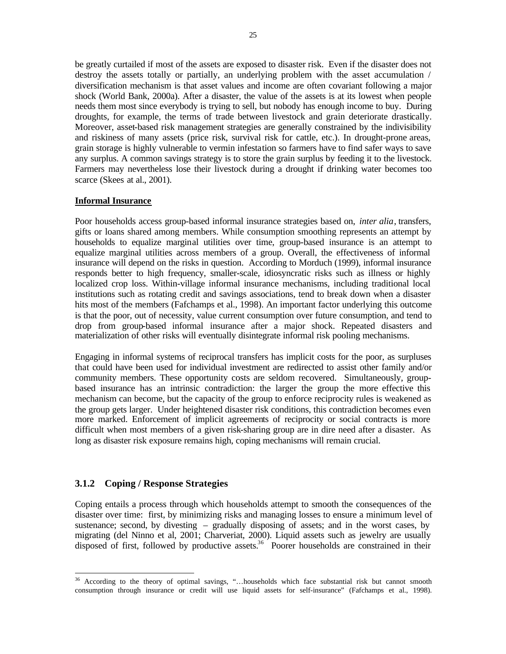be greatly curtailed if most of the assets are exposed to disaster risk. Even if the disaster does not destroy the assets totally or partially, an underlying problem with the asset accumulation / diversification mechanism is that asset values and income are often covariant following a major shock (World Bank, 2000a). After a disaster, the value of the assets is at its lowest when people needs them most since everybody is trying to sell, but nobody has enough income to buy. During droughts, for example, the terms of trade between livestock and grain deteriorate drastically. Moreover, asset-based risk management strategies are generally constrained by the indivisibility and riskiness of many assets (price risk, survival risk for cattle, etc.). In drought-prone areas, grain storage is highly vulnerable to vermin infestation so farmers have to find safer ways to save any surplus. A common savings strategy is to store the grain surplus by feeding it to the livestock. Farmers may nevertheless lose their livestock during a drought if drinking water becomes too scarce (Skees at al., 2001).

#### **Informal Insurance**

Poor households access group-based informal insurance strategies based on, *inter alia*, transfers, gifts or loans shared among members. While consumption smoothing represents an attempt by households to equalize marginal utilities over time, group-based insurance is an attempt to equalize marginal utilities across members of a group. Overall, the effectiveness of informal insurance will depend on the risks in question. According to Morduch (1999), informal insurance responds better to high frequency, smaller-scale, idiosyncratic risks such as illness or highly localized crop loss. Within-village informal insurance mechanisms, including traditional local institutions such as rotating credit and savings associations, tend to break down when a disaster hits most of the members (Fafchamps et al., 1998). An important factor underlying this outcome is that the poor, out of necessity, value current consumption over future consumption, and tend to drop from group-based informal insurance after a major shock. Repeated disasters and materialization of other risks will eventually disintegrate informal risk pooling mechanisms.

Engaging in informal systems of reciprocal transfers has implicit costs for the poor, as surpluses that could have been used for individual investment are redirected to assist other family and/or community members. These opportunity costs are seldom recovered. Simultaneously, groupbased insurance has an intrinsic contradiction: the larger the group the more effective this mechanism can become, but the capacity of the group to enforce reciprocity rules is weakened as the group gets larger. Under heightened disaster risk conditions, this contradiction becomes even more marked. Enforcement of implicit agreements of reciprocity or social contracts is more difficult when most members of a given risk-sharing group are in dire need after a disaster. As long as disaster risk exposure remains high, coping mechanisms will remain crucial.

## **3.1.2 Coping / Response Strategies**

Coping entails a process through which households attempt to smooth the consequences of the disaster over time: first, by minimizing risks and managing losses to ensure a minimum level of sustenance; second, by divesting – gradually disposing of assets; and in the worst cases, by migrating (del Ninno et al, 2001; Charveriat, 2000). Liquid assets such as jewelry are usually disposed of first, followed by productive assets.<sup>36</sup> Poorer households are constrained in their

 $\overline{a}$  $36$  According to the theory of optimal savings, "...households which face substantial risk but cannot smooth consumption through insurance or credit will use liquid assets for self-insurance" (Fafchamps et al., 1998).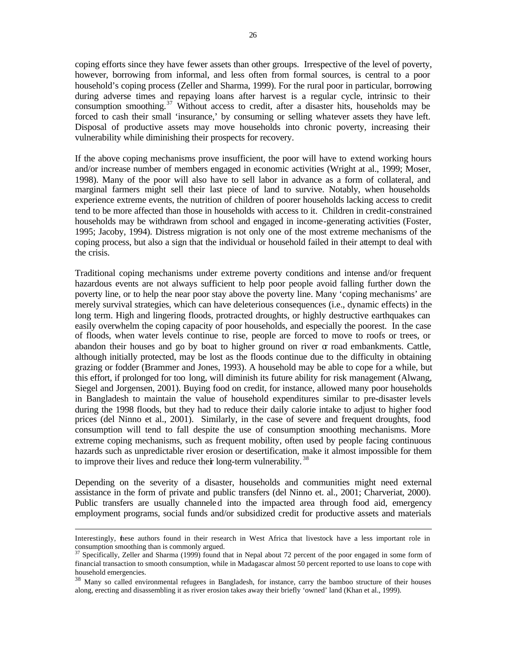coping efforts since they have fewer assets than other groups. Irrespective of the level of poverty, however, borrowing from informal, and less often from formal sources, is central to a poor household's coping process (Zeller and Sharma, 1999). For the rural poor in particular, borrowing during adverse times and repaying loans after harvest is a regular cycle, intrinsic to their consumption smoothing.<sup>37</sup> Without access to credit, after a disaster hits, households may be forced to cash their small 'insurance,' by consuming or selling whatever assets they have left. Disposal of productive assets may move households into chronic poverty, increasing their vulnerability while diminishing their prospects for recovery.

If the above coping mechanisms prove insufficient, the poor will have to extend working hours and/or increase number of members engaged in economic activities (Wright at al., 1999; Moser, 1998). Many of the poor will also have to sell labor in advance as a form of collateral, and marginal farmers might sell their last piece of land to survive. Notably, when households experience extreme events, the nutrition of children of poorer households lacking access to credit tend to be more affected than those in households with access to it. Children in credit-constrained households may be withdrawn from school and engaged in income-generating activities (Foster, 1995; Jacoby, 1994). Distress migration is not only one of the most extreme mechanisms of the coping process, but also a sign that the individual or household failed in their attempt to deal with the crisis.

Traditional coping mechanisms under extreme poverty conditions and intense and/or frequent hazardous events are not always sufficient to help poor people avoid falling further down the poverty line, or to help the near poor stay above the poverty line. Many 'coping mechanisms' are merely survival strategies, which can have deleterious consequences (i.e., dynamic effects) in the long term. High and lingering floods, protracted droughts, or highly destructive earthquakes can easily overwhelm the coping capacity of poor households, and especially the poorest. In the case of floods, when water levels continue to rise, people are forced to move to roofs or trees, or abandon their houses and go by boat to higher ground on river  $\alpha$  road embankments. Cattle, although initially protected, may be lost as the floods continue due to the difficulty in obtaining grazing or fodder (Brammer and Jones, 1993). A household may be able to cope for a while, but this effort, if prolonged for too long, will diminish its future ability for risk management (Alwang, Siegel and Jorgensen, 2001). Buying food on credit, for instance, allowed many poor households in Bangladesh to maintain the value of household expenditures similar to pre-disaster levels during the 1998 floods, but they had to reduce their daily calorie intake to adjust to higher food prices (del Ninno et al., 2001). Similarly, in the case of severe and frequent droughts, food consumption will tend to fall despite the use of consumption smoothing mechanisms. More extreme coping mechanisms, such as frequent mobility, often used by people facing continuous hazards such as unpredictable river erosion or desertification, make it almost impossible for them to improve their lives and reduce their long-term vulnerability.<sup>38</sup>

Depending on the severity of a disaster, households and communities might need external assistance in the form of private and public transfers (del Ninno et. al., 2001; Charveriat, 2000). Public transfers are usually channeled into the impacted area through food aid, emergency employment programs, social funds and/or subsidized credit for productive assets and materials

Interestingly, these authors found in their research in West Africa that livestock have a less important role in consumption smoothing than is commonly argued.

<sup>37</sup> Specifically, Zeller and Sharma (1999) found that in Nepal about 72 percent of the poor engaged in some form of financial transaction to smooth consumption, while in Madagascar almost 50 percent reported to use loans to cope with household emergencies.

<sup>&</sup>lt;sup>38</sup> Many so called environmental refugees in Bangladesh, for instance, carry the bamboo structure of their houses along, erecting and disassembling it as river erosion takes away their briefly 'owned' land (Khan et al., 1999).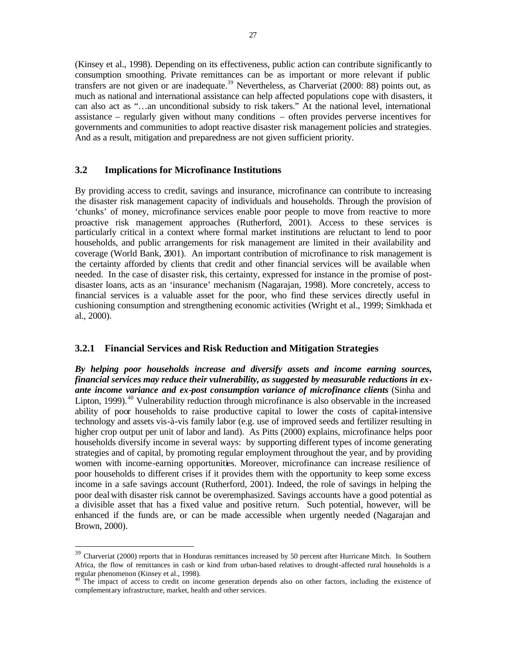(Kinsey et al., 1998). Depending on its effectiveness, public action can contribute significantly to consumption smoothing. Private remittances can be as important or more relevant if public transfers are not given or are inadequate.<sup>39</sup> Nevertheless, as Charveriat (2000: 88) points out, as much as national and international assistance can help affected populations cope with disasters, it can also act as "…an unconditional subsidy to risk takers." At the national level, international assistance – regularly given without many conditions – often provides perverse incentives for governments and communities to adopt reactive disaster risk management policies and strategies. And as a result, mitigation and preparedness are not given sufficient priority.

## **3.2 Implications for Microfinance Institutions**

 $\overline{a}$ 

By providing access to credit, savings and insurance, microfinance can contribute to increasing the disaster risk management capacity of individuals and households. Through the provision of 'chunks' of money, microfinance services enable poor people to move from reactive to more proactive risk management approaches (Rutherford, 2001). Access to these services is particularly critical in a context where formal market institutions are reluctant to lend to poor households, and public arrangements for risk management are limited in their availability and coverage (World Bank, 2001). An important contribution of microfinance to risk management is the certainty afforded by clients that credit and other financial services will be available when needed. In the case of disaster risk, this certainty, expressed for instance in the promise of postdisaster loans, acts as an 'insurance' mechanism (Nagarajan, 1998). More concretely, access to financial services is a valuable asset for the poor, who find these services directly useful in cushioning consumption and strengthening economic activities (Wright et al., 1999; Simkhada et al., 2000).

#### **3.2.1 Financial Services and Risk Reduction and Mitigation Strategies**

*By helping poor households increase and diversify assets and income earning sources, financial services may reduce their vulnerability, as suggested by measurable reductions in exante income variance and ex-post consumption variance of microfinance clients* (Sinha and Lipton, 1999).<sup>40</sup> Vulnerability reduction through microfinance is also observable in the increased ability of poor households to raise productive capital to lower the costs of capital-intensive technology and assets vis-à-vis family labor (e.g. use of improved seeds and fertilizer resulting in higher crop output per unit of labor and land). As Pitts (2000) explains, microfinance helps poor households diversify income in several ways: by supporting different types of income generating strategies and of capital, by promoting regular employment throughout the year, and by providing women with income-earning opportunities. Moreover, microfinance can increase resilience of poor households to different crises if it provides them with the opportunity to keep some excess income in a safe savings account (Rutherford, 2001). Indeed, the role of savings in helping the poor deal with disaster risk cannot be overemphasized. Savings accounts have a good potential as a divisible asset that has a fixed value and positive return. Such potential, however, will be enhanced if the funds are, or can be made accessible when urgently needed (Nagarajan and Brown, 2000).

 $39$  Charveriat (2000) reports that in Honduras remittances increased by 50 percent after Hurricane Mitch. In Southern Africa, the flow of remittances in cash or kind from urban-based relatives to drought-affected rural households is a regular phenomenon (Kinsey et al., 1998).

<sup>&</sup>lt;sup>40</sup> The impact of access to credit on income generation depends also on other factors, including the existence of complementary infrastructure, market, health and other services.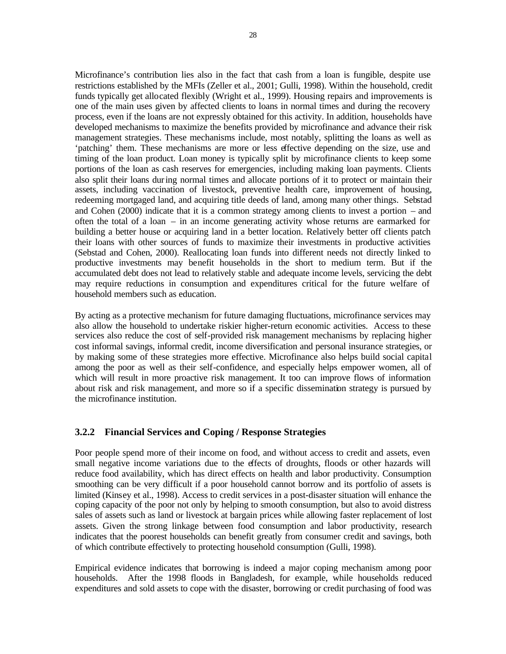Microfinance's contribution lies also in the fact that cash from a loan is fungible, despite use restrictions established by the MFIs (Zeller et al., 2001; Gulli, 1998). Within the household, credit funds typically get allocated flexibly (Wright et al., 1999). Housing repairs and improvements is one of the main uses given by affected clients to loans in normal times and during the recovery process, even if the loans are not expressly obtained for this activity. In addition, households have developed mechanisms to maximize the benefits provided by microfinance and advance their risk management strategies. These mechanisms include, most notably, splitting the loans as well as 'patching' them. These mechanisms are more or less effective depending on the size, use and timing of the loan product. Loan money is typically split by microfinance clients to keep some portions of the loan as cash reserves for emergencies, including making loan payments. Clients also split their loans during normal times and allocate portions of it to protect or maintain their assets, including vaccination of livestock, preventive health care, improvement of housing, redeeming mortgaged land, and acquiring title deeds of land, among many other things. Sebstad and Cohen (2000) indicate that it is a common strategy among clients to invest a portion – and often the total of a loan – in an income generating activity whose returns are earmarked for building a better house or acquiring land in a better location. Relatively better off clients patch their loans with other sources of funds to maximize their investments in productive activities (Sebstad and Cohen, 2000). Reallocating loan funds into different needs not directly linked to productive investments may benefit households in the short to medium term. But if the accumulated debt does not lead to relatively stable and adequate income levels, servicing the debt may require reductions in consumption and expenditures critical for the future welfare of household members such as education.

By acting as a protective mechanism for future damaging fluctuations, microfinance services may also allow the household to undertake riskier higher-return economic activities. Access to these services also reduce the cost of self-provided risk management mechanisms by replacing higher cost informal savings, informal credit, income diversification and personal insurance strategies, or by making some of these strategies more effective. Microfinance also helps build social capital among the poor as well as their self-confidence, and especially helps empower women, all of which will result in more proactive risk management. It too can improve flows of information about risk and risk management, and more so if a specific dissemination strategy is pursued by the microfinance institution.

## **3.2.2 Financial Services and Coping / Response Strategies**

Poor people spend more of their income on food, and without access to credit and assets, even small negative income variations due to the effects of droughts, floods or other hazards will reduce food availability, which has direct effects on health and labor productivity. Consumption smoothing can be very difficult if a poor household cannot borrow and its portfolio of assets is limited (Kinsey et al., 1998). Access to credit services in a post-disaster situation will enhance the coping capacity of the poor not only by helping to smooth consumption, but also to avoid distress sales of assets such as land or livestock at bargain prices while allowing faster replacement of lost assets. Given the strong linkage between food consumption and labor productivity, research indicates that the poorest households can benefit greatly from consumer credit and savings, both of which contribute effectively to protecting household consumption (Gulli, 1998).

Empirical evidence indicates that borrowing is indeed a major coping mechanism among poor households. After the 1998 floods in Bangladesh, for example, while households reduced expenditures and sold assets to cope with the disaster, borrowing or credit purchasing of food was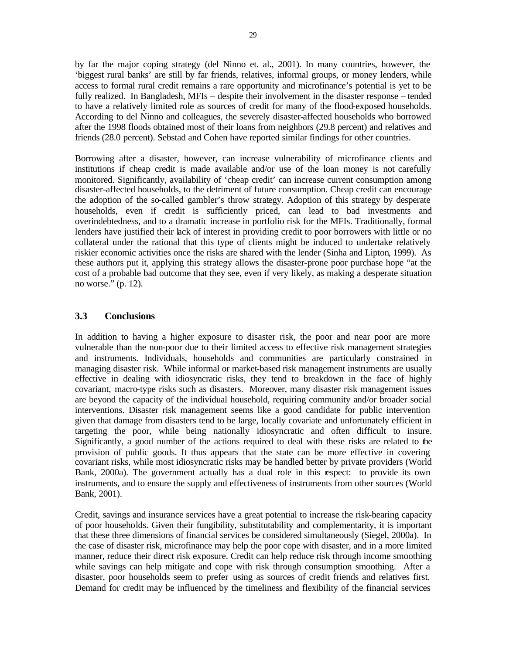by far the major coping strategy (del Ninno et. al., 2001). In many countries, however, the 'biggest rural banks' are still by far friends, relatives, informal groups, or money lenders, while access to formal rural credit remains a rare opportunity and microfinance's potential is yet to be fully realized. In Bangladesh, MFIs – despite their involvement in the disaster response – tended to have a relatively limited role as sources of credit for many of the flood-exposed households. According to del Ninno and colleagues, the severely disaster-affected households who borrowed after the 1998 floods obtained most of their loans from neighbors (29.8 percent) and relatives and friends (28.0 percent). Sebstad and Cohen have reported similar findings for other countries.

Borrowing after a disaster, however, can increase vulnerability of microfinance clients and institutions if cheap credit is made available and/or use of the loan money is not carefully monitored. Significantly, availability of 'cheap credit' can increase current consumption among disaster-affected households, to the detriment of future consumption. Cheap credit can encourage the adoption of the so-called gambler's throw strategy. Adoption of this strategy by desperate households, even if credit is sufficiently priced, can lead to bad investments and overindebtedness, and to a dramatic increase in portfolio risk for the MFIs. Traditionally, formal lenders have justified their lack of interest in providing credit to poor borrowers with little or no collateral under the rational that this type of clients might be induced to undertake relatively riskier economic activities once the risks are shared with the lender (Sinha and Lipton, 1999). As these authors put it, applying this strategy allows the disaster-prone poor purchase hope "at the cost of a probable bad outcome that they see, even if very likely, as making a desperate situation no worse." (p. 12).

## **3.3 Conclusions**

In addition to having a higher exposure to disaster risk, the poor and near poor are more vulnerable than the non-poor due to their limited access to effective risk management strategies and instruments. Individuals, households and communities are particularly constrained in managing disaster risk. While informal or market-based risk management instruments are usually effective in dealing with idiosyncratic risks, they tend to breakdown in the face of highly covariant, macro-type risks such as disasters. Moreover, many disaster risk management issues are beyond the capacity of the individual household, requiring community and/or broader social interventions. Disaster risk management seems like a good candidate for public intervention given that damage from disasters tend to be large, locally covariate and unfortunately efficient in targeting the poor, while being nationally idiosyncratic and often difficult to insure. Significantly, a good number of the actions required to deal with these risks are related to the provision of public goods. It thus appears that the state can be more effective in covering covariant risks, while most idiosyncratic risks may be handled better by private providers (World Bank, 2000a). The government actually has a dual role in this respect: to provide its own instruments, and to ensure the supply and effectiveness of instruments from other sources (World Bank, 2001).

Credit, savings and insurance services have a great potential to increase the risk-bearing capacity of poor households. Given their fungibility, substitutability and complementarity, it is important that these three dimensions of financial services be considered simultaneously (Siegel, 2000a). In the case of disaster risk, microfinance may help the poor cope with disaster, and in a more limited manner, reduce their direct risk exposure. Credit can help reduce risk through income smoothing while savings can help mitigate and cope with risk through consumption smoothing. After a disaster, poor households seem to prefer using as sources of credit friends and relatives first. Demand for credit may be influenced by the timeliness and flexibility of the financial services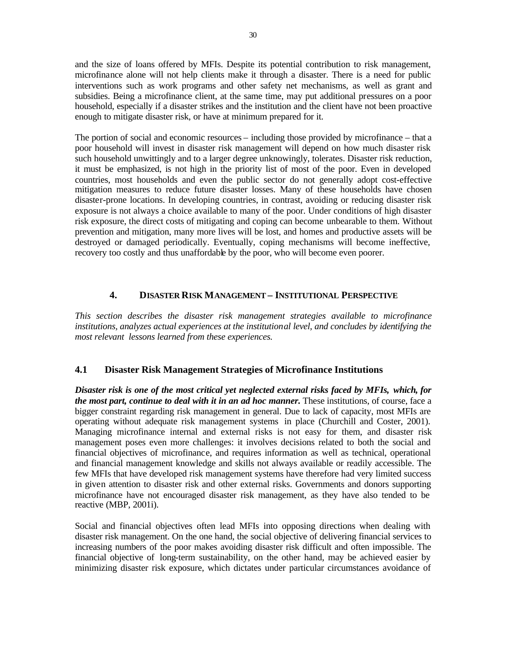and the size of loans offered by MFIs. Despite its potential contribution to risk management, microfinance alone will not help clients make it through a disaster. There is a need for public interventions such as work programs and other safety net mechanisms, as well as grant and subsidies. Being a microfinance client, at the same time, may put additional pressures on a poor household, especially if a disaster strikes and the institution and the client have not been proactive enough to mitigate disaster risk, or have at minimum prepared for it.

The portion of social and economic resources – including those provided by microfinance – that a poor household will invest in disaster risk management will depend on how much disaster risk such household unwittingly and to a larger degree unknowingly, tolerates. Disaster risk reduction, it must be emphasized, is not high in the priority list of most of the poor. Even in developed countries, most households and even the public sector do not generally adopt cost-effective mitigation measures to reduce future disaster losses. Many of these households have chosen disaster-prone locations. In developing countries, in contrast, avoiding or reducing disaster risk exposure is not always a choice available to many of the poor. Under conditions of high disaster risk exposure, the direct costs of mitigating and coping can become unbearable to them. Without prevention and mitigation, many more lives will be lost, and homes and productive assets will be destroyed or damaged periodically. Eventually, coping mechanisms will become ineffective, recovery too costly and thus unaffordable by the poor, who will become even poorer.

## **4. DISASTER RISK MANAGEMENT – INSTITUTIONAL PERSPECTIVE**

*This section describes the disaster risk management strategies available to microfinance institutions, analyzes actual experiences at the institutional level, and concludes by identifying the most relevant lessons learned from these experiences.*

## **4.1 Disaster Risk Management Strategies of Microfinance Institutions**

*Disaster risk is one of the most critical yet neglected external risks faced by MFIs, which, for the most part, continue to deal with it in an ad hoc manner.* These institutions, of course, face a bigger constraint regarding risk management in general. Due to lack of capacity, most MFIs are operating without adequate risk management systems in place (Churchill and Coster, 2001). Managing microfinance internal and external risks is not easy for them, and disaster risk management poses even more challenges: it involves decisions related to both the social and financial objectives of microfinance, and requires information as well as technical, operational and financial management knowledge and skills not always available or readily accessible. The few MFIs that have developed risk management systems have therefore had very limited success in given attention to disaster risk and other external risks. Governments and donors supporting microfinance have not encouraged disaster risk management, as they have also tended to be reactive (MBP, 2001i).

Social and financial objectives often lead MFIs into opposing directions when dealing with disaster risk management. On the one hand, the social objective of delivering financial services to increasing numbers of the poor makes avoiding disaster risk difficult and often impossible. The financial objective of long-term sustainability, on the other hand, may be achieved easier by minimizing disaster risk exposure, which dictates under particular circumstances avoidance of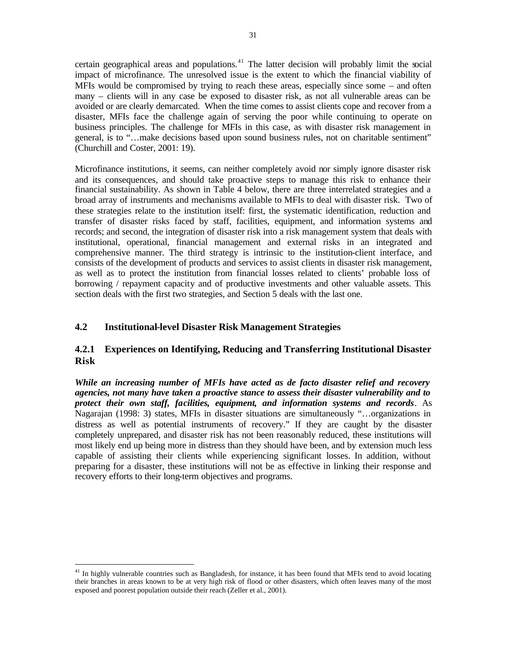certain geographical areas and populations.<sup>41</sup> The latter decision will probably limit the social impact of microfinance. The unresolved issue is the extent to which the financial viability of MFIs would be compromised by trying to reach these areas, especially since some – and often many – clients will in any case be exposed to disaster risk, as not all vulnerable areas can be avoided or are clearly demarcated. When the time comes to assist clients cope and recover from a disaster, MFIs face the challenge again of serving the poor while continuing to operate on business principles. The challenge for MFIs in this case, as with disaster risk management in general, is to "…make decisions based upon sound business rules, not on charitable sentiment" (Churchill and Coster, 2001: 19).

Microfinance institutions, it seems, can neither completely avoid nor simply ignore disaster risk and its consequences, and should take proactive steps to manage this risk to enhance their financial sustainability. As shown in Table 4 below, there are three interrelated strategies and a broad array of instruments and mechanisms available to MFIs to deal with disaster risk. Two of these strategies relate to the institution itself: first, the systematic identification, reduction and transfer of disaster risks faced by staff, facilities, equipment, and information systems and records; and second, the integration of disaster risk into a risk management system that deals with institutional, operational, financial management and external risks in an integrated and comprehensive manner. The third strategy is intrinsic to the institution-client interface, and consists of the development of products and services to assist clients in disaster risk management, as well as to protect the institution from financial losses related to clients' probable loss of borrowing / repayment capacity and of productive investments and other valuable assets. This section deals with the first two strategies, and Section 5 deals with the last one.

## **4.2 Institutional-level Disaster Risk Management Strategies**

 $\overline{a}$ 

## **4.2.1 Experiences on Identifying, Reducing and Transferring Institutional Disaster Risk**

*While an increasing number of MFIs have acted as de facto disaster relief and recovery agencies, not many have taken a proactive stance to assess their disaster vulnerability and to protect their own staff, facilities, equipment, and information systems and records*. As Nagarajan (1998: 3) states, MFIs in disaster situations are simultaneously "…organizations in distress as well as potential instruments of recovery." If they are caught by the disaster completely unprepared, and disaster risk has not been reasonably reduced, these institutions will most likely end up being more in distress than they should have been, and by extension much less capable of assisting their clients while experiencing significant losses. In addition, without preparing for a disaster, these institutions will not be as effective in linking their response and recovery efforts to their long-term objectives and programs.

 $41$  In highly vulnerable countries such as Bangladesh, for instance, it has been found that MFIs tend to avoid locating their branches in areas known to be at very high risk of flood or other disasters, which often leaves many of the most exposed and poorest population outside their reach (Zeller et al., 2001).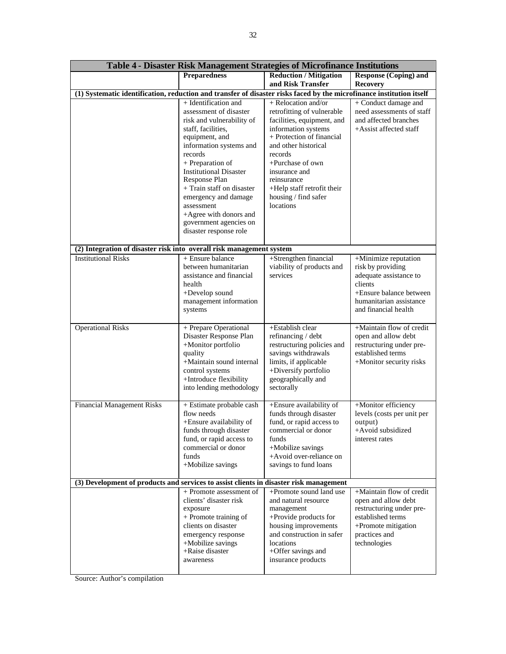| Table 4 - Disaster Risk Management Strategies of Microfinance Institutions                                           |                                                                                                                                                                                                                                 |                                                                                                                                                                                                                            |                                                                                                                                                              |  |  |
|----------------------------------------------------------------------------------------------------------------------|---------------------------------------------------------------------------------------------------------------------------------------------------------------------------------------------------------------------------------|----------------------------------------------------------------------------------------------------------------------------------------------------------------------------------------------------------------------------|--------------------------------------------------------------------------------------------------------------------------------------------------------------|--|--|
|                                                                                                                      | <b>Preparedness</b>                                                                                                                                                                                                             | <b>Reduction / Mitigation</b>                                                                                                                                                                                              | <b>Response (Coping) and</b>                                                                                                                                 |  |  |
|                                                                                                                      |                                                                                                                                                                                                                                 | and Risk Transfer                                                                                                                                                                                                          | <b>Recovery</b>                                                                                                                                              |  |  |
| (1) Systematic identification, reduction and transfer of disaster risks faced by the microfinance institution itself |                                                                                                                                                                                                                                 |                                                                                                                                                                                                                            |                                                                                                                                                              |  |  |
|                                                                                                                      | + Identification and<br>assessment of disaster<br>risk and vulnerability of<br>staff, facilities,<br>equipment, and<br>information systems and<br>records<br>+ Preparation of<br><b>Institutional Disaster</b><br>Response Plan | + Relocation and/or<br>retrofitting of vulnerable<br>facilities, equipment, and<br>information systems<br>+ Protection of financial<br>and other historical<br>records<br>+Purchase of own<br>insurance and<br>reinsurance | + Conduct damage and<br>need assessments of staff<br>and affected branches<br>+Assist affected staff                                                         |  |  |
|                                                                                                                      | + Train staff on disaster<br>emergency and damage<br>assessment<br>+Agree with donors and<br>government agencies on<br>disaster response role                                                                                   | +Help staff retrofit their<br>housing / find safer<br>locations                                                                                                                                                            |                                                                                                                                                              |  |  |
| (2) Integration of disaster risk into overall risk management system                                                 |                                                                                                                                                                                                                                 |                                                                                                                                                                                                                            |                                                                                                                                                              |  |  |
| <b>Institutional Risks</b>                                                                                           | + Ensure balance<br>between humanitarian<br>assistance and financial<br>health<br>+Develop sound<br>management information<br>systems                                                                                           | +Strengthen financial<br>viability of products and<br>services                                                                                                                                                             | +Minimize reputation<br>risk by providing<br>adequate assistance to<br>clients<br>+Ensure balance between<br>humanitarian assistance<br>and financial health |  |  |
| <b>Operational Risks</b>                                                                                             | + Prepare Operational<br>Disaster Response Plan<br>+Monitor portfolio<br>quality<br>+Maintain sound internal<br>control systems<br>+Introduce flexibility<br>into lending methodology                                           | +Establish clear<br>refinancing / debt<br>restructuring policies and<br>savings withdrawals<br>limits, if applicable<br>+Diversify portfolio<br>geographically and<br>sectorally                                           | +Maintain flow of credit<br>open and allow debt<br>restructuring under pre-<br>established terms<br>+Monitor security risks                                  |  |  |
| <b>Financial Management Risks</b>                                                                                    | + Estimate probable cash<br>flow needs<br>+Ensure availability of<br>funds through disaster<br>fund, or rapid access to<br>commercial or donor<br>funds<br>+Mobilize savings                                                    | +Ensure availability of<br>funds through disaster<br>fund, or rapid access to<br>commercial or donor<br>funds<br>+Mobilize savings<br>+Avoid over-reliance on<br>savings to fund loans                                     | +Monitor efficiency<br>levels (costs per unit per<br>output)<br>+Avoid subsidized<br>interest rates                                                          |  |  |
|                                                                                                                      | (3) Development of products and services to assist clients in disaster risk management                                                                                                                                          |                                                                                                                                                                                                                            |                                                                                                                                                              |  |  |
|                                                                                                                      | + Promote assessment of<br>clients' disaster risk<br>exposure<br>+ Promote training of<br>clients on disaster<br>emergency response<br>+Mobilize savings<br>+Raise disaster<br>awareness                                        | +Promote sound land use<br>and natural resource<br>management<br>+Provide products for<br>housing improvements<br>and construction in safer<br>locations<br>+Offer savings and<br>insurance products                       | +Maintain flow of credit<br>open and allow debt<br>restructuring under pre-<br>established terms<br>+Promote mitigation<br>practices and<br>technologies     |  |  |

Source: Author's compilation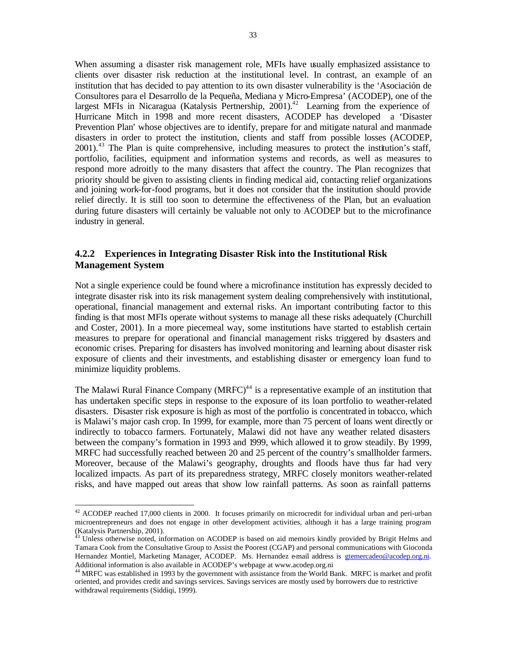When assuming a disaster risk management role, MFIs have usually emphasized assistance to clients over disaster risk reduction at the institutional level. In contrast, an example of an institution that has decided to pay attention to its own disaster vulnerability is the 'Asociación de Consultores para el Desarrollo de la Pequeña, Mediana y Micro-Empresa' (ACODEP), one of the largest MFIs in Nicaragua (Katalysis Pertnership,  $2001$ )<sup>42</sup> Learning from the experience of Hurricane Mitch in 1998 and more recent disasters, ACODEP has developed a 'Disaster Prevention Plan' whose objectives are to identify, prepare for and mitigate natural and manmade disasters in order to protect the institution, clients and staff from possible losses (ACODEP, 2001).<sup>43</sup> The Plan is quite comprehensive, including measures to protect the institution's staff, portfolio, facilities, equipment and information systems and records, as well as measures to respond more adroitly to the many disasters that affect the country. The Plan recognizes that priority should be given to assisting clients in finding medical aid, contacting relief organizations and joining work-for-food programs, but it does not consider that the institution should provide relief directly. It is still too soon to determine the effectiveness of the Plan, but an evaluation during future disasters will certainly be valuable not only to ACODEP but to the microfinance industry in general.

# **4.2.2 Experiences in Integrating Disaster Risk into the Institutional Risk Management System**

Not a single experience could be found where a microfinance institution has expressly decided to integrate disaster risk into its risk management system dealing comprehensively with institutional, operational, financial management and external risks. An important contributing factor to this finding is that most MFIs operate without systems to manage all these risks adequately (Churchill and Coster, 2001). In a more piecemeal way, some institutions have started to establish certain measures to prepare for operational and financial management risks triggered by disasters and economic crises. Preparing for disasters has involved monitoring and learning about disaster risk exposure of clients and their investments, and establishing disaster or emergency loan fund to minimize liquidity problems.

The Malawi Rural Finance Company (MRFC)<sup> $44$ </sup> is a representative example of an institution that has undertaken specific steps in response to the exposure of its loan portfolio to weather-related disasters. Disaster risk exposure is high as most of the portfolio is concentrated in tobacco, which is Malawi's major cash crop. In 1999, for example, more than 75 percent of loans went directly or indirectly to tobacco farmers. Fortunately, Malawi did not have any weather related disasters between the company's formation in 1993 and 1999, which allowed it to grow steadily. By 1999, MRFC had successfully reached between 20 and 25 percent of the country's smallholder farmers. Moreover, because of the Malawi's geography, droughts and floods have thus far had very localized impacts. As part of its preparedness strategy, MRFC closely monitors weather-related risks, and have mapped out areas that show low rainfall patterns. As soon as rainfall patterns

 $42$  ACODEP reached 17,000 clients in 2000. It focuses primarily on microcredit for individual urban and peri-urban microentrepreneurs and does not engage in other development activities, although it has a large training program (Katalysis Partnership, 2001).

 $43$  Unless otherwise noted, information on ACODEP is based on aid memoirs kindly provided by Brigit Helms and Tamara Cook from the Consultative Group to Assist the Poorest (CGAP) and personal communications with Gioconda Hernandez Montiel, Marketing Manager, ACODEP. Ms. Hernandez e-mail address is gtemercadeo@acodep.org.ni. Additional information is also available in ACODEP's webpage at www.acodep.org.ni

<sup>&</sup>lt;sup>44</sup> MRFC was established in 1993 by the government with assistance from the World Bank. MRFC is market and profit oriented, and provides credit and savings services. Savings services are mostly used by borrowers due to restrictive withdrawal requirements (Siddiqi, 1999).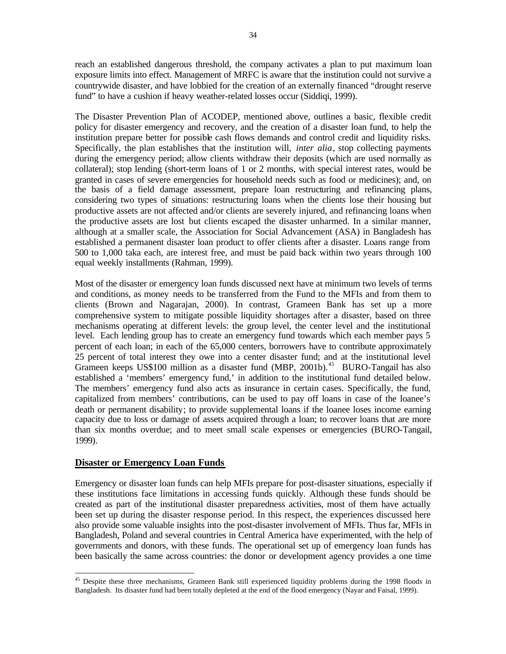reach an established dangerous threshold, the company activates a plan to put maximum loan exposure limits into effect. Management of MRFC is aware that the institution could not survive a countrywide disaster, and have lobbied for the creation of an externally financed "drought reserve fund" to have a cushion if heavy weather-related losses occur (Siddiqi, 1999).

The Disaster Prevention Plan of ACODEP, mentioned above, outlines a basic, flexible credit policy for disaster emergency and recovery, and the creation of a disaster loan fund, to help the institution prepare better for possible cash flows demands and control credit and liquidity risks. Specifically, the plan establishes that the institution will, *inter alia*, stop collecting payments during the emergency period; allow clients withdraw their deposits (which are used normally as collateral); stop lending (short-term loans of 1 or 2 months, with special interest rates, would be granted in cases of severe emergencies for household needs such as food or medicines); and, on the basis of a field damage assessment, prepare loan restructuring and refinancing plans, considering two types of situations: restructuring loans when the clients lose their housing but productive assets are not affected and/or clients are severely injured, and refinancing loans when the productive assets are lost but clients escaped the disaster unharmed. In a similar manner, although at a smaller scale, the Association for Social Advancement (ASA) in Bangladesh has established a permanent disaster loan product to offer clients after a disaster. Loans range from 500 to 1,000 taka each, are interest free, and must be paid back within two years through 100 equal weekly installments (Rahman, 1999).

Most of the disaster or emergency loan funds discussed next have at minimum two levels of terms and conditions, as money needs to be transferred from the Fund to the MFIs and from them to clients (Brown and Nagarajan, 2000). In contrast, Grameen Bank has set up a more comprehensive system to mitigate possible liquidity shortages after a disaster, based on three mechanisms operating at different levels: the group level, the center level and the institutional level. Each lending group has to create an emergency fund towards which each member pays 5 percent of each loan; in each of the 65,000 centers, borrowers have to contribute approximately 25 percent of total interest they owe into a center disaster fund; and at the institutional level Grameen keeps US\$100 million as a disaster fund (MBP, 2001b).<sup>45</sup> BURO-Tangail has also established a 'members' emergency fund,' in addition to the institutional fund detailed below. The members' emergency fund also acts as insurance in certain cases. Specifically, the fund, capitalized from members' contributions, can be used to pay off loans in case of the loanee's death or permanent disability; to provide supplemental loans if the loanee loses income earning capacity due to loss or damage of assets acquired through a loan; to recover loans that are more than six months overdue; and to meet small scale expenses or emergencies (BURO-Tangail, 1999).

## **Disaster or Emergency Loan Funds**

Emergency or disaster loan funds can help MFIs prepare for post-disaster situations, especially if these institutions face limitations in accessing funds quickly. Although these funds should be created as part of the institutional disaster preparedness activities, most of them have actually been set up during the disaster response period. In this respect, the experiences discussed here also provide some valuable insights into the post-disaster involvement of MFIs. Thus far, MFIs in Bangladesh, Poland and several countries in Central America have experimented, with the help of governments and donors, with these funds. The operational set up of emergency loan funds has been basically the same across countries: the donor or development agency provides a one time

 $\overline{a}$ <sup>45</sup> Despite these three mechanisms, Grameen Bank still experienced liquidity problems during the 1998 floods in Bangladesh. Its disaster fund had been totally depleted at the end of the flood emergency (Nayar and Faisal, 1999).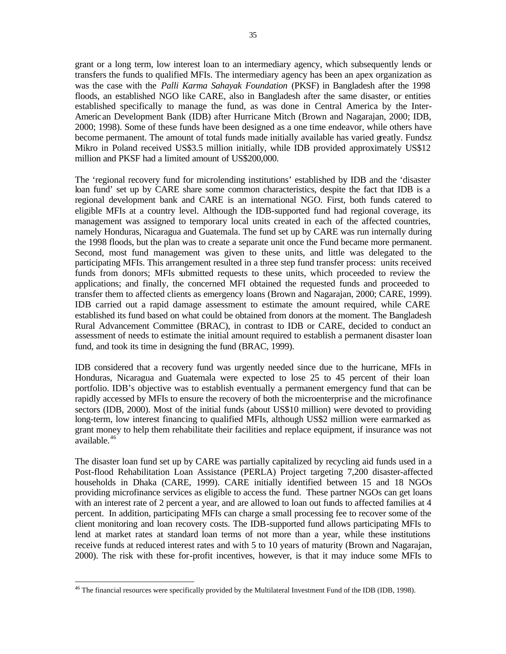grant or a long term, low interest loan to an intermediary agency, which subsequently lends or transfers the funds to qualified MFIs. The intermediary agency has been an apex organization as was the case with the *Palli Karma Sahayak Foundation* (PKSF) in Bangladesh after the 1998 floods, an established NGO like CARE, also in Bangladesh after the same disaster, or entities established specifically to manage the fund, as was done in Central America by the Inter-American Development Bank (IDB) after Hurricane Mitch (Brown and Nagarajan, 2000; IDB, 2000; 1998). Some of these funds have been designed as a one time endeavor, while others have become permanent. The amount of total funds made initially available has varied greatly. Fundsz Mikro in Poland received US\$3.5 million initially, while IDB provided approximately US\$12 million and PKSF had a limited amount of US\$200,000.

The 'regional recovery fund for microlending institutions' established by IDB and the 'disaster loan fund' set up by CARE share some common characteristics, despite the fact that IDB is a regional development bank and CARE is an international NGO. First, both funds catered to eligible MFIs at a country level. Although the IDB-supported fund had regional coverage, its management was assigned to temporary local units created in each of the affected countries, namely Honduras, Nicaragua and Guatemala. The fund set up by CARE was run internally during the 1998 floods, but the plan was to create a separate unit once the Fund became more permanent. Second, most fund management was given to these units, and little was delegated to the participating MFIs. This arrangement resulted in a three step fund transfer process: units received funds from donors; MFIs submitted requests to these units, which proceeded to review the applications; and finally, the concerned MFI obtained the requested funds and proceeded to transfer them to affected clients as emergency loans (Brown and Nagarajan, 2000; CARE, 1999). IDB carried out a rapid damage assessment to estimate the amount required, while CARE established its fund based on what could be obtained from donors at the moment. The Bangladesh Rural Advancement Committee (BRAC), in contrast to IDB or CARE, decided to conduct an assessment of needs to estimate the initial amount required to establish a permanent disaster loan fund, and took its time in designing the fund (BRAC, 1999).

IDB considered that a recovery fund was urgently needed since due to the hurricane, MFIs in Honduras, Nicaragua and Guatemala were expected to lose 25 to 45 percent of their loan portfolio. IDB's objective was to establish eventually a permanent emergency fund that can be rapidly accessed by MFIs to ensure the recovery of both the microenterprise and the microfinance sectors (IDB, 2000). Most of the initial funds (about US\$10 million) were devoted to providing long-term, low interest financing to qualified MFIs, although US\$2 million were earmarked as grant money to help them rehabilitate their facilities and replace equipment, if insurance was not available.<sup>46</sup>

The disaster loan fund set up by CARE was partially capitalized by recycling aid funds used in a Post-flood Rehabilitation Loan Assistance (PERLA) Project targeting 7,200 disaster-affected households in Dhaka (CARE, 1999). CARE initially identified between 15 and 18 NGOs providing microfinance services as eligible to access the fund. These partner NGOs can get loans with an interest rate of 2 percent a year, and are allowed to loan out funds to affected families at 4 percent. In addition, participating MFIs can charge a small processing fee to recover some of the client monitoring and loan recovery costs. The IDB-supported fund allows participating MFIs to lend at market rates at standard loan terms of not more than a year, while these institutions receive funds at reduced interest rates and with 5 to 10 years of maturity (Brown and Nagarajan, 2000). The risk with these for-profit incentives, however, is that it may induce some MFIs to

 $\overline{a}$ <sup>46</sup> The financial resources were specifically provided by the Multilateral Investment Fund of the IDB (IDB, 1998).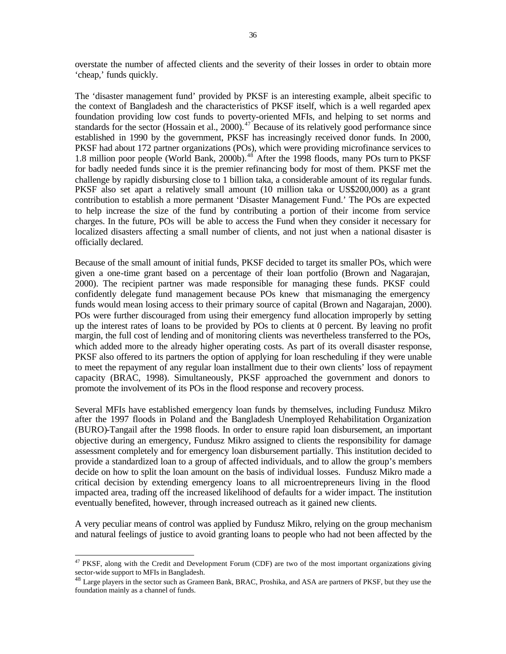overstate the number of affected clients and the severity of their losses in order to obtain more 'cheap,' funds quickly.

The 'disaster management fund' provided by PKSF is an interesting example, albeit specific to the context of Bangladesh and the characteristics of PKSF itself, which is a well regarded apex foundation providing low cost funds to poverty-oriented MFIs, and helping to set norms and standards for the sector (Hossain et al., 2000).<sup>47</sup> Because of its relatively good performance since established in 1990 by the government, PKSF has increasingly received donor funds. In 2000, PKSF had about 172 partner organizations (POs), which were providing microfinance services to 1.8 million poor people (World Bank, 2000b).<sup>48</sup> After the 1998 floods, many POs turn to PKSF for badly needed funds since it is the premier refinancing body for most of them. PKSF met the challenge by rapidly disbursing close to 1 billion taka, a considerable amount of its regular funds. PKSF also set apart a relatively small amount (10 million taka or US\$200,000) as a grant contribution to establish a more permanent 'Disaster Management Fund.' The POs are expected to help increase the size of the fund by contributing a portion of their income from service charges. In the future, POs will be able to access the Fund when they consider it necessary for localized disasters affecting a small number of clients, and not just when a national disaster is officially declared.

Because of the small amount of initial funds, PKSF decided to target its smaller POs, which were given a one-time grant based on a percentage of their loan portfolio (Brown and Nagarajan, 2000). The recipient partner was made responsible for managing these funds. PKSF could confidently delegate fund management because POs knew that mismanaging the emergency funds would mean losing access to their primary source of capital (Brown and Nagarajan, 2000). POs were further discouraged from using their emergency fund allocation improperly by setting up the interest rates of loans to be provided by POs to clients at 0 percent. By leaving no profit margin, the full cost of lending and of monitoring clients was nevertheless transferred to the POs, which added more to the already higher operating costs. As part of its overall disaster response, PKSF also offered to its partners the option of applying for loan rescheduling if they were unable to meet the repayment of any regular loan installment due to their own clients' loss of repayment capacity (BRAC, 1998). Simultaneously, PKSF approached the government and donors to promote the involvement of its POs in the flood response and recovery process.

Several MFIs have established emergency loan funds by themselves, including Fundusz Mikro after the 1997 floods in Poland and the Bangladesh Unemployed Rehabilitation Organization (BURO)-Tangail after the 1998 floods. In order to ensure rapid loan disbursement, an important objective during an emergency, Fundusz Mikro assigned to clients the responsibility for damage assessment completely and for emergency loan disbursement partially. This institution decided to provide a standardized loan to a group of affected individuals, and to allow the group's members decide on how to split the loan amount on the basis of individual losses. Fundusz Mikro made a critical decision by extending emergency loans to all microentrepreneurs living in the flood impacted area, trading off the increased likelihood of defaults for a wider impact. The institution eventually benefited, however, through increased outreach as it gained new clients.

A very peculiar means of control was applied by Fundusz Mikro, relying on the group mechanism and natural feelings of justice to avoid granting loans to people who had not been affected by the

<sup>&</sup>lt;sup>47</sup> PKSF, along with the Credit and Development Forum (CDF) are two of the most important organizations giving sector-wide support to MFIs in Bangladesh.

<sup>&</sup>lt;sup>48</sup> Large players in the sector such as Grameen Bank, BRAC, Proshika, and ASA are partners of PKSF, but they use the foundation mainly as a channel of funds.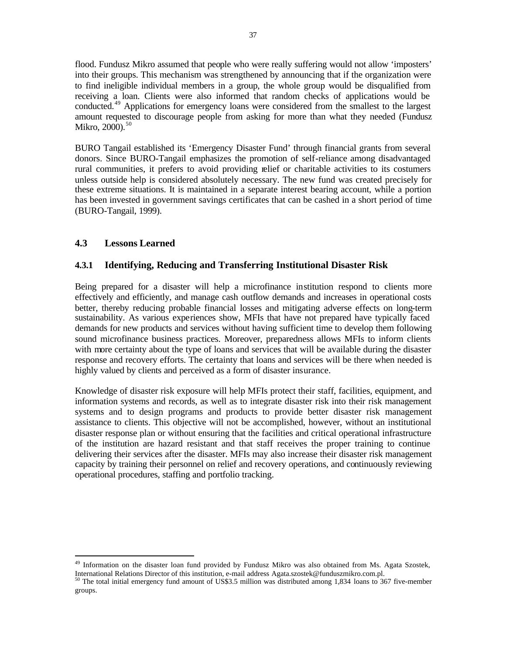flood. Fundusz Mikro assumed that people who were really suffering would not allow 'imposters' into their groups. This mechanism was strengthened by announcing that if the organization were to find ineligible individual members in a group, the whole group would be disqualified from receiving a loan. Clients were also informed that random checks of applications would be conducted.<sup>49</sup> Applications for emergency loans were considered from the smallest to the largest amount requested to discourage people from asking for more than what they needed (Fundusz Mikro,  $2000$ ).<sup>50</sup>

BURO Tangail established its 'Emergency Disaster Fund' through financial grants from several donors. Since BURO-Tangail emphasizes the promotion of self-reliance among disadvantaged rural communities, it prefers to avoid providing relief or charitable activities to its costumers unless outside help is considered absolutely necessary. The new fund was created precisely for these extreme situations. It is maintained in a separate interest bearing account, while a portion has been invested in government savings certificates that can be cashed in a short period of time (BURO-Tangail, 1999).

# **4.3 Lessons Learned**

 $\overline{a}$ 

# **4.3.1 Identifying, Reducing and Transferring Institutional Disaster Risk**

Being prepared for a disaster will help a microfinance institution respond to clients more effectively and efficiently, and manage cash outflow demands and increases in operational costs better, thereby reducing probable financial losses and mitigating adverse effects on long-term sustainability. As various experiences show, MFIs that have not prepared have typically faced demands for new products and services without having sufficient time to develop them following sound microfinance business practices. Moreover, preparedness allows MFIs to inform clients with more certainty about the type of loans and services that will be available during the disaster response and recovery efforts. The certainty that loans and services will be there when needed is highly valued by clients and perceived as a form of disaster insurance.

Knowledge of disaster risk exposure will help MFIs protect their staff, facilities, equipment, and information systems and records, as well as to integrate disaster risk into their risk management systems and to design programs and products to provide better disaster risk management assistance to clients. This objective will not be accomplished, however, without an institutional disaster response plan or without ensuring that the facilities and critical operational infrastructure of the institution are hazard resistant and that staff receives the proper training to continue delivering their services after the disaster. MFIs may also increase their disaster risk management capacity by training their personnel on relief and recovery operations, and continuously reviewing operational procedures, staffing and portfolio tracking.

<sup>&</sup>lt;sup>49</sup> Information on the disaster loan fund provided by Fundusz Mikro was also obtained from Ms. Agata Szostek, International Relations Director of this institution, e-mail address Agata.szostek@funduszmikro.com.pl.

<sup>&</sup>lt;sup>50</sup> The total initial emergency fund amount of US\$3.5 million was distributed among 1,834 loans to 367 five-member groups.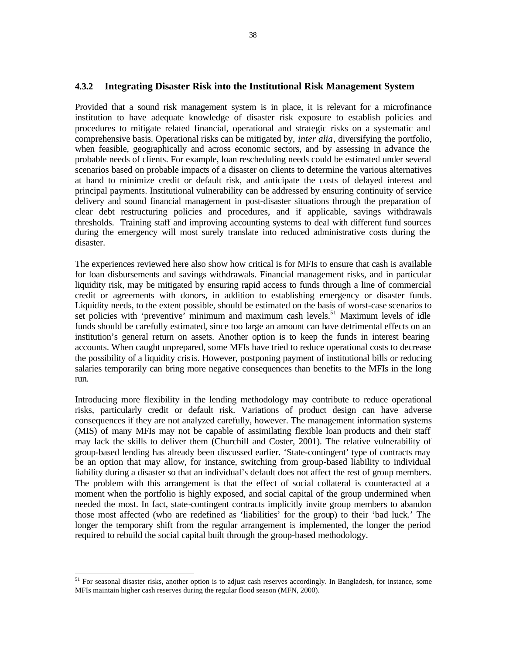### **4.3.2 Integrating Disaster Risk into the Institutional Risk Management System**

Provided that a sound risk management system is in place, it is relevant for a microfinance institution to have adequate knowledge of disaster risk exposure to establish policies and procedures to mitigate related financial, operational and strategic risks on a systematic and comprehensive basis. Operational risks can be mitigated by, *inter alia*, diversifying the portfolio, when feasible, geographically and across economic sectors, and by assessing in advance the probable needs of clients. For example, loan rescheduling needs could be estimated under several scenarios based on probable impacts of a disaster on clients to determine the various alternatives at hand to minimize credit or default risk, and anticipate the costs of delayed interest and principal payments. Institutional vulnerability can be addressed by ensuring continuity of service delivery and sound financial management in post-disaster situations through the preparation of clear debt restructuring policies and procedures, and if applicable, savings withdrawals thresholds. Training staff and improving accounting systems to deal with different fund sources during the emergency will most surely translate into reduced administrative costs during the disaster.

The experiences reviewed here also show how critical is for MFIs to ensure that cash is available for loan disbursements and savings withdrawals. Financial management risks, and in particular liquidity risk, may be mitigated by ensuring rapid access to funds through a line of commercial credit or agreements with donors, in addition to establishing emergency or disaster funds. Liquidity needs, to the extent possible, should be estimated on the basis of worst-case scenarios to set policies with 'preventive' minimum and maximum cash levels.<sup>51</sup> Maximum levels of idle funds should be carefully estimated, since too large an amount can have detrimental effects on an institution's general return on assets. Another option is to keep the funds in interest bearing accounts. When caught unprepared, some MFIs have tried to reduce operational costs to decrease the possibility of a liquidity crisis. However, postponing payment of institutional bills or reducing salaries temporarily can bring more negative consequences than benefits to the MFIs in the long run.

Introducing more flexibility in the lending methodology may contribute to reduce operational risks, particularly credit or default risk. Variations of product design can have adverse consequences if they are not analyzed carefully, however. The management information systems (MIS) of many MFIs may not be capable of assimilating flexible loan products and their staff may lack the skills to deliver them (Churchill and Coster, 2001). The relative vulnerability of group-based lending has already been discussed earlier. 'State-contingent' type of contracts may be an option that may allow, for instance, switching from group-based liability to individual liability during a disaster so that an individual's default does not affect the rest of group members. The problem with this arrangement is that the effect of social collateral is counteracted at a moment when the portfolio is highly exposed, and social capital of the group undermined when needed the most. In fact, state-contingent contracts implicitly invite group members to abandon those most affected (who are redefined as 'liabilities' for the group) to their 'bad luck.' The longer the temporary shift from the regular arrangement is implemented, the longer the period required to rebuild the social capital built through the group-based methodology.

 $51$  For seasonal disaster risks, another option is to adjust cash reserves accordingly. In Bangladesh, for instance, some MFIs maintain higher cash reserves during the regular flood season (MFN, 2000).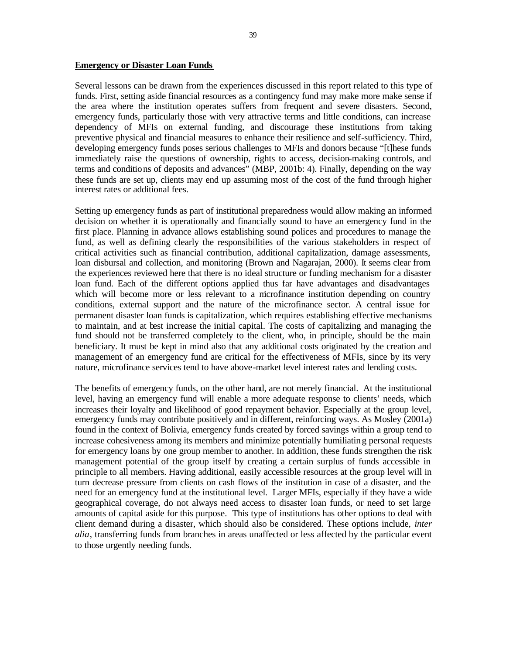#### **Emergency or Disaster Loan Funds**

Several lessons can be drawn from the experiences discussed in this report related to this type of funds. First, setting aside financial resources as a contingency fund may make more make sense if the area where the institution operates suffers from frequent and severe disasters. Second, emergency funds, particularly those with very attractive terms and little conditions, can increase dependency of MFIs on external funding, and discourage these institutions from taking preventive physical and financial measures to enhance their resilience and self-sufficiency. Third, developing emergency funds poses serious challenges to MFIs and donors because "[t]hese funds immediately raise the questions of ownership, rights to access, decision-making controls, and terms and conditions of deposits and advances" (MBP, 2001b: 4). Finally, depending on the way these funds are set up, clients may end up assuming most of the cost of the fund through higher interest rates or additional fees.

Setting up emergency funds as part of institutional preparedness would allow making an informed decision on whether it is operationally and financially sound to have an emergency fund in the first place. Planning in advance allows establishing sound polices and procedures to manage the fund, as well as defining clearly the responsibilities of the various stakeholders in respect of critical activities such as financial contribution, additional capitalization, damage assessments, loan disbursal and collection, and monitoring (Brown and Nagarajan, 2000). It seems clear from the experiences reviewed here that there is no ideal structure or funding mechanism for a disaster loan fund. Each of the different options applied thus far have advantages and disadvantages which will become more or less relevant to a microfinance institution depending on country conditions, external support and the nature of the microfinance sector. A central issue for permanent disaster loan funds is capitalization, which requires establishing effective mechanisms to maintain, and at best increase the initial capital. The costs of capitalizing and managing the fund should not be transferred completely to the client, who, in principle, should be the main beneficiary. It must be kept in mind also that any additional costs originated by the creation and management of an emergency fund are critical for the effectiveness of MFIs, since by its very nature, microfinance services tend to have above-market level interest rates and lending costs.

The benefits of emergency funds, on the other hand, are not merely financial. At the institutional level, having an emergency fund will enable a more adequate response to clients' needs, which increases their loyalty and likelihood of good repayment behavior. Especially at the group level, emergency funds may contribute positively and in different, reinforcing ways. As Mosley (2001a) found in the context of Bolivia, emergency funds created by forced savings within a group tend to increase cohesiveness among its members and minimize potentially humiliating personal requests for emergency loans by one group member to another. In addition, these funds strengthen the risk management potential of the group itself by creating a certain surplus of funds accessible in principle to all members. Having additional, easily accessible resources at the group level will in turn decrease pressure from clients on cash flows of the institution in case of a disaster, and the need for an emergency fund at the institutional level. Larger MFIs, especially if they have a wide geographical coverage, do not always need access to disaster loan funds, or need to set large amounts of capital aside for this purpose. This type of institutions has other options to deal with client demand during a disaster, which should also be considered. These options include, *inter alia*, transferring funds from branches in areas unaffected or less affected by the particular event to those urgently needing funds.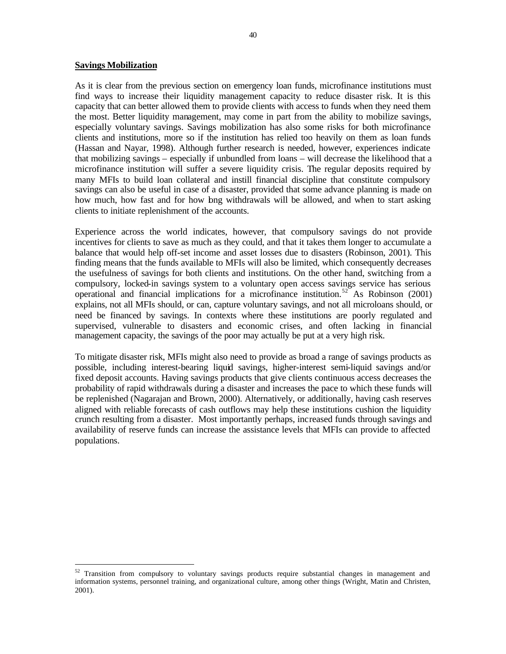#### **Savings Mobilization**

 $\overline{a}$ 

As it is clear from the previous section on emergency loan funds, microfinance institutions must find ways to increase their liquidity management capacity to reduce disaster risk. It is this capacity that can better allowed them to provide clients with access to funds when they need them the most. Better liquidity management, may come in part from the ability to mobilize savings, especially voluntary savings. Savings mobilization has also some risks for both microfinance clients and institutions, more so if the institution has relied too heavily on them as loan funds (Hassan and Nayar, 1998). Although further research is needed, however, experiences indicate that mobilizing savings – especially if unbundled from loans – will decrease the likelihood that a microfinance institution will suffer a severe liquidity crisis. The regular deposits required by many MFIs to build loan collateral and instill financial discipline that constitute compulsory savings can also be useful in case of a disaster, provided that some advance planning is made on how much, how fast and for how bng withdrawals will be allowed, and when to start asking clients to initiate replenishment of the accounts.

Experience across the world indicates, however, that compulsory savings do not provide incentives for clients to save as much as they could, and that it takes them longer to accumulate a balance that would help off-set income and asset losses due to disasters (Robinson, 2001). This finding means that the funds available to MFIs will also be limited, which consequently decreases the usefulness of savings for both clients and institutions. On the other hand, switching from a compulsory, locked-in savings system to a voluntary open access savings service has serious operational and financial implications for a microfinance institution.<sup>52</sup> As Robinson (2001) explains, not all MFIs should, or can, capture voluntary savings, and not all microloans should, or need be financed by savings. In contexts where these institutions are poorly regulated and supervised, vulnerable to disasters and economic crises, and often lacking in financial management capacity, the savings of the poor may actually be put at a very high risk.

To mitigate disaster risk, MFIs might also need to provide as broad a range of savings products as possible, including interest-bearing liquid savings, higher-interest semi-liquid savings and/or fixed deposit accounts. Having savings products that give clients continuous access decreases the probability of rapid withdrawals during a disaster and increases the pace to which these funds will be replenished (Nagarajan and Brown, 2000). Alternatively, or additionally, having cash reserves aligned with reliable forecasts of cash outflows may help these institutions cushion the liquidity crunch resulting from a disaster. Most importantly perhaps, increased funds through savings and availability of reserve funds can increase the assistance levels that MFIs can provide to affected populations.

 $52$  Transition from compulsory to voluntary savings products require substantial changes in management and information systems, personnel training, and organizational culture, among other things (Wright, Matin and Christen, 2001).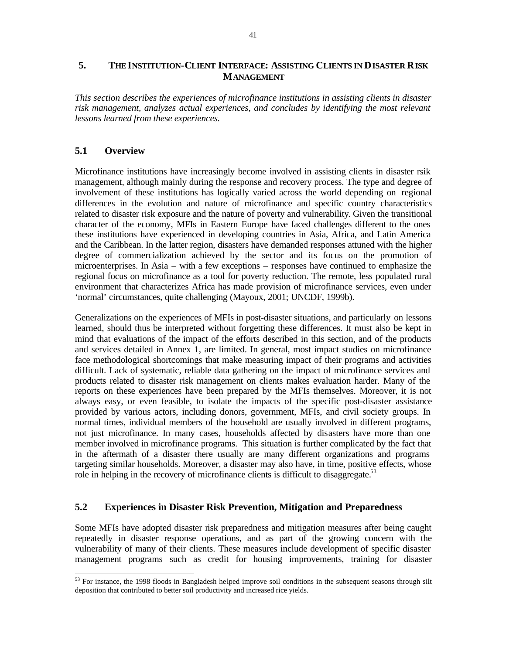# **5. THE INSTITUTION-CLIENT INTERFACE: ASSISTING CLIENTS IN DISASTER RISK MANAGEMENT**

*This section describes the experiences of microfinance institutions in assisting clients in disaster risk management, analyzes actual experiences, and concludes by identifying the most relevant lessons learned from these experiences.*

# **5.1 Overview**

 $\overline{a}$ 

Microfinance institutions have increasingly become involved in assisting clients in disaster rsik management, although mainly during the response and recovery process. The type and degree of involvement of these institutions has logically varied across the world depending on regional differences in the evolution and nature of microfinance and specific country characteristics related to disaster risk exposure and the nature of poverty and vulnerability. Given the transitional character of the economy, MFIs in Eastern Europe have faced challenges different to the ones these institutions have experienced in developing countries in Asia, Africa, and Latin America and the Caribbean. In the latter region, disasters have demanded responses attuned with the higher degree of commercialization achieved by the sector and its focus on the promotion of microenterprises. In Asia – with a few exceptions – responses have continued to emphasize the regional focus on microfinance as a tool for poverty reduction. The remote, less populated rural environment that characterizes Africa has made provision of microfinance services, even under 'normal' circumstances, quite challenging (Mayoux, 2001; UNCDF, 1999b).

Generalizations on the experiences of MFIs in post-disaster situations, and particularly on lessons learned, should thus be interpreted without forgetting these differences. It must also be kept in mind that evaluations of the impact of the efforts described in this section, and of the products and services detailed in Annex 1, are limited. In general, most impact studies on microfinance face methodological shortcomings that make measuring impact of their programs and activities difficult. Lack of systematic, reliable data gathering on the impact of microfinance services and products related to disaster risk management on clients makes evaluation harder. Many of the reports on these experiences have been prepared by the MFIs themselves. Moreover, it is not always easy, or even feasible, to isolate the impacts of the specific post-disaster assistance provided by various actors, including donors, government, MFIs, and civil society groups. In normal times, individual members of the household are usually involved in different programs, not just microfinance. In many cases, households affected by disasters have more than one member involved in microfinance programs. This situation is further complicated by the fact that in the aftermath of a disaster there usually are many different organizations and programs targeting similar households. Moreover, a disaster may also have, in time, positive effects, whose role in helping in the recovery of microfinance clients is difficult to disaggregate.<sup>53</sup>

## **5.2 Experiences in Disaster Risk Prevention, Mitigation and Preparedness**

Some MFIs have adopted disaster risk preparedness and mitigation measures after being caught repeatedly in disaster response operations, and as part of the growing concern with the vulnerability of many of their clients. These measures include development of specific disaster management programs such as credit for housing improvements, training for disaster

 $53$  For instance, the 1998 floods in Bangladesh helped improve soil conditions in the subsequent seasons through silt deposition that contributed to better soil productivity and increased rice yields.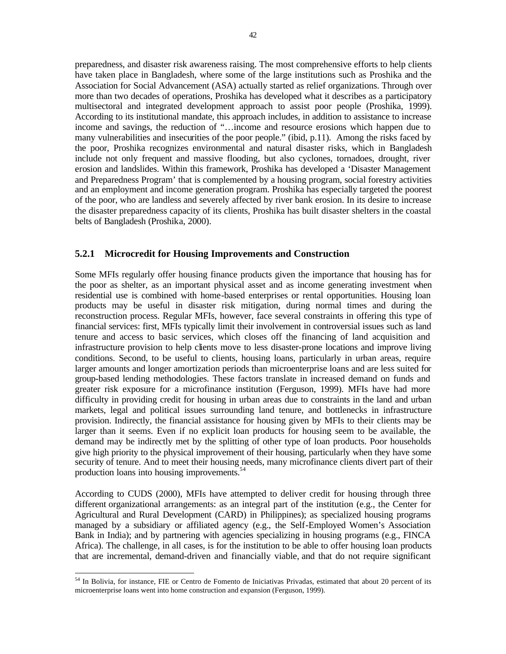preparedness, and disaster risk awareness raising. The most comprehensive efforts to help clients have taken place in Bangladesh, where some of the large institutions such as Proshika and the Association for Social Advancement (ASA) actually started as relief organizations. Through over more than two decades of operations, Proshika has developed what it describes as a participatory multisectoral and integrated development approach to assist poor people (Proshika, 1999). According to its institutional mandate, this approach includes, in addition to assistance to increase income and savings, the reduction of "…income and resource erosions which happen due to many vulnerabilities and insecurities of the poor people." (ibid, p.11). Among the risks faced by the poor, Proshika recognizes environmental and natural disaster risks, which in Bangladesh include not only frequent and massive flooding, but also cyclones, tornadoes, drought, river erosion and landslides. Within this framework, Proshika has developed a 'Disaster Management and Preparedness Program' that is complemented by a housing program, social forestry activities and an employment and income generation program. Proshika has especially targeted the poorest of the poor, who are landless and severely affected by river bank erosion. In its desire to increase the disaster preparedness capacity of its clients, Proshika has built disaster shelters in the coastal belts of Bangladesh (Proshika, 2000).

# **5.2.1 Microcredit for Housing Improvements and Construction**

Some MFIs regularly offer housing finance products given the importance that housing has for the poor as shelter, as an important physical asset and as income generating investment when residential use is combined with home-based enterprises or rental opportunities. Housing loan products may be useful in disaster risk mitigation, during normal times and during the reconstruction process. Regular MFIs, however, face several constraints in offering this type of financial services: first, MFIs typically limit their involvement in controversial issues such as land tenure and access to basic services, which closes off the financing of land acquisition and infrastructure provision to help clients move to less disaster-prone locations and improve living conditions. Second, to be useful to clients, housing loans, particularly in urban areas, require larger amounts and longer amortization periods than microenterprise loans and are less suited for group-based lending methodologies. These factors translate in increased demand on funds and greater risk exposure for a microfinance institution (Ferguson, 1999). MFIs have had more difficulty in providing credit for housing in urban areas due to constraints in the land and urban markets, legal and political issues surrounding land tenure, and bottlenecks in infrastructure provision. Indirectly, the financial assistance for housing given by MFIs to their clients may be larger than it seems. Even if no explicit loan products for housing seem to be available, the demand may be indirectly met by the splitting of other type of loan products. Poor households give high priority to the physical improvement of their housing, particularly when they have some security of tenure. And to meet their housing needs, many microfinance clients divert part of their production loans into housing improvements.<sup>54</sup>

According to CUDS (2000), MFIs have attempted to deliver credit for housing through three different organizational arrangements: as an integral part of the institution (e.g., the Center for Agricultural and Rural Development (CARD) in Philippines); as specialized housing programs managed by a subsidiary or affiliated agency (e.g., the Self-Employed Women's Association Bank in India); and by partnering with agencies specializing in housing programs (e.g., FINCA Africa). The challenge, in all cases, is for the institution to be able to offer housing loan products that are incremental, demand-driven and financially viable, and that do not require significant

 $\overline{a}$ <sup>54</sup> In Bolivia, for instance, FIE or Centro de Fomento de Iniciativas Privadas, estimated that about 20 percent of its microenterprise loans went into home construction and expansion (Ferguson, 1999).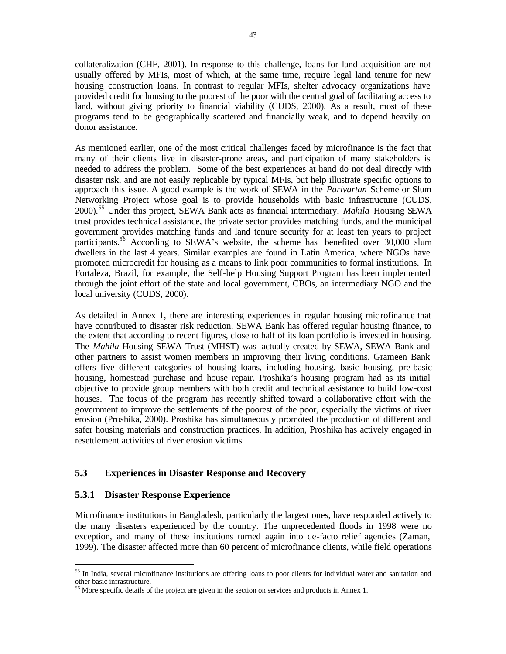collateralization (CHF, 2001). In response to this challenge, loans for land acquisition are not usually offered by MFIs, most of which, at the same time, require legal land tenure for new housing construction loans. In contrast to regular MFIs, shelter advocacy organizations have provided credit for housing to the poorest of the poor with the central goal of facilitating access to land, without giving priority to financial viability (CUDS, 2000). As a result, most of these programs tend to be geographically scattered and financially weak, and to depend heavily on donor assistance.

As mentioned earlier, one of the most critical challenges faced by microfinance is the fact that many of their clients live in disaster-prone areas, and participation of many stakeholders is needed to address the problem. Some of the best experiences at hand do not deal directly with disaster risk, and are not easily replicable by typical MFIs, but help illustrate specific options to approach this issue. A good example is the work of SEWA in the *Parivartan* Scheme or Slum Networking Project whose goal is to provide households with basic infrastructure (CUDS, 2000).<sup>55</sup> Under this project, SEWA Bank acts as financial intermediary, *Mahila* Housing SEWA trust provides technical assistance, the private sector provides matching funds, and the municipal government provides matching funds and land tenure security for at least ten years to project participants.<sup>56</sup> According to SEWA's website, the scheme has benefited over 30,000 slum dwellers in the last 4 years. Similar examples are found in Latin America, where NGOs have promoted microcredit for housing as a means to link poor communities to formal institutions. In Fortaleza, Brazil, for example, the Self-help Housing Support Program has been implemented through the joint effort of the state and local government, CBOs, an intermediary NGO and the local university (CUDS, 2000).

As detailed in Annex 1, there are interesting experiences in regular housing mic rofinance that have contributed to disaster risk reduction. SEWA Bank has offered regular housing finance, to the extent that according to recent figures, close to half of its loan portfolio is invested in housing. The *Mahila* Housing SEWA Trust (MHST) was actually created by SEWA, SEWA Bank and other partners to assist women members in improving their living conditions. Grameen Bank offers five different categories of housing loans, including housing, basic housing, pre-basic housing, homestead purchase and house repair. Proshika's housing program had as its initial objective to provide group members with both credit and technical assistance to build low-cost houses. The focus of the program has recently shifted toward a collaborative effort with the government to improve the settlements of the poorest of the poor, especially the victims of river erosion (Proshika, 2000). Proshika has simultaneously promoted the production of different and safer housing materials and construction practices. In addition, Proshika has actively engaged in resettlement activities of river erosion victims.

# **5.3 Experiences in Disaster Response and Recovery**

## **5.3.1 Disaster Response Experience**

 $\overline{a}$ 

Microfinance institutions in Bangladesh, particularly the largest ones, have responded actively to the many disasters experienced by the country. The unprecedented floods in 1998 were no exception, and many of these institutions turned again into de-facto relief agencies (Zaman, 1999). The disaster affected more than 60 percent of microfinance clients, while field operations

<sup>&</sup>lt;sup>55</sup> In India, several microfinance institutions are offering loans to poor clients for individual water and sanitation and other basic infrastructure.

<sup>56</sup> More specific details of the project are given in the section on services and products in Annex 1.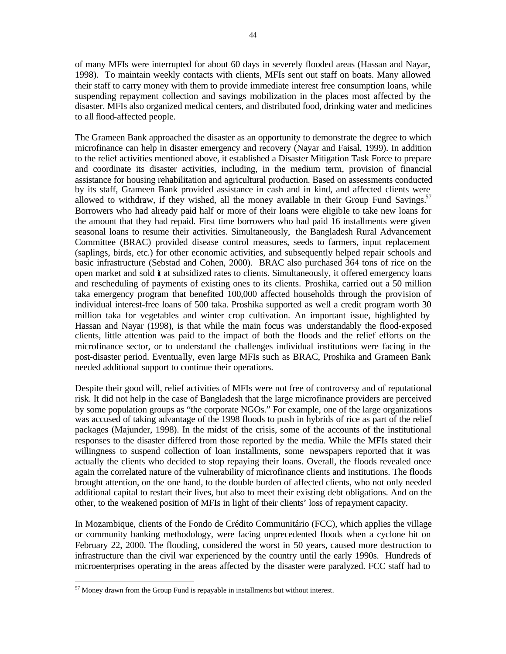of many MFIs were interrupted for about 60 days in severely flooded areas (Hassan and Nayar, 1998). To maintain weekly contacts with clients, MFIs sent out staff on boats. Many allowed their staff to carry money with them to provide immediate interest free consumption loans, while suspending repayment collection and savings mobilization in the places most affected by the disaster. MFIs also organized medical centers, and distributed food, drinking water and medicines to all flood-affected people.

The Grameen Bank approached the disaster as an opportunity to demonstrate the degree to which microfinance can help in disaster emergency and recovery (Nayar and Faisal, 1999). In addition to the relief activities mentioned above, it established a Disaster Mitigation Task Force to prepare and coordinate its disaster activities, including, in the medium term, provision of financial assistance for housing rehabilitation and agricultural production. Based on assessments conducted by its staff, Grameen Bank provided assistance in cash and in kind, and affected clients were allowed to withdraw, if they wished, all the money available in their Group Fund Savings. $57$ Borrowers who had already paid half or more of their loans were eligible to take new loans for the amount that they had repaid. First time borrowers who had paid 16 installments were given seasonal loans to resume their activities. Simultaneously, the Bangladesh Rural Advancement Committee (BRAC) provided disease control measures, seeds to farmers, input replacement (saplings, birds, etc.) for other economic activities, and subsequently helped repair schools and basic infrastructure (Sebstad and Cohen, 2000). BRAC also purchased 364 tons of rice on the open market and sold it at subsidized rates to clients. Simultaneously, it offered emergency loans and rescheduling of payments of existing ones to its clients. Proshika, carried out a 50 million taka emergency program that benefited 100,000 affected households through the provision of individual interest-free loans of 500 taka. Proshika supported as well a credit program worth 30 million taka for vegetables and winter crop cultivation. An important issue, highlighted by Hassan and Nayar (1998), is that while the main focus was understandably the flood-exposed clients, little attention was paid to the impact of both the floods and the relief efforts on the microfinance sector, or to understand the challenges individual institutions were facing in the post-disaster period. Eventually, even large MFIs such as BRAC, Proshika and Grameen Bank needed additional support to continue their operations.

Despite their good will, relief activities of MFIs were not free of controversy and of reputational risk. It did not help in the case of Bangladesh that the large microfinance providers are perceived by some population groups as "the corporate NGOs." For example, one of the large organizations was accused of taking advantage of the 1998 floods to push in hybrids of rice as part of the relief packages (Majunder, 1998). In the midst of the crisis, some of the accounts of the institutional responses to the disaster differed from those reported by the media. While the MFIs stated their willingness to suspend collection of loan installments, some newspapers reported that it was actually the clients who decided to stop repaying their loans. Overall, the floods revealed once again the correlated nature of the vulnerability of microfinance clients and institutions. The floods brought attention, on the one hand, to the double burden of affected clients, who not only needed additional capital to restart their lives, but also to meet their existing debt obligations. And on the other, to the weakened position of MFIs in light of their clients' loss of repayment capacity.

In Mozambique, clients of the Fondo de Crédito Communitário (FCC), which applies the village or community banking methodology, were facing unprecedented floods when a cyclone hit on February 22, 2000. The flooding, considered the worst in 50 years, caused more destruction to infrastructure than the civil war experienced by the country until the early 1990s. Hundreds of microenterprises operating in the areas affected by the disaster were paralyzed. FCC staff had to

 $\overline{a}$  $57$  Money drawn from the Group Fund is repayable in installments but without interest.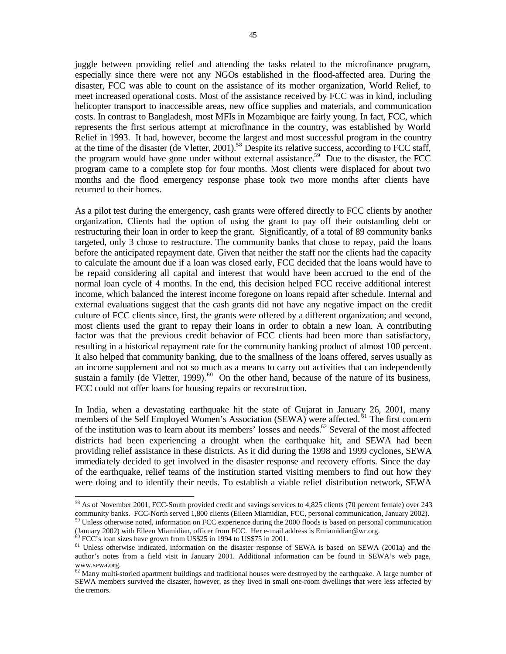juggle between providing relief and attending the tasks related to the microfinance program, especially since there were not any NGOs established in the flood-affected area. During the disaster, FCC was able to count on the assistance of its mother organization, World Relief, to meet increased operational costs. Most of the assistance received by FCC was in kind, including helicopter transport to inaccessible areas, new office supplies and materials, and communication costs. In contrast to Bangladesh, most MFIs in Mozambique are fairly young. In fact, FCC, which represents the first serious attempt at microfinance in the country, was established by World Relief in 1993. It had, however, become the largest and most successful program in the country at the time of the disaster (de Vletter, 2001).<sup>58</sup> Despite its relative success, according to FCC staff, the program would have gone under without external assistance.<sup>59</sup> Due to the disaster, the FCC program came to a complete stop for four months. Most clients were displaced for about two months and the flood emergency response phase took two more months after clients have returned to their homes.

As a pilot test during the emergency, cash grants were offered directly to FCC clients by another organization. Clients had the option of using the grant to pay off their outstanding debt or restructuring their loan in order to keep the grant. Significantly, of a total of 89 community banks targeted, only 3 chose to restructure. The community banks that chose to repay, paid the loans before the anticipated repayment date. Given that neither the staff nor the clients had the capacity to calculate the amount due if a loan was closed early, FCC decided that the loans would have to be repaid considering all capital and interest that would have been accrued to the end of the normal loan cycle of 4 months. In the end, this decision helped FCC receive additional interest income, which balanced the interest income foregone on loans repaid after schedule. Internal and external evaluations suggest that the cash grants did not have any negative impact on the credit culture of FCC clients since, first, the grants were offered by a different organization; and second, most clients used the grant to repay their loans in order to obtain a new loan. A contributing factor was that the previous credit behavior of FCC clients had been more than satisfactory, resulting in a historical repayment rate for the community banking product of almost 100 percent. It also helped that community banking, due to the smallness of the loans offered, serves usually as an income supplement and not so much as a means to carry out activities that can independently sustain a family (de Vletter, 1999).<sup>60</sup> On the other hand, because of the nature of its business, FCC could not offer loans for housing repairs or reconstruction.

In India, when a devastating earthquake hit the state of Gujarat in January 26, 2001, many members of the Self Employed Women's Association (SEWA) were affected.<sup>61</sup> The first concern of the institution was to learn about its members' losses and needs.<sup>62</sup> Several of the most affected districts had been experiencing a drought when the earthquake hit, and SEWA had been providing relief assistance in these districts. As it did during the 1998 and 1999 cyclones, SEWA immediately decided to get involved in the disaster response and recovery efforts. Since the day of the earthquake, relief teams of the institution started visiting members to find out how they were doing and to identify their needs. To establish a viable relief distribution network, SEWA

<sup>58</sup> As of November 2001, FCC-South provided credit and savings services to 4,825 clients (70 percent female) over 243 community banks. FCC-North served 1,800 clients (Eileen Miamidian, FCC, personal communication, January 2002). <sup>59</sup> Unless otherwise noted, information on FCC experience during the 2000 floods is based on personal communication

<sup>(</sup>January 2002) with Eileen Miamidian, officer from FCC. Her e-mail address is Emiamidian@wr.org.

 $60$  FCC's loan sizes have grown from US\$25 in 1994 to US\$75 in 2001.

<sup>&</sup>lt;sup>61</sup> Unless otherwise indicated, information on the disaster response of SEWA is based on SEWA (2001a) and the author's notes from a field visit in January 2001. Additional information can be found in SEWA's web page, www.sewa.org.

 $62$  Many multi-storied apartment buildings and traditional houses were destroyed by the earthquake. A large number of SEWA members survived the disaster, however, as they lived in small one-room dwellings that were less affected by the tremors.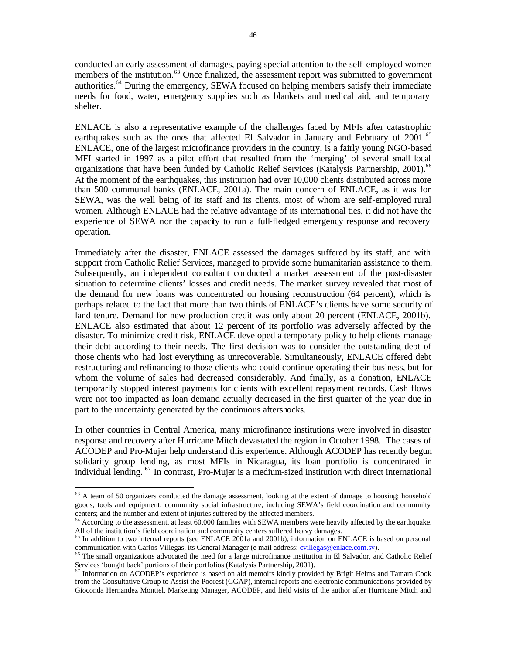conducted an early assessment of damages, paying special attention to the self-employed women members of the institution.<sup>63</sup> Once finalized, the assessment report was submitted to government authorities.<sup>64</sup> During the emergency, SEWA focused on helping members satisfy their immediate needs for food, water, emergency supplies such as blankets and medical aid, and temporary shelter.

ENLACE is also a representative example of the challenges faced by MFIs after catastrophic earthquakes such as the ones that affected El Salvador in January and February of 2001.<sup>65</sup> ENLACE, one of the largest microfinance providers in the country, is a fairly young NGO-based MFI started in 1997 as a pilot effort that resulted from the 'merging' of several small local organizations that have been funded by Catholic Relief Services (Katalysis Partnership, 2001).<sup>66</sup> At the moment of the earthquakes, this institution had over 10,000 clients distributed across more than 500 communal banks (ENLACE, 2001a). The main concern of ENLACE, as it was for SEWA, was the well being of its staff and its clients, most of whom are self-employed rural women. Although ENLACE had the relative advantage of its international ties, it did not have the experience of SEWA nor the capacity to run a full-fledged emergency response and recovery operation.

Immediately after the disaster, ENLACE assessed the damages suffered by its staff, and with support from Catholic Relief Services, managed to provide some humanitarian assistance to them. Subsequently, an independent consultant conducted a market assessment of the post-disaster situation to determine clients' losses and credit needs. The market survey revealed that most of the demand for new loans was concentrated on housing reconstruction (64 percent), which is perhaps related to the fact that more than two thirds of ENLACE's clients have some security of land tenure. Demand for new production credit was only about 20 percent (ENLACE, 2001b). ENLACE also estimated that about 12 percent of its portfolio was adversely affected by the disaster. To minimize credit risk, ENLACE developed a temporary policy to help clients manage their debt according to their needs. The first decision was to consider the outstanding debt of those clients who had lost everything as unrecoverable. Simultaneously, ENLACE offered debt restructuring and refinancing to those clients who could continue operating their business, but for whom the volume of sales had decreased considerably. And finally, as a donation, ENLACE temporarily stopped interest payments for clients with excellent repayment records. Cash flows were not too impacted as loan demand actually decreased in the first quarter of the year due in part to the uncertainty generated by the continuous aftershocks.

In other countries in Central America, many microfinance institutions were involved in disaster response and recovery after Hurricane Mitch devastated the region in October 1998. The cases of ACODEP and Pro-Mujer help understand this experience. Although ACODEP has recently begun solidarity group lending, as most MFIs in Nicaragua, its loan portfolio is concentrated in individual lending. <sup>67</sup> In contrast, Pro-Mujer is a medium-sized institution with direct international

 $63$  A team of 50 organizers conducted the damage assessment, looking at the extent of damage to housing; household goods, tools and equipment; community social infrastructure, including SEWA's field coordination and community centers; and the number and extent of injuries suffered by the affected members.

<sup>&</sup>lt;sup>64</sup> According to the assessment, at least 60,000 families with SEWA members were heavily affected by the earthquake. All of the institution's field coordination and community centers suffered heavy damages.

<sup>&</sup>lt;sup>65</sup> In addition to two internal reports (see ENLACE 2001a and 2001b), information on ENLACE is based on personal communication with Carlos Villegas, its General Manager (e-mail address: cvillegas@enlace.com.sv).

 $66$  The small organizations advocated the need for a large microfinance institution in El Salvador, and Catholic Relief Services 'bought back' portions of their portfolios (Katalysis Partnership, 2001).

<sup>&</sup>lt;sup>67</sup> Information on ACODEP's experience is based on aid memoirs kindly provided by Brigit Helms and Tamara Cook from the Consultative Group to Assist the Poorest (CGAP), internal reports and electronic communications provided by Gioconda Hernandez Montiel, Marketing Manager, ACODEP, and field visits of the author after Hurricane Mitch and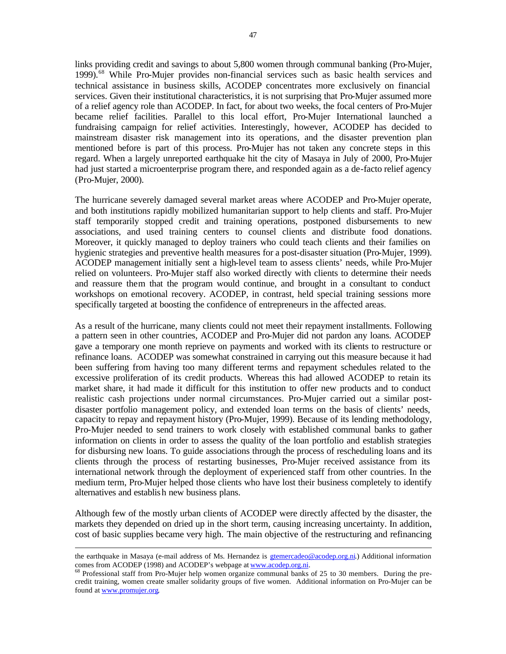links providing credit and savings to about 5,800 women through communal banking (Pro-Mujer, 1999).<sup>68</sup> While Pro-Mujer provides non-financial services such as basic health services and technical assistance in business skills, ACODEP concentrates more exclusively on financial services. Given their institutional characteristics, it is not surprising that Pro-Mujer assumed more of a relief agency role than ACODEP. In fact, for about two weeks, the focal centers of Pro-Mujer became relief facilities. Parallel to this local effort, Pro-Mujer International launched a fundraising campaign for relief activities. Interestingly, however, ACODEP has decided to mainstream disaster risk management into its operations, and the disaster prevention plan mentioned before is part of this process. Pro-Mujer has not taken any concrete steps in this regard. When a largely unreported earthquake hit the city of Masaya in July of 2000, Pro-Mujer had just started a microenterprise program there, and responded again as a de-facto relief agency (Pro-Mujer, 2000).

The hurricane severely damaged several market areas where ACODEP and Pro-Mujer operate, and both institutions rapidly mobilized humanitarian support to help clients and staff. Pro-Mujer staff temporarily stopped credit and training operations, postponed disbursements to new associations, and used training centers to counsel clients and distribute food donations. Moreover, it quickly managed to deploy trainers who could teach clients and their families on hygienic strategies and preventive health measures for a post-disaster situation (Pro-Mujer, 1999). ACODEP management initially sent a high-level team to assess clients' needs, while Pro-Mujer relied on volunteers. Pro-Mujer staff also worked directly with clients to determine their needs and reassure them that the program would continue, and brought in a consultant to conduct workshops on emotional recovery. ACODEP, in contrast, held special training sessions more specifically targeted at boosting the confidence of entrepreneurs in the affected areas.

As a result of the hurricane, many clients could not meet their repayment installments. Following a pattern seen in other countries, ACODEP and Pro-Mujer did not pardon any loans. ACODEP gave a temporary one month reprieve on payments and worked with its clients to restructure or refinance loans. ACODEP was somewhat constrained in carrying out this measure because it had been suffering from having too many different terms and repayment schedules related to the excessive proliferation of its credit products. Whereas this had allowed ACODEP to retain its market share, it had made it difficult for this institution to offer new products and to conduct realistic cash projections under normal circumstances. Pro-Mujer carried out a similar postdisaster portfolio management policy, and extended loan terms on the basis of clients' needs, capacity to repay and repayment history (Pro-Mujer, 1999). Because of its lending methodology, Pro-Mujer needed to send trainers to work closely with established communal banks to gather information on clients in order to assess the quality of the loan portfolio and establish strategies for disbursing new loans. To guide associations through the process of rescheduling loans and its clients through the process of restarting businesses, Pro-Mujer received assistance from its international network through the deployment of experienced staff from other countries. In the medium term, Pro-Mujer helped those clients who have lost their business completely to identify alternatives and establish new business plans.

Although few of the mostly urban clients of ACODEP were directly affected by the disaster, the markets they depended on dried up in the short term, causing increasing uncertainty. In addition, cost of basic supplies became very high. The main objective of the restructuring and refinancing

the earthquake in Masaya (e-mail address of Ms. Hernandez is **gtemercadeo@acodep.org.ni.**) Additional information comes from ACODEP (1998) and ACODEP's webpage at www.acodep.org.ni.

<sup>68</sup> Professional staff from Pro-Mujer help women organize communal banks of 25 to 30 members. During the precredit training, women create smaller solidarity groups of five women. Additional information on Pro-Mujer can be found at www.promujer.org.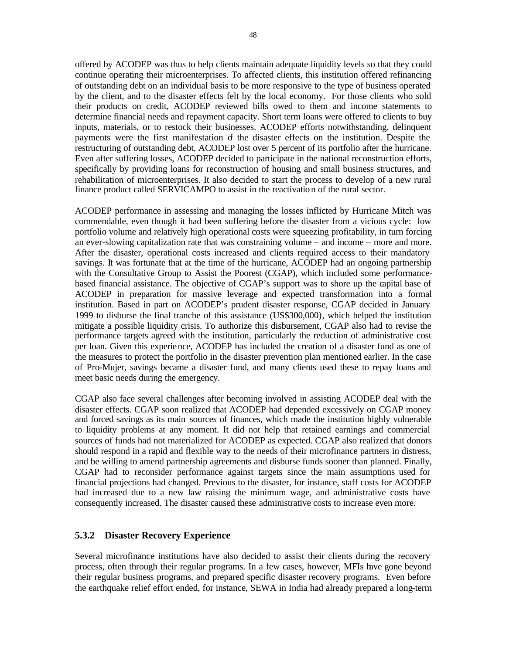offered by ACODEP was thus to help clients maintain adequate liquidity levels so that they could continue operating their microenterprises. To affected clients, this institution offered refinancing of outstanding debt on an individual basis to be more responsive to the type of business operated by the client, and to the disaster effects felt by the local economy. For those clients who sold their products on credit, ACODEP reviewed bills owed to them and income statements to determine financial needs and repayment capacity. Short term loans were offered to clients to buy inputs, materials, or to restock their businesses. ACODEP efforts notwithstanding, delinquent payments were the first manifestation of the disaster effects on the institution. Despite the restructuring of outstanding debt, ACODEP lost over 5 percent of its portfolio after the hurricane. Even after suffering losses, ACODEP decided to participate in the national reconstruction efforts, specifically by providing loans for reconstruction of housing and small business structures, and rehabilitation of microenterprises. It also decided to start the process to develop of a new rural finance product called SERVICAMPO to assist in the reactivation of the rural sector.

ACODEP performance in assessing and managing the losses inflicted by Hurricane Mitch was commendable, even though it had been suffering before the disaster from a vicious cycle: low portfolio volume and relatively high operational costs were squeezing profitability, in turn forcing an ever-slowing capitalization rate that was constraining volume – and income – more and more. After the disaster, operational costs increased and clients required access to their mandatory savings. It was fortunate that at the time of the hurricane, ACODEP had an ongoing partnership with the Consultative Group to Assist the Poorest (CGAP), which included some performancebased financial assistance. The objective of CGAP's support was to shore up the capital base of ACODEP in preparation for massive leverage and expected transformation into a formal institution. Based in part on ACODEP's prudent disaster response, CGAP decided in January 1999 to disburse the final tranche of this assistance (US\$300,000), which helped the institution mitigate a possible liquidity crisis. To authorize this disbursement, CGAP also had to revise the performance targets agreed with the institution, particularly the reduction of administrative cost per loan. Given this experience, ACODEP has included the creation of a disaster fund as one of the measures to protect the portfolio in the disaster prevention plan mentioned earlier. In the case of Pro-Mujer, savings became a disaster fund, and many clients used these to repay loans and meet basic needs during the emergency.

CGAP also face several challenges after becoming involved in assisting ACODEP deal with the disaster effects. CGAP soon realized that ACODEP had depended excessively on CGAP money and forced savings as its main sources of finances, which made the institution highly vulnerable to liquidity problems at any moment. It did not help that retained earnings and commercial sources of funds had not materialized for ACODEP as expected. CGAP also realized that donors should respond in a rapid and flexible way to the needs of their microfinance partners in distress, and be willing to amend partnership agreements and disburse funds sooner than planned. Finally, CGAP had to reconsider performance against targets since the main assumptions used for financial projections had changed. Previous to the disaster, for instance, staff costs for ACODEP had increased due to a new law raising the minimum wage, and administrative costs have consequently increased. The disaster caused these administrative costs to increase even more.

# **5.3.2 Disaster Recovery Experience**

Several microfinance institutions have also decided to assist their clients during the recovery process, often through their regular programs. In a few cases, however, MFIs have gone beyond their regular business programs, and prepared specific disaster recovery programs. Even before the earthquake relief effort ended, for instance, SEWA in India had already prepared a long-term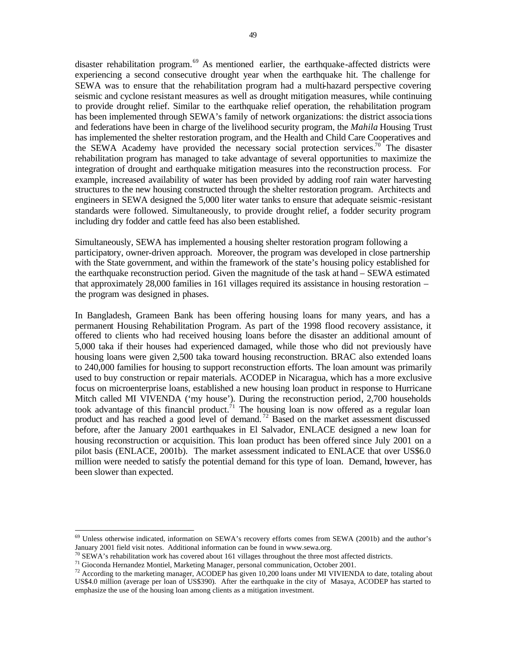disaster rehabilitation program.<sup>69</sup> As mentioned earlier, the earthquake-affected districts were experiencing a second consecutive drought year when the earthquake hit. The challenge for SEWA was to ensure that the rehabilitation program had a multi-hazard perspective covering seismic and cyclone resistant measures as well as drought mitigation measures, while continuing to provide drought relief. Similar to the earthquake relief operation, the rehabilitation program has been implemented through SEWA's family of network organizations: the district associa tions and federations have been in charge of the livelihood security program, the *Mahila* Housing Trust has implemented the shelter restoration program, and the Health and Child Care Cooperatives and the SEWA Academy have provided the necessary social protection services.<sup>70</sup> The disaster rehabilitation program has managed to take advantage of several opportunities to maximize the integration of drought and earthquake mitigation measures into the reconstruction process. For example, increased availability of water has been provided by adding roof rain water harvesting structures to the new housing constructed through the shelter restoration program. Architects and engineers in SEWA designed the 5,000 liter water tanks to ensure that adequate seismic -resistant standards were followed. Simultaneously, to provide drought relief, a fodder security program including dry fodder and cattle feed has also been established.

Simultaneously, SEWA has implemented a housing shelter restoration program following a participatory, owner-driven approach. Moreover, the program was developed in close partnership with the State government, and within the framework of the state's housing policy established for the earthquake reconstruction period. Given the magnitude of the task at hand – SEWA estimated that approximately 28,000 families in 161 villages required its assistance in housing restoration – the program was designed in phases.

In Bangladesh, Grameen Bank has been offering housing loans for many years, and has a permanent Housing Rehabilitation Program. As part of the 1998 flood recovery assistance, it offered to clients who had received housing loans before the disaster an additional amount of 5,000 taka if their houses had experienced damaged, while those who did not previously have housing loans were given 2,500 taka toward housing reconstruction. BRAC also extended loans to 240,000 families for housing to support reconstruction efforts. The loan amount was primarily used to buy construction or repair materials. ACODEP in Nicaragua, which has a more exclusive focus on microenterprise loans, established a new housing loan product in response to Hurricane Mitch called MI VIVENDA ('my house'). During the reconstruction period, 2,700 households took advantage of this financial product.<sup> $71$ </sup> The housing loan is now offered as a regular loan product and has reached a good level of demand. <sup>72</sup> Based on the market assessment discussed before, after the January 2001 earthquakes in El Salvador, ENLACE designed a new loan for housing reconstruction or acquisition. This loan product has been offered since July 2001 on a pilot basis (ENLACE, 2001b). The market assessment indicated to ENLACE that over US\$6.0 million were needed to satisfy the potential demand for this type of loan. Demand, however, has been slower than expected.

<sup>69</sup> Unless otherwise indicated, information on SEWA's recovery efforts comes from SEWA (2001b) and the author's January 2001 field visit notes. Additional information can be found in www.sewa.org.

 $70$  SEWA's rehabilitation work has covered about 161 villages throughout the three most affected districts.

<sup>71</sup> Gioconda Hernandez Montiel, Marketing Manager, personal communication, October 2001.

 $^{72}$  According to the marketing manager, ACODEP has given 10,200 loans under MI VIVIENDA to date, totaling about US\$4.0 million (average per loan of US\$390). After the earthquake in the city of Masaya, ACODEP has started to emphasize the use of the housing loan among clients as a mitigation investment.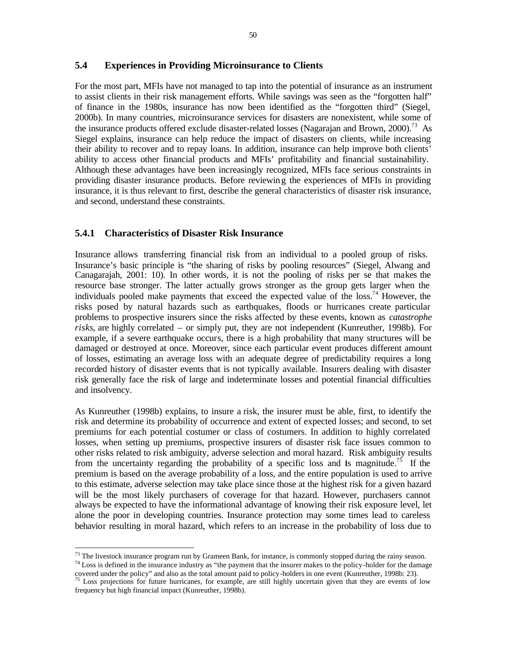# **5.4 Experiences in Providing Microinsurance to Clients**

For the most part, MFIs have not managed to tap into the potential of insurance as an instrument to assist clients in their risk management efforts. While savings was seen as the "forgotten half" of finance in the 1980s, insurance has now been identified as the "forgotten third" (Siegel, 2000b). In many countries, microinsurance services for disasters are nonexistent, while some of the insurance products offered exclude disaster-related losses (Nagarajan and Brown, 2000).<sup>73</sup> As Siegel explains, insurance can help reduce the impact of disasters on clients, while increasing their ability to recover and to repay loans. In addition, insurance can help improve both clients' ability to access other financial products and MFIs' profitability and financial sustainability. Although these advantages have been increasingly recognized, MFIs face serious constraints in providing disaster insurance products. Before reviewing the experiences of MFIs in providing insurance, it is thus relevant to first, describe the general characteristics of disaster risk insurance, and second, understand these constraints.

### **5.4.1 Characteristics of Disaster Risk Insurance**

 $\overline{a}$ 

Insurance allows transferring financial risk from an individual to a pooled group of risks. Insurance's basic principle is "the sharing of risks by pooling resources" (Siegel, Alwang and Canagarajah, 2001: 10). In other words, it is not the pooling of risks per se that makes the resource base stronger. The latter actually grows stronger as the group gets larger when the individuals pooled make payments that exceed the expected value of the loss.<sup>74</sup> However, the risks posed by natural hazards such as earthquakes, floods or hurricanes create particular problems to prospective insurers since the risks affected by these events, known as *catastrophe risks*, are highly correlated – or simply put, they are not independent (Kunreuther, 1998b). For example, if a severe earthquake occurs, there is a high probability that many structures will be damaged or destroyed at once. Moreover, since each particular event produces different amount of losses, estimating an average loss with an adequate degree of predictability requires a long recorded history of disaster events that is not typically available. Insurers dealing with disaster risk generally face the risk of large and indeterminate losses and potential financial difficulties and insolvency.

As Kunreuther (1998b) explains, to insure a risk, the insurer must be able, first, to identify the risk and determine its probability of occurrence and extent of expected losses; and second, to set premiums for each potential costumer or class of costumers. In addition to highly correlated losses, when setting up premiums, prospective insurers of disaster risk face issues common to other risks related to risk ambiguity, adverse selection and moral hazard. Risk ambiguity results from the uncertainty regarding the probability of a specific loss and is magnitude.<sup>75</sup> If the premium is based on the average probability of a loss, and the entire population is used to arrive to this estimate, adverse selection may take place since those at the highest risk for a given hazard will be the most likely purchasers of coverage for that hazard. However, purchasers cannot always be expected to have the informational advantage of knowing their risk exposure level, let alone the poor in developing countries. Insurance protection may some times lead to careless behavior resulting in moral hazard, which refers to an increase in the probability of loss due to

 $73$  The livestock insurance program run by Grameen Bank, for instance, is commonly stopped during the rainy season.  $74$  Loss is defined in the insurance industry as "the payment that the insurer makes to the policy-holder for the damage

covered under the policy" and also as the total amount paid to policy-holders in one event (Kunreuther, 1998b: 23).  $75$  Loss projections for future hurricanes, for example, are still highly uncertain given that they are events of low frequency but high financial impact (Kunreuther, 1998b).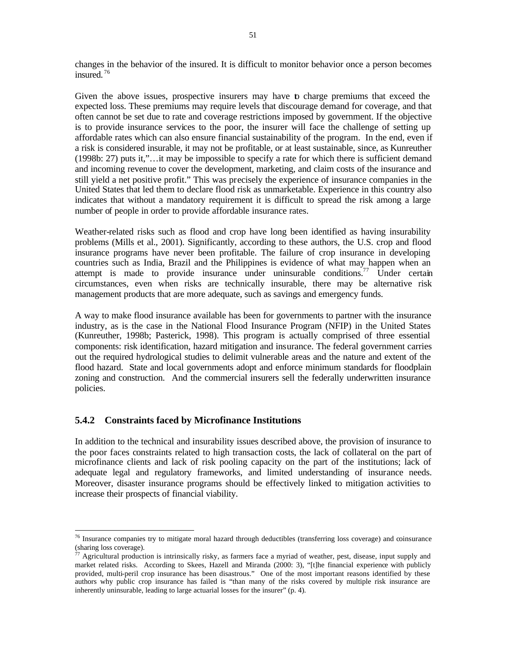changes in the behavior of the insured. It is difficult to monitor behavior once a person becomes insured. <sup>76</sup>

Given the above issues, prospective insurers may have to charge premiums that exceed the expected loss. These premiums may require levels that discourage demand for coverage, and that often cannot be set due to rate and coverage restrictions imposed by government. If the objective is to provide insurance services to the poor, the insurer will face the challenge of setting up affordable rates which can also ensure financial sustainability of the program. In the end, even if a risk is considered insurable, it may not be profitable, or at least sustainable, since, as Kunreuther (1998b: 27) puts it,"…it may be impossible to specify a rate for which there is sufficient demand and incoming revenue to cover the development, marketing, and claim costs of the insurance and still yield a net positive profit." This was precisely the experience of insurance companies in the United States that led them to declare flood risk as unmarketable. Experience in this country also indicates that without a mandatory requirement it is difficult to spread the risk among a large number of people in order to provide affordable insurance rates.

Weather-related risks such as flood and crop have long been identified as having insurability problems (Mills et al., 2001). Significantly, according to these authors, the U.S. crop and flood insurance programs have never been profitable. The failure of crop insurance in developing countries such as India, Brazil and the Philippines is evidence of what may happen when an attempt is made to provide insurance under uninsurable conditions.<sup>77</sup> Under certain circumstances, even when risks are technically insurable, there may be alternative risk management products that are more adequate, such as savings and emergency funds.

A way to make flood insurance available has been for governments to partner with the insurance industry, as is the case in the National Flood Insurance Program (NFIP) in the United States (Kunreuther, 1998b; Pasterick, 1998). This program is actually comprised of three essential components: risk identification, hazard mitigation and insurance. The federal government carries out the required hydrological studies to delimit vulnerable areas and the nature and extent of the flood hazard. State and local governments adopt and enforce minimum standards for floodplain zoning and construction. And the commercial insurers sell the federally underwritten insurance policies.

# **5.4.2 Constraints faced by Microfinance Institutions**

 $\overline{a}$ 

In addition to the technical and insurability issues described above, the provision of insurance to the poor faces constraints related to high transaction costs, the lack of collateral on the part of microfinance clients and lack of risk pooling capacity on the part of the institutions; lack of adequate legal and regulatory frameworks, and limited understanding of insurance needs. Moreover, disaster insurance programs should be effectively linked to mitigation activities to increase their prospects of financial viability.

<sup>76</sup> Insurance companies try to mitigate moral hazard through deductibles (transferring loss coverage) and coinsurance (sharing loss coverage).

 $77$  Agricultural production is intrinsically risky, as farmers face a myriad of weather, pest, disease, input supply and market related risks. According to Skees, Hazell and Miranda (2000: 3), "[t]he financial experience with publicly provided, multi-peril crop insurance has been disastrous." One of the most important reasons identified by these authors why public crop insurance has failed is "than many of the risks covered by multiple risk insurance are inherently uninsurable, leading to large actuarial losses for the insurer" (p. 4).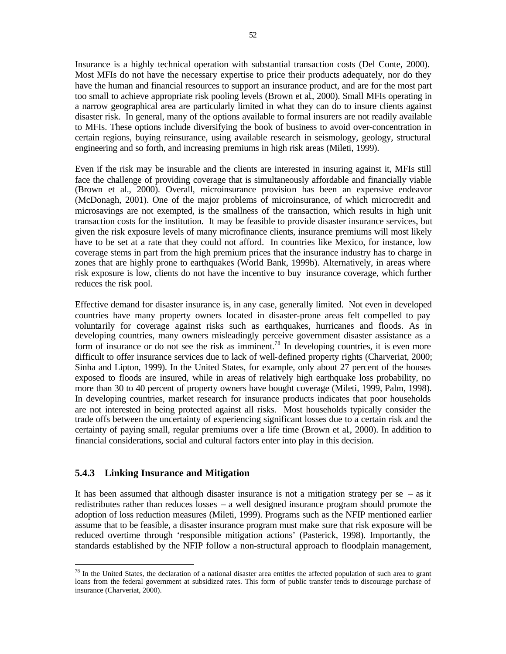Insurance is a highly technical operation with substantial transaction costs (Del Conte, 2000). Most MFIs do not have the necessary expertise to price their products adequately, nor do they have the human and financial resources to support an insurance product, and are for the most part too small to achieve appropriate risk pooling levels (Brown et al., 2000). Small MFIs operating in a narrow geographical area are particularly limited in what they can do to insure clients against disaster risk. In general, many of the options available to formal insurers are not readily available to MFIs. These options include diversifying the book of business to avoid over-concentration in certain regions, buying reinsurance, using available research in seismology, geology, structural engineering and so forth, and increasing premiums in high risk areas (Mileti, 1999).

Even if the risk may be insurable and the clients are interested in insuring against it, MFIs still face the challenge of providing coverage that is simultaneously affordable and financially viable (Brown et al., 2000). Overall, microinsurance provision has been an expensive endeavor (McDonagh, 2001). One of the major problems of microinsurance, of which microcredit and microsavings are not exempted, is the smallness of the transaction, which results in high unit transaction costs for the institution. It may be feasible to provide disaster insurance services, but given the risk exposure levels of many microfinance clients, insurance premiums will most likely have to be set at a rate that they could not afford. In countries like Mexico, for instance, low coverage stems in part from the high premium prices that the insurance industry has to charge in zones that are highly prone to earthquakes (World Bank, 1999b). Alternatively, in areas where risk exposure is low, clients do not have the incentive to buy insurance coverage, which further reduces the risk pool.

Effective demand for disaster insurance is, in any case, generally limited. Not even in developed countries have many property owners located in disaster-prone areas felt compelled to pay voluntarily for coverage against risks such as earthquakes, hurricanes and floods. As in developing countries, many owners misleadingly perceive government disaster assistance as a form of insurance or do not see the risk as imminent.<sup>78</sup> In developing countries, it is even more difficult to offer insurance services due to lack of well-defined property rights (Charveriat, 2000; Sinha and Lipton, 1999). In the United States, for example, only about 27 percent of the houses exposed to floods are insured, while in areas of relatively high earthquake loss probability, no more than 30 to 40 percent of property owners have bought coverage (Mileti, 1999, Palm, 1998). In developing countries, market research for insurance products indicates that poor households are not interested in being protected against all risks. Most households typically consider the trade offs between the uncertainty of experiencing significant losses due to a certain risk and the certainty of paying small, regular premiums over a life time (Brown et al., 2000). In addition to financial considerations, social and cultural factors enter into play in this decision.

# **5.4.3 Linking Insurance and Mitigation**

 $\overline{a}$ 

It has been assumed that although disaster insurance is not a mitigation strategy per  $se - as$  it redistributes rather than reduces losses – a well designed insurance program should promote the adoption of loss reduction measures (Mileti, 1999). Programs such as the NFIP mentioned earlier assume that to be feasible, a disaster insurance program must make sure that risk exposure will be reduced overtime through 'responsible mitigation actions' (Pasterick, 1998). Importantly, the standards established by the NFIP follow a non-structural approach to floodplain management,

 $78$  In the United States, the declaration of a national disaster area entitles the affected population of such area to grant loans from the federal government at subsidized rates. This form of public transfer tends to discourage purchase of insurance (Charveriat, 2000).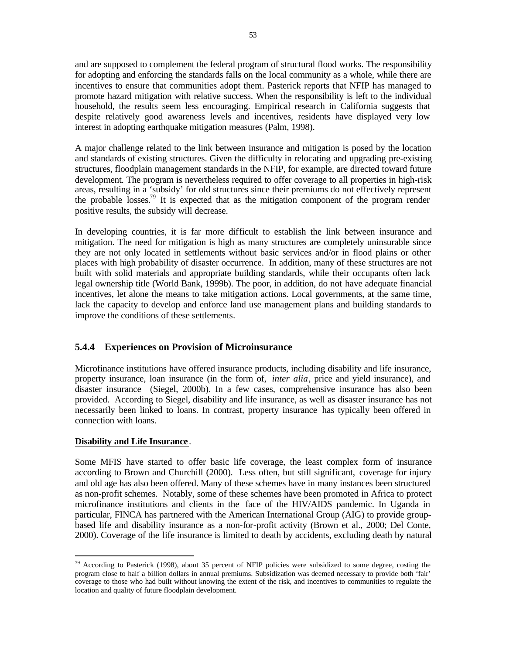and are supposed to complement the federal program of structural flood works. The responsibility for adopting and enforcing the standards falls on the local community as a whole, while there are incentives to ensure that communities adopt them. Pasterick reports that NFIP has managed to promote hazard mitigation with relative success. When the responsibility is left to the individual household, the results seem less encouraging. Empirical research in California suggests that despite relatively good awareness levels and incentives, residents have displayed very low interest in adopting earthquake mitigation measures (Palm, 1998).

A major challenge related to the link between insurance and mitigation is posed by the location and standards of existing structures. Given the difficulty in relocating and upgrading pre-existing structures, floodplain management standards in the NFIP, for example, are directed toward future development. The program is nevertheless required to offer coverage to all properties in high-risk areas, resulting in a 'subsidy' for old structures since their premiums do not effectively represent the probable losses.<sup>79</sup> It is expected that as the mitigation component of the program render positive results, the subsidy will decrease.

In developing countries, it is far more difficult to establish the link between insurance and mitigation. The need for mitigation is high as many structures are completely uninsurable since they are not only located in settlements without basic services and/or in flood plains or other places with high probability of disaster occurrence. In addition, many of these structures are not built with solid materials and appropriate building standards, while their occupants often lack legal ownership title (World Bank, 1999b). The poor, in addition, do not have adequate financial incentives, let alone the means to take mitigation actions. Local governments, at the same time, lack the capacity to develop and enforce land use management plans and building standards to improve the conditions of these settlements.

# **5.4.4 Experiences on Provision of Microinsurance**

Microfinance institutions have offered insurance products, including disability and life insurance, property insurance, loan insurance (in the form of, *inter alia*, price and yield insurance), and disaster insurance (Siegel, 2000b). In a few cases, comprehensive insurance has also been provided. According to Siegel, disability and life insurance, as well as disaster insurance has not necessarily been linked to loans. In contrast, property insurance has typically been offered in connection with loans.

#### **Disability and Life Insurance** .

 $\overline{a}$ 

Some MFIS have started to offer basic life coverage, the least complex form of insurance according to Brown and Churchill (2000). Less often, but still significant, coverage for injury and old age has also been offered. Many of these schemes have in many instances been structured as non-profit schemes. Notably, some of these schemes have been promoted in Africa to protect microfinance institutions and clients in the face of the HIV/AIDS pandemic. In Uganda in particular, FINCA has partnered with the American International Group (AIG) to provide groupbased life and disability insurance as a non-for-profit activity (Brown et al., 2000; Del Conte, 2000). Coverage of the life insurance is limited to death by accidents, excluding death by natural

<sup>&</sup>lt;sup>79</sup> According to Pasterick (1998), about 35 percent of NFIP policies were subsidized to some degree, costing the program close to half a billion dollars in annual premiums. Subsidization was deemed necessary to provide both 'fair' coverage to those who had built without knowing the extent of the risk, and incentives to communities to regulate the location and quality of future floodplain development.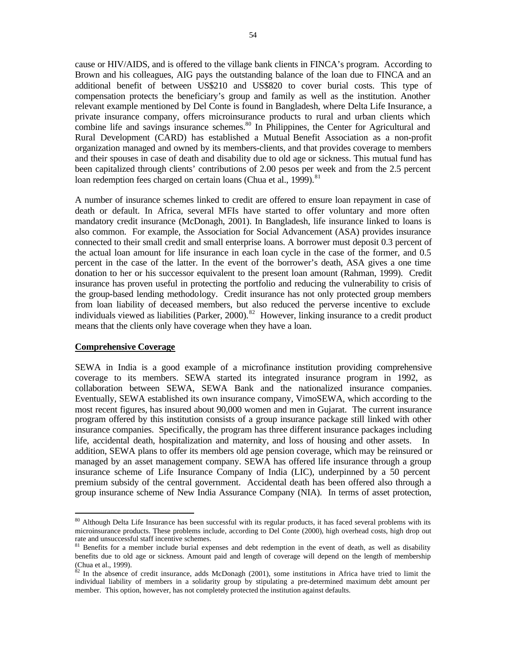cause or HIV/AIDS, and is offered to the village bank clients in FINCA's program. According to Brown and his colleagues, AIG pays the outstanding balance of the loan due to FINCA and an additional benefit of between US\$210 and US\$820 to cover burial costs. This type of

compensation protects the beneficiary's group and family as well as the institution. Another relevant example mentioned by Del Conte is found in Bangladesh, where Delta Life Insurance, a private insurance company, offers microinsurance products to rural and urban clients which combine life and savings insurance schemes.<sup>80</sup> In Philippines, the Center for Agricultural and Rural Development (CARD) has established a Mutual Benefit Association as a non-profit organization managed and owned by its members-clients, and that provides coverage to members and their spouses in case of death and disability due to old age or sickness. This mutual fund has been capitalized through clients' contributions of 2.00 pesos per week and from the 2.5 percent loan redemption fees charged on certain loans (Chua et al., 1999).<sup>81</sup>

A number of insurance schemes linked to credit are offered to ensure loan repayment in case of death or default. In Africa, several MFIs have started to offer voluntary and more often mandatory credit insurance (McDonagh, 2001). In Bangladesh, life insurance linked to loans is also common. For example, the Association for Social Advancement (ASA) provides insurance connected to their small credit and small enterprise loans. A borrower must deposit 0.3 percent of the actual loan amount for life insurance in each loan cycle in the case of the former, and 0.5 percent in the case of the latter. In the event of the borrower's death, ASA gives a one time donation to her or his successor equivalent to the present loan amount (Rahman, 1999). Credit insurance has proven useful in protecting the portfolio and reducing the vulnerability to crisis of the group-based lending methodology. Credit insurance has not only protected group members from loan liability of deceased members, but also reduced the perverse incentive to exclude individuals viewed as liabilities (Parker, 2000).<sup>82</sup> However, linking insurance to a credit product means that the clients only have coverage when they have a loan.

#### **Comprehensive Coverage**

 $\overline{a}$ 

SEWA in India is a good example of a microfinance institution providing comprehensive coverage to its members. SEWA started its integrated insurance program in 1992, as collaboration between SEWA, SEWA Bank and the nationalized insurance companies. Eventually, SEWA established its own insurance company, VimoSEWA, which according to the most recent figures, has insured about 90,000 women and men in Gujarat. The current insurance program offered by this institution consists of a group insurance package still linked with other insurance companies. Specifically, the program has three different insurance packages including life, accidental death, hospitalization and maternity, and loss of housing and other assets. In addition, SEWA plans to offer its members old age pension coverage, which may be reinsured or managed by an asset management company. SEWA has offered life insurance through a group insurance scheme of Life Insurance Company of India (LIC), underpinned by a 50 percent premium subsidy of the central government. Accidental death has been offered also through a group insurance scheme of New India Assurance Company (NIA). In terms of asset protection,

<sup>&</sup>lt;sup>80</sup> Although Delta Life Insurance has been successful with its regular products, it has faced several problems with its microinsurance products. These problems include, according to Del Conte (2000), high overhead costs, high drop out rate and unsuccessful staff incentive schemes.

 $81$  Benefits for a member include burial expenses and debt redemption in the event of death, as well as disability benefits due to old age or sickness. Amount paid and length of coverage will depend on the length of membership (Chua et al., 1999).

 $82$  In the absence of credit insurance, adds McDonagh (2001), some institutions in Africa have tried to limit the individual liability of members in a solidarity group by stipulating a pre-determined maximum debt amount per member. This option, however, has not completely protected the institution against defaults.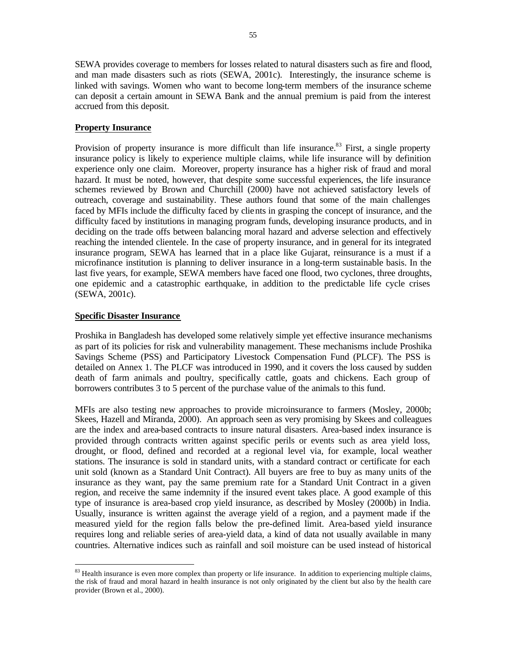SEWA provides coverage to members for losses related to natural disasters such as fire and flood, and man made disasters such as riots (SEWA, 2001c). Interestingly, the insurance scheme is linked with savings. Women who want to become long-term members of the insurance scheme can deposit a certain amount in SEWA Bank and the annual premium is paid from the interest accrued from this deposit.

# **Property Insurance**

Provision of property insurance is more difficult than life insurance.<sup>83</sup> First, a single property insurance policy is likely to experience multiple claims, while life insurance will by definition experience only one claim. Moreover, property insurance has a higher risk of fraud and moral hazard. It must be noted, however, that despite some successful experiences, the life insurance schemes reviewed by Brown and Churchill (2000) have not achieved satisfactory levels of outreach, coverage and sustainability. These authors found that some of the main challenges faced by MFIs include the difficulty faced by clients in grasping the concept of insurance, and the difficulty faced by institutions in managing program funds, developing insurance products, and in deciding on the trade offs between balancing moral hazard and adverse selection and effectively reaching the intended clientele. In the case of property insurance, and in general for its integrated insurance program, SEWA has learned that in a place like Gujarat, reinsurance is a must if a microfinance institution is planning to deliver insurance in a long-term sustainable basis. In the last five years, for example, SEWA members have faced one flood, two cyclones, three droughts, one epidemic and a catastrophic earthquake, in addition to the predictable life cycle crises (SEWA, 2001c).

## **Specific Disaster Insurance**

 $\overline{a}$ 

Proshika in Bangladesh has developed some relatively simple yet effective insurance mechanisms as part of its policies for risk and vulnerability management. These mechanisms include Proshika Savings Scheme (PSS) and Participatory Livestock Compensation Fund (PLCF). The PSS is detailed on Annex 1. The PLCF was introduced in 1990, and it covers the loss caused by sudden death of farm animals and poultry, specifically cattle, goats and chickens. Each group of borrowers contributes 3 to 5 percent of the purchase value of the animals to this fund.

MFIs are also testing new approaches to provide microinsurance to farmers (Mosley, 2000b; Skees, Hazell and Miranda, 2000). An approach seen as very promising by Skees and colleagues are the index and area-based contracts to insure natural disasters. Area-based index insurance is provided through contracts written against specific perils or events such as area yield loss, drought, or flood, defined and recorded at a regional level via, for example, local weather stations. The insurance is sold in standard units, with a standard contract or certificate for each unit sold (known as a Standard Unit Contract). All buyers are free to buy as many units of the insurance as they want, pay the same premium rate for a Standard Unit Contract in a given region, and receive the same indemnity if the insured event takes place. A good example of this type of insurance is area-based crop yield insurance, as described by Mosley (2000b) in India. Usually, insurance is written against the average yield of a region, and a payment made if the measured yield for the region falls below the pre-defined limit. Area-based yield insurance requires long and reliable series of area-yield data, a kind of data not usually available in many countries. Alternative indices such as rainfall and soil moisture can be used instead of historical

<sup>&</sup>lt;sup>83</sup> Health insurance is even more complex than property or life insurance. In addition to experiencing multiple claims, the risk of fraud and moral hazard in health insurance is not only originated by the client but also by the health care provider (Brown et al., 2000).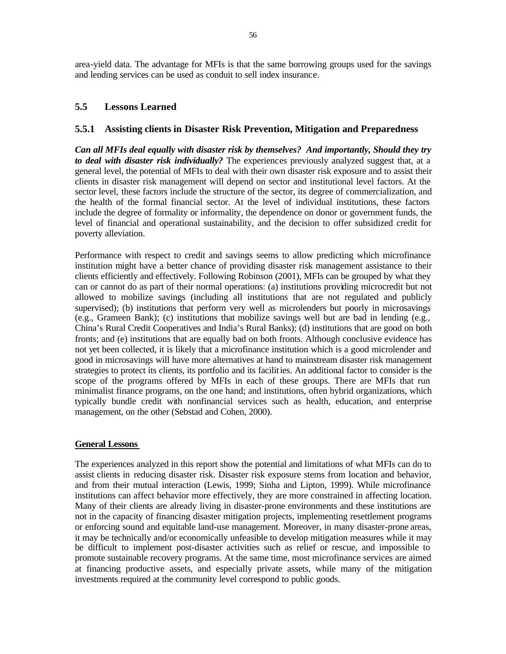area-yield data. The advantage for MFIs is that the same borrowing groups used for the savings and lending services can be used as conduit to sell index insurance.

# **5.5 Lessons Learned**

## **5.5.1 Assisting clients in Disaster Risk Prevention, Mitigation and Preparedness**

*Can all MFIs deal equally with disaster risk by themselves? And importantly, Should they try to deal with disaster risk individually?* The experiences previously analyzed suggest that, at a general level, the potential of MFIs to deal with their own disaster risk exposure and to assist their clients in disaster risk management will depend on sector and institutional level factors. At the sector level, these factors include the structure of the sector, its degree of commercialization, and the health of the formal financial sector. At the level of individual institutions, these factors include the degree of formality or informality, the dependence on donor or government funds, the level of financial and operational sustainability, and the decision to offer subsidized credit for poverty alleviation.

Performance with respect to credit and savings seems to allow predicting which microfinance institution might have a better chance of providing disaster risk management assistance to their clients efficiently and effectively. Following Robinson (2001), MFIs can be grouped by what they can or cannot do as part of their normal operations: (a) institutions providing microcredit but not allowed to mobilize savings (including all institutions that are not regulated and publicly supervised); (b) institutions that perform very well as microlenders but poorly in microsavings (e.g., Grameen Bank); (c) institutions that mobilize savings well but are bad in lending (e.g., China's Rural Credit Cooperatives and India's Rural Banks); (d) institutions that are good on both fronts; and (e) institutions that are equally bad on both fronts. Although conclusive evidence has not yet been collected, it is likely that a microfinance institution which is a good microlender and good in microsavings will have more alternatives at hand to mainstream disaster risk management strategies to protect its clients, its portfolio and its facilities. An additional factor to consider is the scope of the programs offered by MFIs in each of these groups. There are MFIs that run minimalist finance programs, on the one hand; and institutions, often hybrid organizations, which typically bundle credit with nonfinancial services such as health, education, and enterprise management, on the other (Sebstad and Cohen, 2000).

## **General Lessons**

The experiences analyzed in this report show the potential and limitations of what MFIs can do to assist clients in reducing disaster risk. Disaster risk exposure stems from location and behavior, and from their mutual interaction (Lewis, 1999; Sinha and Lipton, 1999). While microfinance institutions can affect behavior more effectively, they are more constrained in affecting location. Many of their clients are already living in disaster-prone environments and these institutions are not in the capacity of financing disaster mitigation projects, implementing resettlement programs or enforcing sound and equitable land-use management. Moreover, in many disaster-prone areas, it may be technically and/or economically unfeasible to develop mitigation measures while it may be difficult to implement post-disaster activities such as relief or rescue, and impossible to promote sustainable recovery programs. At the same time, most microfinance services are aimed at financing productive assets, and especially private assets, while many of the mitigation investments required at the community level correspond to public goods.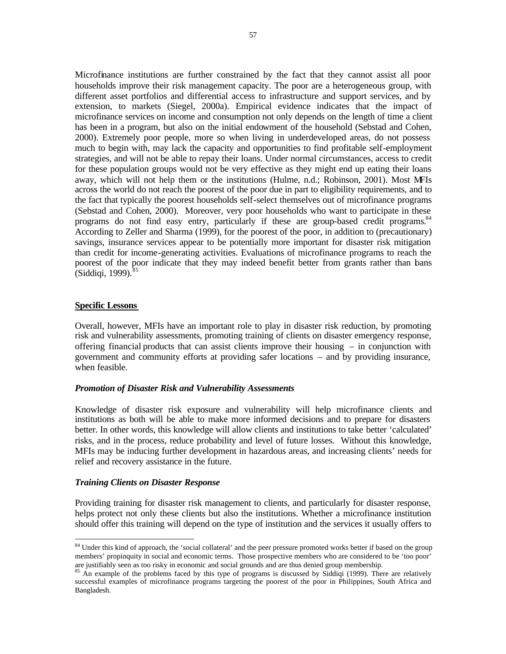Microfinance institutions are further constrained by the fact that they cannot assist all poor households improve their risk management capacity. The poor are a heterogeneous group, with different asset portfolios and differential access to infrastructure and support services, and by extension, to markets (Siegel, 2000a). Empirical evidence indicates that the impact of microfinance services on income and consumption not only depends on the length of time a client has been in a program, but also on the initial endowment of the household (Sebstad and Cohen, 2000). Extremely poor people, more so when living in underdeveloped areas, do not possess much to begin with, may lack the capacity and opportunities to find profitable self-employment strategies, and will not be able to repay their loans. Under normal circumstances, access to credit for these population groups would not be very effective as they might end up eating their loans away, which will not help them or the institutions (Hulme, n.d.; Robinson, 2001). Most MFIs across the world do not reach the poorest of the poor due in part to eligibility requirements, and to the fact that typically the poorest households self-select themselves out of microfinance programs (Sebstad and Cohen, 2000). Moreover, very poor households who want to participate in these programs do not find easy entry, particularly if these are group-based credit programs.<sup>84</sup> According to Zeller and Sharma (1999), for the poorest of the poor, in addition to (precautionary) savings, insurance services appear to be potentially more important for disaster risk mitigation than credit for income-generating activities. Evaluations of microfinance programs to reach the poorest of the poor indicate that they may indeed benefit better from grants rather than bans  $(Siddiqi, 1999).$ <sup>85</sup>

### **Specific Lessons**

 $\overline{a}$ 

Overall, however, MFIs have an important role to play in disaster risk reduction, by promoting risk and vulnerability assessments, promoting training of clients on disaster emergency response, offering financial products that can assist clients improve their housing – in conjunction with government and community efforts at providing safer locations – and by providing insurance, when feasible.

#### *Promotion of Disaster Risk and Vulnerability Assessments*

Knowledge of disaster risk exposure and vulnerability will help microfinance clients and institutions as both will be able to make more informed decisions and to prepare for disasters better. In other words, this knowledge will allow clients and institutions to take better 'calculated' risks, and in the process, reduce probability and level of future losses. Without this knowledge, MFIs may be inducing further development in hazardous areas, and increasing clients' needs for relief and recovery assistance in the future.

#### *Training Clients on Disaster Response*

Providing training for disaster risk management to clients, and particularly for disaster response, helps protect not only these clients but also the institutions. Whether a microfinance institution should offer this training will depend on the type of institution and the services it usually offers to

<sup>&</sup>lt;sup>84</sup> Under this kind of approach, the 'social collateral' and the peer pressure promoted works better if based on the group members' propinquity in social and economic terms. Those prospective members who are considered to be 'too poor' are justifiably seen as too risky in economic and social grounds and are thus denied group membership.

<sup>&</sup>lt;sup>85</sup> An example of the problems faced by this type of programs is discussed by Siddiqi (1999). There are relatively successful examples of microfinance programs targeting the poorest of the poor in Philippines, South Africa and Bangladesh.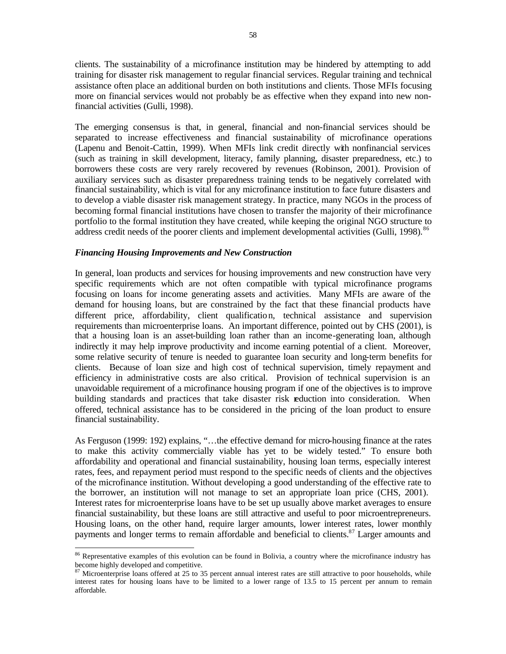clients. The sustainability of a microfinance institution may be hindered by attempting to add training for disaster risk management to regular financial services. Regular training and technical assistance often place an additional burden on both institutions and clients. Those MFIs focusing more on financial services would not probably be as effective when they expand into new nonfinancial activities (Gulli, 1998).

The emerging consensus is that, in general, financial and non-financial services should be separated to increase effectiveness and financial sustainability of microfinance operations (Lapenu and Benoit-Cattin, 1999). When MFIs link credit directly with nonfinancial services (such as training in skill development, literacy, family planning, disaster preparedness, etc.) to borrowers these costs are very rarely recovered by revenues (Robinson, 2001). Provision of auxiliary services such as disaster preparedness training tends to be negatively correlated with financial sustainability, which is vital for any microfinance institution to face future disasters and to develop a viable disaster risk management strategy. In practice, many NGOs in the process of becoming formal financial institutions have chosen to transfer the majority of their microfinance portfolio to the formal institution they have created, while keeping the original NGO structure to address credit needs of the poorer clients and implement developmental activities (Gulli, 1998).<sup>86</sup>

### *Financing Housing Improvements and New Construction*

 $\overline{a}$ 

In general, loan products and services for housing improvements and new construction have very specific requirements which are not often compatible with typical microfinance programs focusing on loans for income generating assets and activities. Many MFIs are aware of the demand for housing loans, but are constrained by the fact that these financial products have different price, affordability, client qualification, technical assistance and supervision requirements than microenterprise loans. An important difference, pointed out by CHS (2001), is that a housing loan is an asset-building loan rather than an income-generating loan, although indirectly it may help improve productivity and income earning potential of a client. Moreover, some relative security of tenure is needed to guarantee loan security and long-term benefits for clients. Because of loan size and high cost of technical supervision, timely repayment and efficiency in administrative costs are also critical. Provision of technical supervision is an unavoidable requirement of a microfinance housing program if one of the objectives is to improve building standards and practices that take disaster risk reduction into consideration. When offered, technical assistance has to be considered in the pricing of the loan product to ensure financial sustainability.

As Ferguson (1999: 192) explains, "…the effective demand for micro-housing finance at the rates to make this activity commercially viable has yet to be widely tested." To ensure both affordability and operational and financial sustainability, housing loan terms, especially interest rates, fees, and repayment period must respond to the specific needs of clients and the objectives of the microfinance institution. Without developing a good understanding of the effective rate to the borrower, an institution will not manage to set an appropriate loan price (CHS, 2001). Interest rates for microenterprise loans have to be set up usually above market averages to ensure financial sustainability, but these loans are still attractive and useful to poor microentrepreneurs. Housing loans, on the other hand, require larger amounts, lower interest rates, lower monthly payments and longer terms to remain affordable and beneficial to clients.<sup>87</sup> Larger amounts and

<sup>86</sup> Representative examples of this evolution can be found in Bolivia, a country where the microfinance industry has become highly developed and competitive.

 $87$  Microenterprise loans offered at 25 to 35 percent annual interest rates are still attractive to poor households, while interest rates for housing loans have to be limited to a lower range of 13.5 to 15 percent per annum to remain affordable.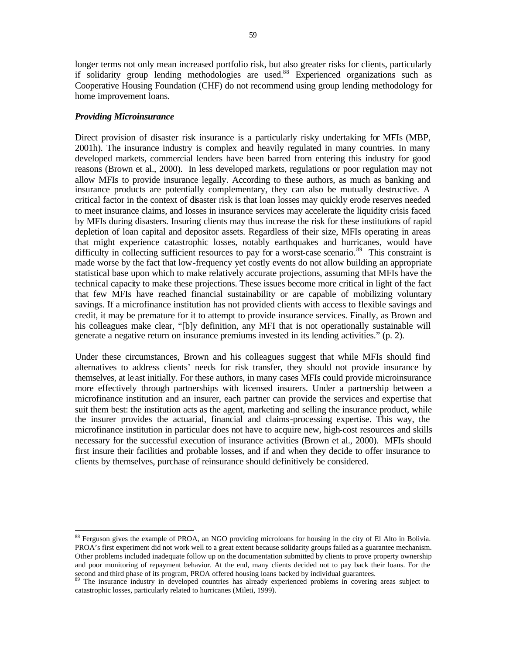longer terms not only mean increased portfolio risk, but also greater risks for clients, particularly if solidarity group lending methodologies are used.<sup>88</sup> Experienced organizations such as Cooperative Housing Foundation (CHF) do not recommend using group lending methodology for home improvement loans.

#### *Providing Microinsurance*

 $\overline{a}$ 

Direct provision of disaster risk insurance is a particularly risky undertaking for MFIs (MBP, 2001h). The insurance industry is complex and heavily regulated in many countries. In many developed markets, commercial lenders have been barred from entering this industry for good reasons (Brown et al., 2000). In less developed markets, regulations or poor regulation may not allow MFIs to provide insurance legally. According to these authors, as much as banking and insurance products are potentially complementary, they can also be mutually destructive. A critical factor in the context of disaster risk is that loan losses may quickly erode reserves needed to meet insurance claims, and losses in insurance services may accelerate the liquidity crisis faced by MFIs during disasters. Insuring clients may thus increase the risk for these institutions of rapid depletion of loan capital and depositor assets. Regardless of their size, MFIs operating in areas that might experience catastrophic losses, notably earthquakes and hurricanes, would have difficulty in collecting sufficient resources to pay for a worst-case scenario.<sup>89</sup> This constraint is made worse by the fact that low-frequency yet costly events do not allow building an appropriate statistical base upon which to make relatively accurate projections, assuming that MFIs have the technical capacity to make these projections. These issues become more critical in light of the fact that few MFIs have reached financial sustainability or are capable of mobilizing voluntary savings. If a microfinance institution has not provided clients with access to flexible savings and credit, it may be premature for it to attempt to provide insurance services. Finally, as Brown and his colleagues make clear, "[b]y definition, any MFI that is not operationally sustainable will generate a negative return on insurance premiums invested in its lending activities." (p. 2).

Under these circumstances, Brown and his colleagues suggest that while MFIs should find alternatives to address clients' needs for risk transfer, they should not provide insurance by themselves, at least initially. For these authors, in many cases MFIs could provide microinsurance more effectively through partnerships with licensed insurers. Under a partnership between a microfinance institution and an insurer, each partner can provide the services and expertise that suit them best: the institution acts as the agent, marketing and selling the insurance product, while the insurer provides the actuarial, financial and claims-processing expertise. This way, the microfinance institution in particular does not have to acquire new, high-cost resources and skills necessary for the successful execution of insurance activities (Brown et al., 2000). MFIs should first insure their facilities and probable losses, and if and when they decide to offer insurance to clients by themselves, purchase of reinsurance should definitively be considered.

<sup>&</sup>lt;sup>88</sup> Ferguson gives the example of PROA, an NGO providing microloans for housing in the city of El Alto in Bolivia. PROA's first experiment did not work well to a great extent because solidarity groups failed as a guarantee mechanism. Other problems included inadequate follow up on the documentation submitted by clients to prove property ownership and poor monitoring of repayment behavior. At the end, many clients decided not to pay back their loans. For the  $\sigma$  is expressed and third phase of its program, PROA offered housing loans backed by individual guarantees.<br><sup>89</sup> The insurance industry in development

The insurance industry in developed countries has already experienced problems in covering areas subject to catastrophic losses, particularly related to hurricanes (Mileti, 1999).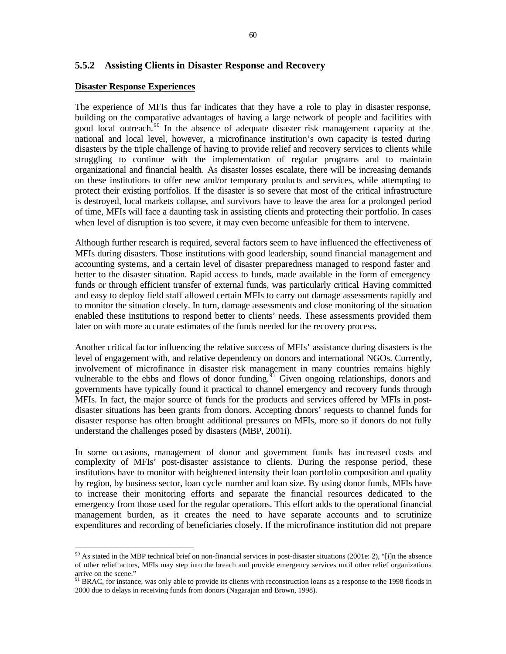# **5.5.2 Assisting Clients in Disaster Response and Recovery**

#### **Disaster Response Experiences**

The experience of MFIs thus far indicates that they have a role to play in disaster response, building on the comparative advantages of having a large network of people and facilities with good local outreach.<sup>90</sup> In the absence of adequate disaster risk management capacity at the national and local level, however, a microfinance institution's own capacity is tested during disasters by the triple challenge of having to provide relief and recovery services to clients while struggling to continue with the implementation of regular programs and to maintain organizational and financial health. As disaster losses escalate, there will be increasing demands on these institutions to offer new and/or temporary products and services, while attempting to protect their existing portfolios. If the disaster is so severe that most of the critical infrastructure is destroyed, local markets collapse, and survivors have to leave the area for a prolonged period of time, MFIs will face a daunting task in assisting clients and protecting their portfolio. In cases when level of disruption is too severe, it may even become unfeasible for them to intervene.

Although further research is required, several factors seem to have influenced the effectiveness of MFIs during disasters. Those institutions with good leadership, sound financial management and accounting systems, and a certain level of disaster preparedness managed to respond faster and better to the disaster situation. Rapid access to funds, made available in the form of emergency funds or through efficient transfer of external funds, was particularly critical. Having committed and easy to deploy field staff allowed certain MFIs to carry out damage assessments rapidly and to monitor the situation closely. In turn, damage assessments and close monitoring of the situation enabled these institutions to respond better to clients' needs. These assessments provided them later on with more accurate estimates of the funds needed for the recovery process.

Another critical factor influencing the relative success of MFIs' assistance during disasters is the level of engagement with, and relative dependency on donors and international NGOs. Currently, involvement of microfinance in disaster risk management in many countries remains highly vulnerable to the ebbs and flows of donor funding.<sup>91</sup> Given ongoing relationships, donors and governments have typically found it practical to channel emergency and recovery funds through MFIs. In fact, the major source of funds for the products and services offered by MFIs in postdisaster situations has been grants from donors. Accepting donors' requests to channel funds for disaster response has often brought additional pressures on MFIs, more so if donors do not fully understand the challenges posed by disasters (MBP, 2001i).

In some occasions, management of donor and government funds has increased costs and complexity of MFIs' post-disaster assistance to clients. During the response period, these institutions have to monitor with heightened intensity their loan portfolio composition and quality by region, by business sector, loan cycle number and loan size. By using donor funds, MFIs have to increase their monitoring efforts and separate the financial resources dedicated to the emergency from those used for the regular operations. This effort adds to the operational financial management burden, as it creates the need to have separate accounts and to scrutinize expenditures and recording of beneficiaries closely. If the microfinance institution did not prepare

 $\overline{a}$  $90$  As stated in the MBP technical brief on non-financial services in post-disaster situations (2001e: 2), "[i]n the absence of other relief actors, MFIs may step into the breach and provide emergency services until other relief organizations arrive on the scene."

<sup>&</sup>lt;sup>91</sup> BRAC, for instance, was only able to provide its clients with reconstruction loans as a response to the 1998 floods in 2000 due to delays in receiving funds from donors (Nagarajan and Brown, 1998).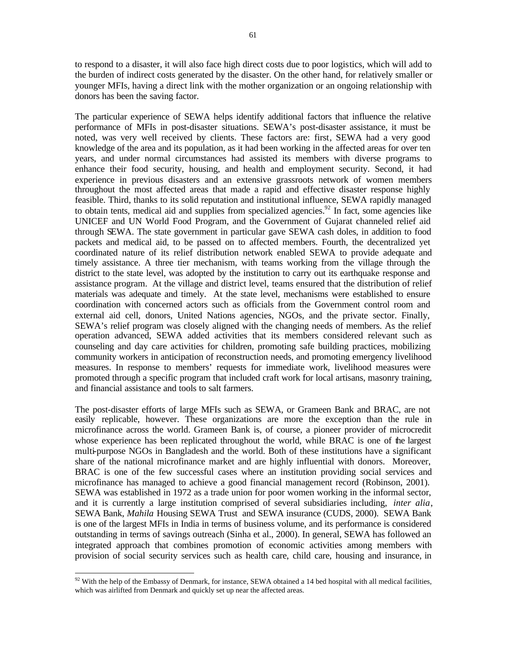to respond to a disaster, it will also face high direct costs due to poor logistics, which will add to the burden of indirect costs generated by the disaster. On the other hand, for relatively smaller or younger MFIs, having a direct link with the mother organization or an ongoing relationship with donors has been the saving factor.

The particular experience of SEWA helps identify additional factors that influence the relative performance of MFIs in post-disaster situations. SEWA's post-disaster assistance, it must be noted, was very well received by clients. These factors are: first, SEWA had a very good knowledge of the area and its population, as it had been working in the affected areas for over ten years, and under normal circumstances had assisted its members with diverse programs to enhance their food security, housing, and health and employment security. Second, it had experience in previous disasters and an extensive grassroots network of women members throughout the most affected areas that made a rapid and effective disaster response highly feasible. Third, thanks to its solid reputation and institutional influence, SEWA rapidly managed to obtain tents, medical aid and supplies from specialized agencies.<sup>92</sup> In fact, some agencies like UNICEF and UN World Food Program, and the Government of Gujarat channeled relief aid through SEWA. The state government in particular gave SEWA cash doles, in addition to food packets and medical aid, to be passed on to affected members. Fourth, the decentralized yet coordinated nature of its relief distribution network enabled SEWA to provide adequate and timely assistance. A three tier mechanism, with teams working from the village through the district to the state level, was adopted by the institution to carry out its earthquake response and assistance program. At the village and district level, teams ensured that the distribution of relief materials was adequate and timely. At the state level, mechanisms were established to ensure coordination with concerned actors such as officials from the Government control room and external aid cell, donors, United Nations agencies, NGOs, and the private sector. Finally, SEWA's relief program was closely aligned with the changing needs of members. As the relief operation advanced, SEWA added activities that its members considered relevant such as counseling and day care activities for children, promoting safe building practices, mobilizing community workers in anticipation of reconstruction needs, and promoting emergency livelihood measures. In response to members' requests for immediate work, livelihood measures were promoted through a specific program that included craft work for local artisans, masonry training, and financial assistance and tools to salt farmers.

The post-disaster efforts of large MFIs such as SEWA, or Grameen Bank and BRAC, are not easily replicable, however. These organizations are more the exception than the rule in microfinance across the world. Grameen Bank is, of course, a pioneer provider of microcredit whose experience has been replicated throughout the world, while BRAC is one of the largest multi-purpose NGOs in Bangladesh and the world. Both of these institutions have a significant share of the national microfinance market and are highly influential with donors. Moreover, BRAC is one of the few successful cases where an institution providing social services and microfinance has managed to achieve a good financial management record (Robinson, 2001). SEWA was established in 1972 as a trade union for poor women working in the informal sector, and it is currently a large institution comprised of several subsidiaries including, *inter alia*, SEWA Bank, *Mahila* Housing SEWA Trust and SEWA insurance (CUDS, 2000). SEWA Bank is one of the largest MFIs in India in terms of business volume, and its performance is considered outstanding in terms of savings outreach (Sinha et al., 2000). In general, SEWA has followed an integrated approach that combines promotion of economic activities among members with provision of social security services such as health care, child care, housing and insurance, in

 $\overline{a}$  $92$  With the help of the Embassy of Denmark, for instance, SEWA obtained a 14 bed hospital with all medical facilities, which was airlifted from Denmark and quickly set up near the affected areas.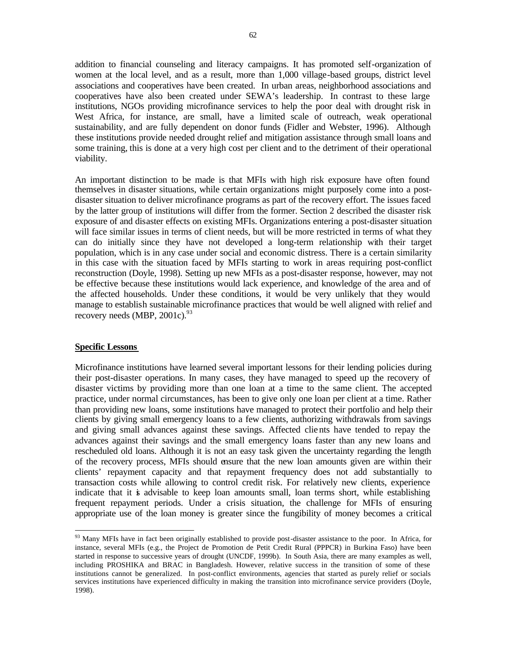addition to financial counseling and literacy campaigns. It has promoted self-organization of women at the local level, and as a result, more than 1,000 village-based groups, district level associations and cooperatives have been created. In urban areas, neighborhood associations and cooperatives have also been created under SEWA's leadership. In contrast to these large institutions, NGOs providing microfinance services to help the poor deal with drought risk in West Africa, for instance, are small, have a limited scale of outreach, weak operational sustainability, and are fully dependent on donor funds (Fidler and Webster, 1996). Although these institutions provide needed drought relief and mitigation assistance through small loans and some training, this is done at a very high cost per client and to the detriment of their operational viability.

An important distinction to be made is that MFIs with high risk exposure have often found themselves in disaster situations, while certain organizations might purposely come into a postdisaster situation to deliver microfinance programs as part of the recovery effort. The issues faced by the latter group of institutions will differ from the former. Section 2 described the disaster risk exposure of and disaster effects on existing MFIs. Organizations entering a post-disaster situation will face similar issues in terms of client needs, but will be more restricted in terms of what they can do initially since they have not developed a long-term relationship with their target population, which is in any case under social and economic distress. There is a certain similarity in this case with the situation faced by MFIs starting to work in areas requiring post-conflict reconstruction (Doyle, 1998). Setting up new MFIs as a post-disaster response, however, may not be effective because these institutions would lack experience, and knowledge of the area and of the affected households. Under these conditions, it would be very unlikely that they would manage to establish sustainable microfinance practices that would be well aligned with relief and recovery needs  $(MBP, 2001c)^{93}$ 

#### **Specific Lessons**

 $\overline{a}$ 

Microfinance institutions have learned several important lessons for their lending policies during their post-disaster operations. In many cases, they have managed to speed up the recovery of disaster victims by providing more than one loan at a time to the same client. The accepted practice, under normal circumstances, has been to give only one loan per client at a time. Rather than providing new loans, some institutions have managed to protect their portfolio and help their clients by giving small emergency loans to a few clients, authorizing withdrawals from savings and giving small advances against these savings. Affected clients have tended to repay the advances against their savings and the small emergency loans faster than any new loans and rescheduled old loans. Although it is not an easy task given the uncertainty regarding the length of the recovery process, MFIs should ensure that the new loan amounts given are within their clients' repayment capacity and that repayment frequency does not add substantially to transaction costs while allowing to control credit risk. For relatively new clients, experience indicate that it is advisable to keep loan amounts small, loan terms short, while establishing frequent repayment periods. Under a crisis situation, the challenge for MFIs of ensuring appropriate use of the loan money is greater since the fungibility of money becomes a critical

<sup>&</sup>lt;sup>93</sup> Many MFIs have in fact been originally established to provide post-disaster assistance to the poor. In Africa, for instance, several MFIs (e.g., the Project de Promotion de Petit Credit Rural (PPPCR) in Burkina Faso) have been started in response to successive years of drought (UNCDF, 1999b). In South Asia, there are many examples as well, including PROSHIKA and BRAC in Bangladesh. However, relative success in the transition of some of these institutions cannot be generalized. In post-conflict environments, agencies that started as purely relief or socials services institutions have experienced difficulty in making the transition into microfinance service providers (Doyle, 1998).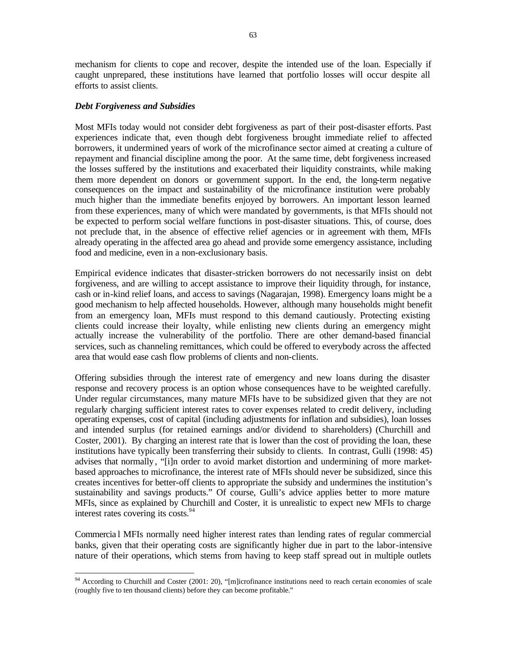mechanism for clients to cope and recover, despite the intended use of the loan. Especially if caught unprepared, these institutions have learned that portfolio losses will occur despite all efforts to assist clients.

### *Debt Forgiveness and Subsidies*

Most MFIs today would not consider debt forgiveness as part of their post-disaster efforts. Past experiences indicate that, even though debt forgiveness brought immediate relief to affected borrowers, it undermined years of work of the microfinance sector aimed at creating a culture of repayment and financial discipline among the poor. At the same time, debt forgiveness increased the losses suffered by the institutions and exacerbated their liquidity constraints, while making them more dependent on donors or government support. In the end, the long-term negative consequences on the impact and sustainability of the microfinance institution were probably much higher than the immediate benefits enjoyed by borrowers. An important lesson learned from these experiences, many of which were mandated by governments, is that MFIs should not be expected to perform social welfare functions in post-disaster situations. This, of course, does not preclude that, in the absence of effective relief agencies or in agreement with them, MFIs already operating in the affected area go ahead and provide some emergency assistance, including food and medicine, even in a non-exclusionary basis.

Empirical evidence indicates that disaster-stricken borrowers do not necessarily insist on debt forgiveness, and are willing to accept assistance to improve their liquidity through, for instance, cash or in-kind relief loans, and access to savings (Nagarajan, 1998). Emergency loans might be a good mechanism to help affected households. However, although many households might benefit from an emergency loan, MFIs must respond to this demand cautiously. Protecting existing clients could increase their loyalty, while enlisting new clients during an emergency might actually increase the vulnerability of the portfolio. There are other demand-based financial services, such as channeling remittances, which could be offered to everybody across the affected area that would ease cash flow problems of clients and non-clients.

Offering subsidies through the interest rate of emergency and new loans during the disaster response and recovery process is an option whose consequences have to be weighted carefully. Under regular circumstances, many mature MFIs have to be subsidized given that they are not regularly charging sufficient interest rates to cover expenses related to credit delivery, including operating expenses, cost of capital (including adjustments for inflation and subsidies), loan losses and intended surplus (for retained earnings and/or dividend to shareholders) (Churchill and Coster, 2001). By charging an interest rate that is lower than the cost of providing the loan, these institutions have typically been transferring their subsidy to clients. In contrast, Gulli (1998: 45) advises that normally, "[i]n order to avoid market distortion and undermining of more marketbased approaches to microfinance, the interest rate of MFIs should never be subsidized, since this creates incentives for better-off clients to appropriate the subsidy and undermines the institution's sustainability and savings products." Of course, Gulli's advice applies better to more mature MFIs, since as explained by Churchill and Coster, it is unrealistic to expect new MFIs to charge interest rates covering its costs.<sup>94</sup>

Commercia l MFIs normally need higher interest rates than lending rates of regular commercial banks, given that their operating costs are significantly higher due in part to the labor-intensive nature of their operations, which stems from having to keep staff spread out in multiple outlets

 $\overline{a}$  $94$  According to Churchill and Coster (2001: 20), "[m]icrofinance institutions need to reach certain economies of scale (roughly five to ten thousand clients) before they can become profitable."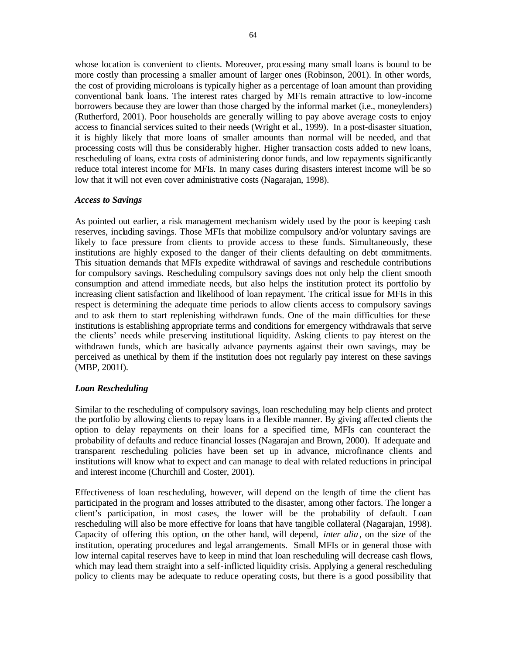whose location is convenient to clients. Moreover, processing many small loans is bound to be more costly than processing a smaller amount of larger ones (Robinson, 2001). In other words, the cost of providing microloans is typically higher as a percentage of loan amount than providing conventional bank loans. The interest rates charged by MFIs remain attractive to low-income borrowers because they are lower than those charged by the informal market (i.e., moneylenders) (Rutherford, 2001). Poor households are generally willing to pay above average costs to enjoy access to financial services suited to their needs (Wright et al., 1999). In a post-disaster situation, it is highly likely that more loans of smaller amounts than normal will be needed, and that processing costs will thus be considerably higher. Higher transaction costs added to new loans, rescheduling of loans, extra costs of administering donor funds, and low repayments significantly reduce total interest income for MFIs. In many cases during disasters interest income will be so low that it will not even cover administrative costs (Nagarajan, 1998).

## *Access to Savings*

As pointed out earlier, a risk management mechanism widely used by the poor is keeping cash reserves, including savings. Those MFIs that mobilize compulsory and/or voluntary savings are likely to face pressure from clients to provide access to these funds. Simultaneously, these institutions are highly exposed to the danger of their clients defaulting on debt commitments. This situation demands that MFIs expedite withdrawal of savings and reschedule contributions for compulsory savings. Rescheduling compulsory savings does not only help the client smooth consumption and attend immediate needs, but also helps the institution protect its portfolio by increasing client satisfaction and likelihood of loan repayment. The critical issue for MFIs in this respect is determining the adequate time periods to allow clients access to compulsory savings and to ask them to start replenishing withdrawn funds. One of the main difficulties for these institutions is establishing appropriate terms and conditions for emergency withdrawals that serve the clients' needs while preserving institutional liquidity. Asking clients to pay interest on the withdrawn funds, which are basically advance payments against their own savings, may be perceived as unethical by them if the institution does not regularly pay interest on these savings (MBP, 2001f).

## *Loan Rescheduling*

Similar to the rescheduling of compulsory savings, loan rescheduling may help clients and protect the portfolio by allowing clients to repay loans in a flexible manner. By giving affected clients the option to delay repayments on their loans for a specified time, MFIs can counteract the probability of defaults and reduce financial losses (Nagarajan and Brown, 2000). If adequate and transparent rescheduling policies have been set up in advance, microfinance clients and institutions will know what to expect and can manage to deal with related reductions in principal and interest income (Churchill and Coster, 2001).

Effectiveness of loan rescheduling, however, will depend on the length of time the client has participated in the program and losses attributed to the disaster, among other factors. The longer a client's participation, in most cases, the lower will be the probability of default. Loan rescheduling will also be more effective for loans that have tangible collateral (Nagarajan, 1998). Capacity of offering this option, on the other hand, will depend, *inter alia*, on the size of the institution, operating procedures and legal arrangements. Small MFIs or in general those with low internal capital reserves have to keep in mind that loan rescheduling will decrease cash flows, which may lead them straight into a self-inflicted liquidity crisis. Applying a general rescheduling policy to clients may be adequate to reduce operating costs, but there is a good possibility that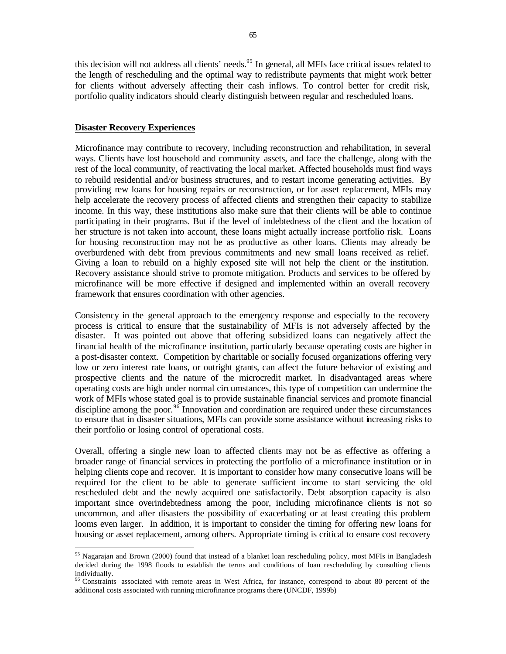this decision will not address all clients' needs.<sup>95</sup> In general, all MFIs face critical issues related to the length of rescheduling and the optimal way to redistribute payments that might work better for clients without adversely affecting their cash inflows. To control better for credit risk, portfolio quality indicators should clearly distinguish between regular and rescheduled loans.

#### **Disaster Recovery Experiences**

 $\overline{a}$ 

Microfinance may contribute to recovery, including reconstruction and rehabilitation, in several ways. Clients have lost household and community assets, and face the challenge, along with the rest of the local community, of reactivating the local market. Affected households must find ways to rebuild residential and/or business structures, and to restart income generating activities. By providing new loans for housing repairs or reconstruction, or for asset replacement, MFIs may help accelerate the recovery process of affected clients and strengthen their capacity to stabilize income. In this way, these institutions also make sure that their clients will be able to continue participating in their programs. But if the level of indebtedness of the client and the location of her structure is not taken into account, these loans might actually increase portfolio risk. Loans for housing reconstruction may not be as productive as other loans. Clients may already be overburdened with debt from previous commitments and new small loans received as relief. Giving a loan to rebuild on a highly exposed site will not help the client or the institution. Recovery assistance should strive to promote mitigation. Products and services to be offered by microfinance will be more effective if designed and implemented within an overall recovery framework that ensures coordination with other agencies.

Consistency in the general approach to the emergency response and especially to the recovery process is critical to ensure that the sustainability of MFIs is not adversely affected by the disaster. It was pointed out above that offering subsidized loans can negatively affect the financial health of the microfinance institution, particularly because operating costs are higher in a post-disaster context. Competition by charitable or socially focused organizations offering very low or zero interest rate loans, or outright grants, can affect the future behavior of existing and prospective clients and the nature of the microcredit market. In disadvantaged areas where operating costs are high under normal circumstances, this type of competition can undermine the work of MFIs whose stated goal is to provide sustainable financial services and promote financial discipline among the poor.<sup>96</sup> Innovation and coordination are required under these circumstances to ensure that in disaster situations, MFIs can provide some assistance without increasing risks to their portfolio or losing control of operational costs.

Overall, offering a single new loan to affected clients may not be as effective as offering a broader range of financial services in protecting the portfolio of a microfinance institution or in helping clients cope and recover. It is important to consider how many consecutive loans will be required for the client to be able to generate sufficient income to start servicing the old rescheduled debt and the newly acquired one satisfactorily. Debt absorption capacity is also important since overindebtedness among the poor, including microfinance clients is not so uncommon, and after disasters the possibility of exacerbating or at least creating this problem looms even larger. In addition, it is important to consider the timing for offering new loans for housing or asset replacement, among others. Appropriate timing is critical to ensure cost recovery

<sup>&</sup>lt;sup>95</sup> Nagarajan and Brown (2000) found that instead of a blanket loan rescheduling policy, most MFIs in Bangladesh decided during the 1998 floods to establish the terms and conditions of loan rescheduling by consulting clients individually.

 $96$  Constraints associated with remote areas in West Africa, for instance, correspond to about 80 percent of the additional costs associated with running microfinance programs there (UNCDF, 1999b)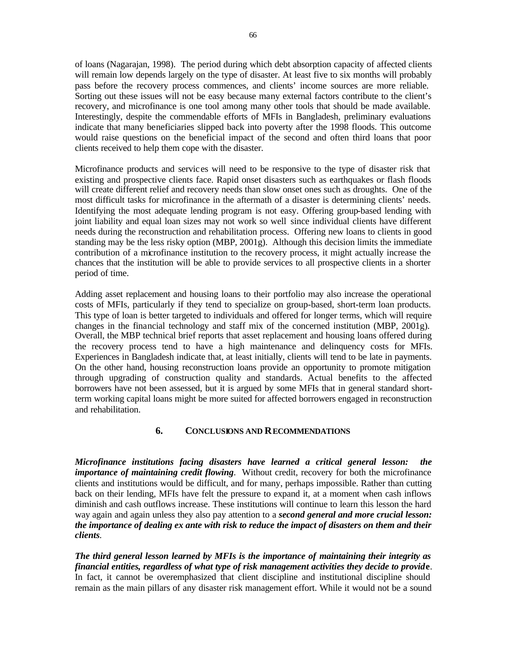of loans (Nagarajan, 1998). The period during which debt absorption capacity of affected clients will remain low depends largely on the type of disaster. At least five to six months will probably pass before the recovery process commences, and clients' income sources are more reliable. Sorting out these issues will not be easy because many external factors contribute to the client's recovery, and microfinance is one tool among many other tools that should be made available. Interestingly, despite the commendable efforts of MFIs in Bangladesh, preliminary evaluations indicate that many beneficiaries slipped back into poverty after the 1998 floods. This outcome would raise questions on the beneficial impact of the second and often third loans that poor clients received to help them cope with the disaster.

Microfinance products and servic es will need to be responsive to the type of disaster risk that existing and prospective clients face. Rapid onset disasters such as earthquakes or flash floods will create different relief and recovery needs than slow onset ones such as droughts. One of the most difficult tasks for microfinance in the aftermath of a disaster is determining clients' needs. Identifying the most adequate lending program is not easy. Offering group-based lending with joint liability and equal loan sizes may not work so well since individual clients have different needs during the reconstruction and rehabilitation process. Offering new loans to clients in good standing may be the less risky option (MBP, 2001g). Although this decision limits the immediate contribution of a microfinance institution to the recovery process, it might actually increase the chances that the institution will be able to provide services to all prospective clients in a shorter period of time.

Adding asset replacement and housing loans to their portfolio may also increase the operational costs of MFIs, particularly if they tend to specialize on group-based, short-term loan products. This type of loan is better targeted to individuals and offered for longer terms, which will require changes in the financial technology and staff mix of the concerned institution (MBP, 2001g). Overall, the MBP technical brief reports that asset replacement and housing loans offered during the recovery process tend to have a high maintenance and delinquency costs for MFIs. Experiences in Bangladesh indicate that, at least initially, clients will tend to be late in payments. On the other hand, housing reconstruction loans provide an opportunity to promote mitigation through upgrading of construction quality and standards. Actual benefits to the affected borrowers have not been assessed, but it is argued by some MFIs that in general standard shortterm working capital loans might be more suited for affected borrowers engaged in reconstruction and rehabilitation.

## **6. CONCLUSIONS AND RECOMMENDATIONS**

*Microfinance institutions facing disasters have learned a critical general lesson: the importance of maintaining credit flowing*. Without credit, recovery for both the microfinance clients and institutions would be difficult, and for many, perhaps impossible. Rather than cutting back on their lending, MFIs have felt the pressure to expand it, at a moment when cash inflows diminish and cash outflows increase. These institutions will continue to learn this lesson the hard way again and again unless they also pay attention to a *second general and more crucial lesson: the importance of dealing ex ante with risk to reduce the impact of disasters on them and their clients.* 

*The third general lesson learned by MFIs is the importance of maintaining their integrity as financial entities, regardless of what type of risk management activities they decide to provid***e**. In fact, it cannot be overemphasized that client discipline and institutional discipline should remain as the main pillars of any disaster risk management effort. While it would not be a sound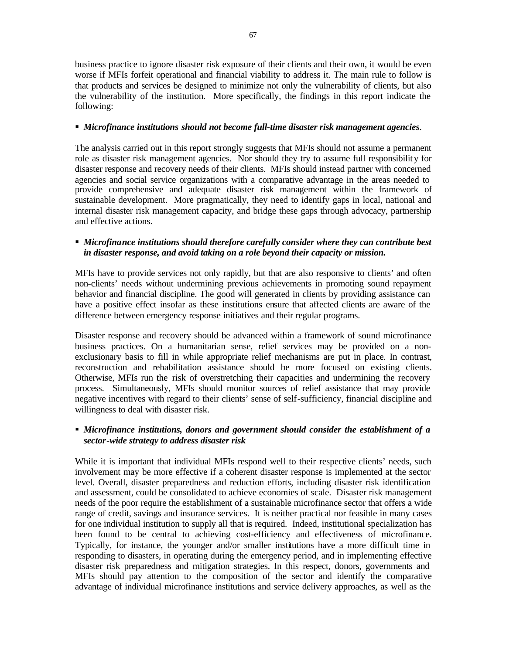business practice to ignore disaster risk exposure of their clients and their own, it would be even worse if MFIs forfeit operational and financial viability to address it. The main rule to follow is that products and services be designed to minimize not only the vulnerability of clients, but also the vulnerability of the institution. More specifically, the findings in this report indicate the following:

## **Microfinance institutions should not become full-time disaster risk management agencies.**

The analysis carried out in this report strongly suggests that MFIs should not assume a permanent role as disaster risk management agencies. Nor should they try to assume full responsibility for disaster response and recovery needs of their clients. MFIs should instead partner with concerned agencies and social service organizations with a comparative advantage in the areas needed to provide comprehensive and adequate disaster risk management within the framework of sustainable development. More pragmatically, they need to identify gaps in local, national and internal disaster risk management capacity, and bridge these gaps through advocacy, partnership and effective actions.

## ß *Microfinance institutions should therefore carefully consider where they can contribute best in disaster response, and avoid taking on a role beyond their capacity or mission.*

MFIs have to provide services not only rapidly, but that are also responsive to clients' and often non-clients' needs without undermining previous achievements in promoting sound repayment behavior and financial discipline. The good will generated in clients by providing assistance can have a positive effect insofar as these institutions ensure that affected clients are aware of the difference between emergency response initiatives and their regular programs.

Disaster response and recovery should be advanced within a framework of sound microfinance business practices. On a humanitarian sense, relief services may be provided on a nonexclusionary basis to fill in while appropriate relief mechanisms are put in place. In contrast, reconstruction and rehabilitation assistance should be more focused on existing clients. Otherwise, MFIs run the risk of overstretching their capacities and undermining the recovery process. Simultaneously, MFIs should monitor sources of relief assistance that may provide negative incentives with regard to their clients' sense of self-sufficiency, financial discipline and willingness to deal with disaster risk.

# ß *Microfinance institutions, donors and government should consider the establishment of a sector-wide strategy to address disaster risk*

While it is important that individual MFIs respond well to their respective clients' needs, such involvement may be more effective if a coherent disaster response is implemented at the sector level. Overall, disaster preparedness and reduction efforts, including disaster risk identification and assessment, could be consolidated to achieve economies of scale. Disaster risk management needs of the poor require the establishment of a sustainable microfinance sector that offers a wide range of credit, savings and insurance services. It is neither practical nor feasible in many cases for one individual institution to supply all that is required. Indeed, institutional specialization has been found to be central to achieving cost-efficiency and effectiveness of microfinance. Typically, for instance, the younger and/or smaller institutions have a more difficult time in responding to disasters, in operating during the emergency period, and in implementing effective disaster risk preparedness and mitigation strategies. In this respect, donors, governments and MFIs should pay attention to the composition of the sector and identify the comparative advantage of individual microfinance institutions and service delivery approaches, as well as the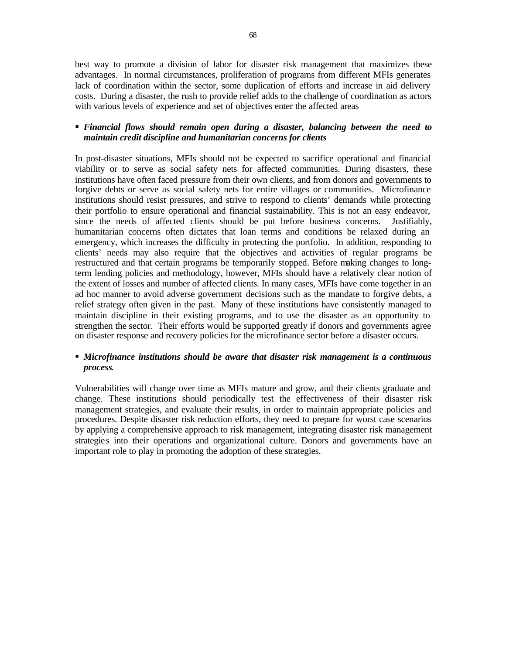best way to promote a division of labor for disaster risk management that maximizes these advantages. In normal circumstances, proliferation of programs from different MFIs generates lack of coordination within the sector, some duplication of efforts and increase in aid delivery costs. During a disaster, the rush to provide relief adds to the challenge of coordination as actors with various levels of experience and set of objectives enter the affected areas

## ß *Financial flows should remain open during a disaster, balancing between the need to maintain credit discipline and humanitarian concerns for clients*

In post-disaster situations, MFIs should not be expected to sacrifice operational and financial viability or to serve as social safety nets for affected communities. During disasters, these institutions have often faced pressure from their own clients, and from donors and governments to forgive debts or serve as social safety nets for entire villages or communities. Microfinance institutions should resist pressures, and strive to respond to clients' demands while protecting their portfolio to ensure operational and financial sustainability. This is not an easy endeavor, since the needs of affected clients should be put before business concerns. Justifiably, humanitarian concerns often dictates that loan terms and conditions be relaxed during an emergency, which increases the difficulty in protecting the portfolio. In addition, responding to clients' needs may also require that the objectives and activities of regular programs be restructured and that certain programs be temporarily stopped. Before making changes to longterm lending policies and methodology, however, MFIs should have a relatively clear notion of the extent of losses and number of affected clients. In many cases, MFIs have come together in an ad hoc manner to avoid adverse government decisions such as the mandate to forgive debts, a relief strategy often given in the past. Many of these institutions have consistently managed to maintain discipline in their existing programs, and to use the disaster as an opportunity to strengthen the sector. Their efforts would be supported greatly if donors and governments agree on disaster response and recovery policies for the microfinance sector before a disaster occurs.

# ß *Microfinance institutions should be aware that disaster risk management is a continuous process*.

Vulnerabilities will change over time as MFIs mature and grow, and their clients graduate and change. These institutions should periodically test the effectiveness of their disaster risk management strategies, and evaluate their results, in order to maintain appropriate policies and procedures. Despite disaster risk reduction efforts, they need to prepare for worst case scenarios by applying a comprehensive approach to risk management, integrating disaster risk management strategie s into their operations and organizational culture. Donors and governments have an important role to play in promoting the adoption of these strategies.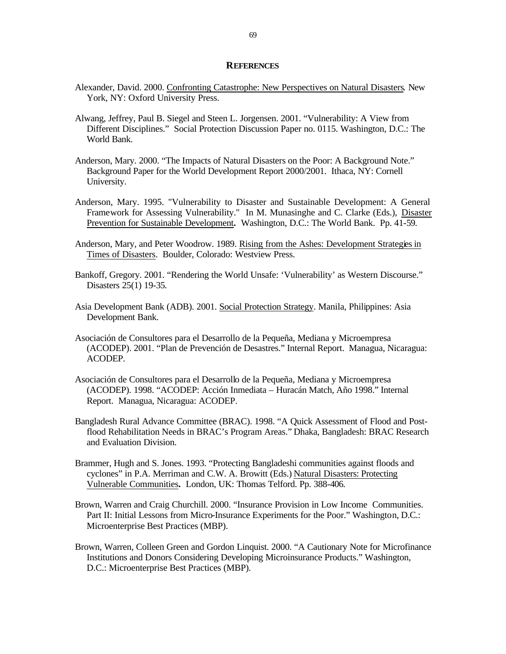## **REFERENCES**

- Alexander, David. 2000. Confronting Catastrophe: New Perspectives on Natural Disasters. New York, NY: Oxford University Press.
- Alwang, Jeffrey, Paul B. Siegel and Steen L. Jorgensen. 2001. "Vulnerability: A View from Different Disciplines." Social Protection Discussion Paper no. 0115. Washington, D.C.: The World Bank.
- Anderson, Mary. 2000. "The Impacts of Natural Disasters on the Poor: A Background Note." Background Paper for the World Development Report 2000/2001. Ithaca, NY: Cornell University.
- Anderson, Mary. 1995. "Vulnerability to Disaster and Sustainable Development: A General Framework for Assessing Vulnerability." In M. Munasinghe and C. Clarke (Eds.), Disaster Prevention for Sustainable Development**.** Washington, D.C.: The World Bank. Pp. 41-59.
- Anderson, Mary, and Peter Woodrow. 1989. Rising from the Ashes: Development Strategies in Times of Disasters. Boulder, Colorado: Westview Press.
- Bankoff, Gregory. 2001. "Rendering the World Unsafe: 'Vulnerability' as Western Discourse." Disasters 25(1) 19-35.
- Asia Development Bank (ADB). 2001. Social Protection Strategy. Manila, Philippines: Asia Development Bank.
- Asociación de Consultores para el Desarrollo de la Pequeña, Mediana y Microempresa (ACODEP). 2001. "Plan de Prevención de Desastres." Internal Report. Managua, Nicaragua: ACODEP.
- Asociación de Consultores para el Desarrollo de la Pequeña, Mediana y Microempresa (ACODEP). 1998. "ACODEP: Acción Inmediata – Huracán Match, Año 1998." Internal Report. Managua, Nicaragua: ACODEP.
- Bangladesh Rural Advance Committee (BRAC). 1998. "A Quick Assessment of Flood and Postflood Rehabilitation Needs in BRAC's Program Areas." Dhaka, Bangladesh: BRAC Research and Evaluation Division.
- Brammer, Hugh and S. Jones. 1993. "Protecting Bangladeshi communities against floods and cyclones" in P.A. Merriman and C.W. A. Browitt (Eds.) Natural Disasters: Protecting Vulnerable Communities**.** London, UK: Thomas Telford. Pp. 388-406.
- Brown, Warren and Craig Churchill. 2000. "Insurance Provision in Low Income Communities. Part II: Initial Lessons from Micro-Insurance Experiments for the Poor." Washington, D.C.: Microenterprise Best Practices (MBP).
- Brown, Warren, Colleen Green and Gordon Linquist. 2000. "A Cautionary Note for Microfinance Institutions and Donors Considering Developing Microinsurance Products." Washington, D.C.: Microenterprise Best Practices (MBP).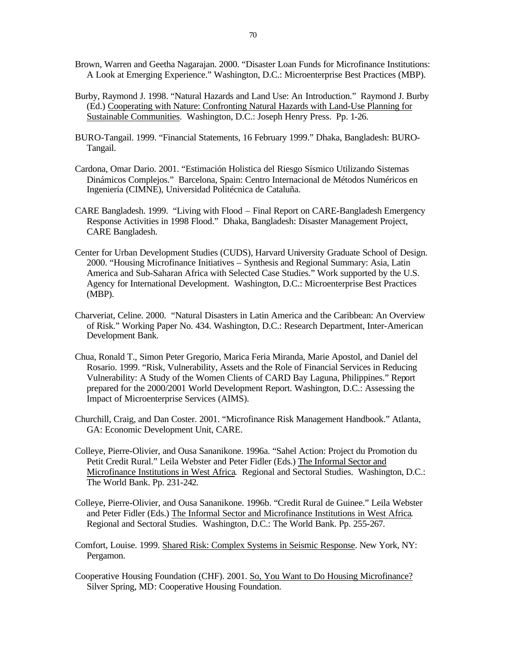- Brown, Warren and Geetha Nagarajan. 2000. "Disaster Loan Funds for Microfinance Institutions: A Look at Emerging Experience." Washington, D.C.: Microenterprise Best Practices (MBP).
- Burby, Raymond J. 1998. "Natural Hazards and Land Use: An Introduction." Raymond J. Burby (Ed.) Cooperating with Nature: Confronting Natural Hazards with Land-Use Planning for Sustainable Communities. Washington, D.C.: Joseph Henry Press. Pp. 1-26.
- BURO-Tangail. 1999. "Financial Statements, 16 February 1999." Dhaka, Bangladesh: BURO-Tangail.
- Cardona, Omar Dario. 2001. "Estimación Holistica del Riesgo Sísmico Utilizando Sistemas Dinámicos Complejos." Barcelona, Spain: Centro Internacional de Métodos Numéricos en Ingeniería (CIMNE), Universidad Politécnica de Cataluña.
- CARE Bangladesh. 1999. "Living with Flood Final Report on CARE-Bangladesh Emergency Response Activities in 1998 Flood." Dhaka, Bangladesh: Disaster Management Project, CARE Bangladesh.
- Center for Urban Development Studies (CUDS), Harvard University Graduate School of Design. 2000. "Housing Microfinance Initiatives – Synthesis and Regional Summary: Asia, Latin America and Sub-Saharan Africa with Selected Case Studies." Work supported by the U.S. Agency for International Development. Washington, D.C.: Microenterprise Best Practices (MBP).
- Charveriat, Celine. 2000. "Natural Disasters in Latin America and the Caribbean: An Overview of Risk." Working Paper No. 434. Washington, D.C.: Research Department, Inter-American Development Bank.
- Chua, Ronald T., Simon Peter Gregorio, Marica Feria Miranda, Marie Apostol, and Daniel del Rosario. 1999. "Risk, Vulnerability, Assets and the Role of Financial Services in Reducing Vulnerability: A Study of the Women Clients of CARD Bay Laguna, Philippines." Report prepared for the 2000/2001 World Development Report. Washington, D.C.: Assessing the Impact of Microenterprise Services (AIMS).
- Churchill, Craig, and Dan Coster. 2001. "Microfinance Risk Management Handbook." Atlanta, GA: Economic Development Unit, CARE.
- Colleye, Pierre-Olivier, and Ousa Sananikone. 1996a. "Sahel Action: Project du Promotion du Petit Credit Rural." Leila Webster and Peter Fidler (Eds.) The Informal Sector and Microfinance Institutions in West Africa. Regional and Sectoral Studies. Washington, D.C.: The World Bank. Pp. 231-242.
- Colleye, Pierre-Olivier, and Ousa Sananikone. 1996b. "Credit Rural de Guinee." Leila Webster and Peter Fidler (Eds.) The Informal Sector and Microfinance Institutions in West Africa. Regional and Sectoral Studies. Washington, D.C.: The World Bank. Pp. 255-267.
- Comfort, Louise. 1999. Shared Risk: Complex Systems in Seismic Response. New York, NY: Pergamon.
- Cooperative Housing Foundation (CHF). 2001. So, You Want to Do Housing Microfinance? Silver Spring, MD: Cooperative Housing Foundation.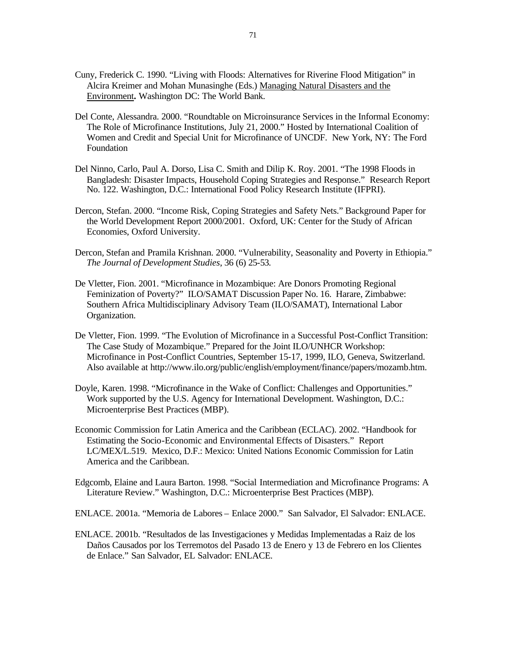- Cuny, Frederick C. 1990. "Living with Floods: Alternatives for Riverine Flood Mitigation" in Alcira Kreimer and Mohan Munasinghe (Eds.) Managing Natural Disasters and the Environment**.** Washington DC: The World Bank.
- Del Conte, Alessandra. 2000. "Roundtable on Microinsurance Services in the Informal Economy: The Role of Microfinance Institutions, July 21, 2000." Hosted by International Coalition of Women and Credit and Special Unit for Microfinance of UNCDF. New York, NY: The Ford Foundation
- Del Ninno, Carlo, Paul A. Dorso, Lisa C. Smith and Dilip K. Roy. 2001. "The 1998 Floods in Bangladesh: Disaster Impacts, Household Coping Strategies and Response." Research Report No. 122. Washington, D.C.: International Food Policy Research Institute (IFPRI).
- Dercon, Stefan. 2000. "Income Risk, Coping Strategies and Safety Nets." Background Paper for the World Development Report 2000/2001. Oxford, UK: Center for the Study of African Economies, Oxford University.
- Dercon, Stefan and Pramila Krishnan. 2000. "Vulnerability, Seasonality and Poverty in Ethiopia." *The Journal of Development Studies*, 36 (6) 25-53.
- De Vletter, Fion. 2001. "Microfinance in Mozambique: Are Donors Promoting Regional Feminization of Poverty?" ILO/SAMAT Discussion Paper No. 16. Harare, Zimbabwe: Southern Africa Multidisciplinary Advisory Team (ILO/SAMAT), International Labor Organization.
- De Vletter, Fion. 1999. "The Evolution of Microfinance in a Successful Post-Conflict Transition: The Case Study of Mozambique." Prepared for the Joint ILO/UNHCR Workshop: Microfinance in Post-Conflict Countries, September 15-17, 1999, ILO, Geneva, Switzerland. Also available at http://www.ilo.org/public/english/employment/finance/papers/mozamb.htm.
- Doyle, Karen. 1998. "Microfinance in the Wake of Conflict: Challenges and Opportunities." Work supported by the U.S. Agency for International Development. Washington, D.C.: Microenterprise Best Practices (MBP).
- Economic Commission for Latin America and the Caribbean (ECLAC). 2002. "Handbook for Estimating the Socio-Economic and Environmental Effects of Disasters." Report LC/MEX/L.519. Mexico, D.F.: Mexico: United Nations Economic Commission for Latin America and the Caribbean.
- Edgcomb, Elaine and Laura Barton. 1998. "Social Intermediation and Microfinance Programs: A Literature Review." Washington, D.C.: Microenterprise Best Practices (MBP).
- ENLACE. 2001a. "Memoria de Labores Enlace 2000." San Salvador, El Salvador: ENLACE.
- ENLACE. 2001b. "Resultados de las Investigaciones y Medidas Implementadas a Raiz de los Daños Causados por los Terremotos del Pasado 13 de Enero y 13 de Febrero en los Clientes de Enlace." San Salvador, EL Salvador: ENLACE.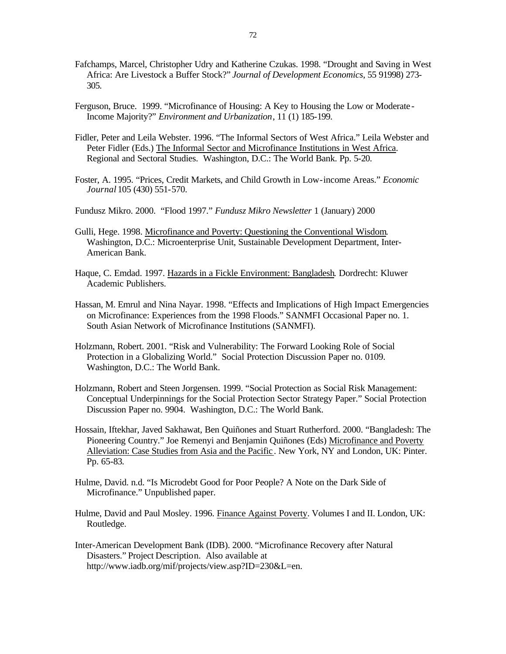- Fafchamps, Marcel, Christopher Udry and Katherine Czukas. 1998. "Drought and Saving in West Africa: Are Livestock a Buffer Stock?" *Journal of Development Economics*, 55 91998) 273- 305.
- Ferguson, Bruce. 1999. "Microfinance of Housing: A Key to Housing the Low or Moderate Income Majority?" *Environment and Urbanization*, 11 (1) 185-199.
- Fidler, Peter and Leila Webster. 1996. "The Informal Sectors of West Africa." Leila Webster and Peter Fidler (Eds.) The Informal Sector and Microfinance Institutions in West Africa. Regional and Sectoral Studies. Washington, D.C.: The World Bank. Pp. 5-20.
- Foster, A. 1995. "Prices, Credit Markets, and Child Growth in Low-income Areas." *Economic Journal* 105 (430) 551-570.
- Fundusz Mikro. 2000. "Flood 1997." *Fundusz Mikro Newsletter* 1 (January) 2000
- Gulli, Hege. 1998. Microfinance and Poverty: Questioning the Conventional Wisdom. Washington, D.C.: Microenterprise Unit, Sustainable Development Department, Inter-American Bank.
- Haque, C. Emdad. 1997. Hazards in a Fickle Environment: Bangladesh. Dordrecht: Kluwer Academic Publishers.
- Hassan, M. Emrul and Nina Nayar. 1998. "Effects and Implications of High Impact Emergencies on Microfinance: Experiences from the 1998 Floods." SANMFI Occasional Paper no. 1. South Asian Network of Microfinance Institutions (SANMFI).
- Holzmann, Robert. 2001. "Risk and Vulnerability: The Forward Looking Role of Social Protection in a Globalizing World." Social Protection Discussion Paper no. 0109. Washington, D.C.: The World Bank.
- Holzmann, Robert and Steen Jorgensen. 1999. "Social Protection as Social Risk Management: Conceptual Underpinnings for the Social Protection Sector Strategy Paper." Social Protection Discussion Paper no. 9904. Washington, D.C.: The World Bank.
- Hossain, Iftekhar, Javed Sakhawat, Ben Quiñones and Stuart Rutherford. 2000. "Bangladesh: The Pioneering Country." Joe Remenyi and Benjamin Quiñones (Eds) Microfinance and Poverty Alleviation: Case Studies from Asia and the Pacific . New York, NY and London, UK: Pinter. Pp. 65-83.
- Hulme, David. n.d. "Is Microdebt Good for Poor People? A Note on the Dark Side of Microfinance." Unpublished paper.
- Hulme, David and Paul Mosley. 1996. Finance Against Poverty. Volumes I and II. London, UK: Routledge.
- Inter-American Development Bank (IDB). 2000. "Microfinance Recovery after Natural Disasters." Project Description. Also available at http://www.iadb.org/mif/projects/view.asp?ID=230&L=en.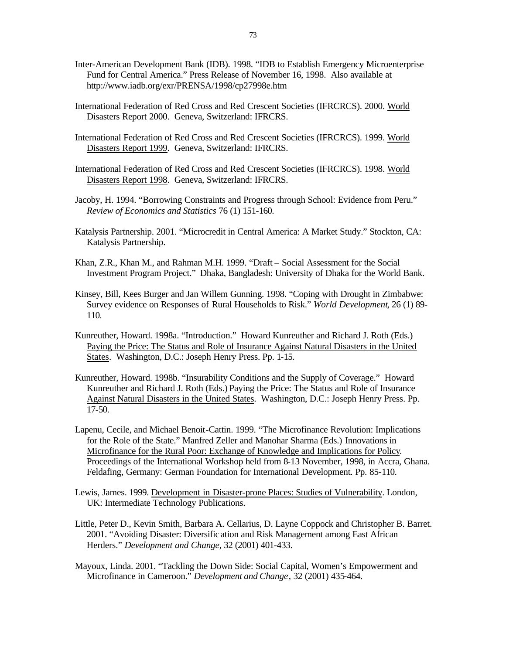- Inter-American Development Bank (IDB). 1998. "IDB to Establish Emergency Microenterprise Fund for Central America." Press Release of November 16, 1998. Also available at http://www.iadb.org/exr/PRENSA/1998/cp27998e.htm
- International Federation of Red Cross and Red Crescent Societies (IFRCRCS). 2000. World Disasters Report 2000. Geneva, Switzerland: IFRCRS.
- International Federation of Red Cross and Red Crescent Societies (IFRCRCS). 1999. World Disasters Report 1999. Geneva, Switzerland: IFRCRS.
- International Federation of Red Cross and Red Crescent Societies (IFRCRCS). 1998. World Disasters Report 1998. Geneva, Switzerland: IFRCRS.
- Jacoby, H. 1994. "Borrowing Constraints and Progress through School: Evidence from Peru." *Review of Economics and Statistics* 76 (1) 151-160.
- Katalysis Partnership. 2001. "Microcredit in Central America: A Market Study." Stockton, CA: Katalysis Partnership.
- Khan, Z.R., Khan M., and Rahman M.H. 1999. "Draft Social Assessment for the Social Investment Program Project."Dhaka, Bangladesh: University of Dhaka for the World Bank.
- Kinsey, Bill, Kees Burger and Jan Willem Gunning. 1998. "Coping with Drought in Zimbabwe: Survey evidence on Responses of Rural Households to Risk." *World Development*, 26 (1) 89- 110.
- Kunreuther, Howard. 1998a. "Introduction." Howard Kunreuther and Richard J. Roth (Eds.) Paying the Price: The Status and Role of Insurance Against Natural Disasters in the United States. Washington, D.C.: Joseph Henry Press. Pp. 1-15.
- Kunreuther, Howard. 1998b. "Insurability Conditions and the Supply of Coverage." Howard Kunreuther and Richard J. Roth (Eds.) Paying the Price: The Status and Role of Insurance Against Natural Disasters in the United States. Washington, D.C.: Joseph Henry Press. Pp. 17-50.
- Lapenu, Cecile, and Michael Benoit-Cattin. 1999. "The Microfinance Revolution: Implications for the Role of the State." Manfred Zeller and Manohar Sharma (Eds.) Innovations in Microfinance for the Rural Poor: Exchange of Knowledge and Implications for Policy. Proceedings of the International Workshop held from 8-13 November, 1998, in Accra, Ghana. Feldafing, Germany: German Foundation for International Development. Pp. 85-110.
- Lewis, James. 1999. Development in Disaster-prone Places: Studies of Vulnerability. London, UK: Intermediate Technology Publications.
- Little, Peter D., Kevin Smith, Barbara A. Cellarius, D. Layne Coppock and Christopher B. Barret. 2001. "Avoiding Disaster: Diversific ation and Risk Management among East African Herders." *Development and Change*, 32 (2001) 401-433.
- Mayoux, Linda. 2001. "Tackling the Down Side: Social Capital, Women's Empowerment and Microfinance in Cameroon." *Development and Change*, 32 (2001) 435-464.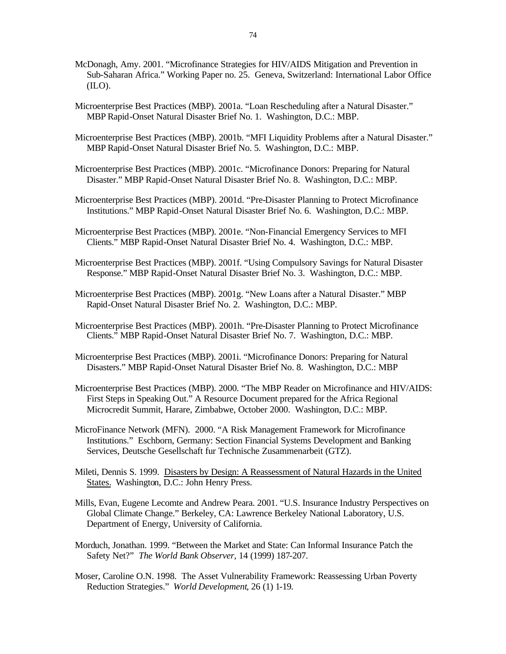- McDonagh, Amy. 2001. "Microfinance Strategies for HIV/AIDS Mitigation and Prevention in Sub-Saharan Africa." Working Paper no. 25. Geneva, Switzerland: International Labor Office (ILO).
- Microenterprise Best Practices (MBP). 2001a. "Loan Rescheduling after a Natural Disaster." MBP Rapid-Onset Natural Disaster Brief No. 1. Washington, D.C.: MBP.
- Microenterprise Best Practices (MBP). 2001b. "MFI Liquidity Problems after a Natural Disaster." MBP Rapid-Onset Natural Disaster Brief No. 5. Washington, D.C.: MBP.
- Microenterprise Best Practices (MBP). 2001c. "Microfinance Donors: Preparing for Natural Disaster." MBP Rapid-Onset Natural Disaster Brief No. 8. Washington, D.C.: MBP.
- Microenterprise Best Practices (MBP). 2001d. "Pre-Disaster Planning to Protect Microfinance Institutions." MBP Rapid-Onset Natural Disaster Brief No. 6. Washington, D.C.: MBP.
- Microenterprise Best Practices (MBP). 2001e. "Non-Financial Emergency Services to MFI Clients." MBP Rapid-Onset Natural Disaster Brief No. 4. Washington, D.C.: MBP.
- Microenterprise Best Practices (MBP). 2001f. "Using Compulsory Savings for Natural Disaster Response." MBP Rapid-Onset Natural Disaster Brief No. 3. Washington, D.C.: MBP.
- Microenterprise Best Practices (MBP). 2001g. "New Loans after a Natural Disaster." MBP Rapid-Onset Natural Disaster Brief No. 2. Washington, D.C.: MBP.
- Microenterprise Best Practices (MBP). 2001h. "Pre-Disaster Planning to Protect Microfinance Clients." MBP Rapid-Onset Natural Disaster Brief No. 7. Washington, D.C.: MBP.
- Microenterprise Best Practices (MBP). 2001i. "Microfinance Donors: Preparing for Natural Disasters." MBP Rapid-Onset Natural Disaster Brief No. 8. Washington, D.C.: MBP
- Microenterprise Best Practices (MBP). 2000. "The MBP Reader on Microfinance and HIV/AIDS: First Steps in Speaking Out." A Resource Document prepared for the Africa Regional Microcredit Summit, Harare, Zimbabwe, October 2000. Washington, D.C.: MBP.
- MicroFinance Network (MFN). 2000. "A Risk Management Framework for Microfinance Institutions." Eschborn, Germany: Section Financial Systems Development and Banking Services, Deutsche Gesellschaft fur Technische Zusammenarbeit (GTZ).
- Mileti, Dennis S. 1999. Disasters by Design: A Reassessment of Natural Hazards in the United States. Washington, D.C.: John Henry Press.
- Mills, Evan, Eugene Lecomte and Andrew Peara. 2001. "U.S. Insurance Industry Perspectives on Global Climate Change." Berkeley, CA: Lawrence Berkeley National Laboratory, U.S. Department of Energy, University of California.
- Morduch, Jonathan. 1999. "Between the Market and State: Can Informal Insurance Patch the Safety Net?" *The World Bank Observer*, 14 (1999) 187-207.
- Moser, Caroline O.N. 1998. The Asset Vulnerability Framework: Reassessing Urban Poverty Reduction Strategies." *World Development*, 26 (1) 1-19.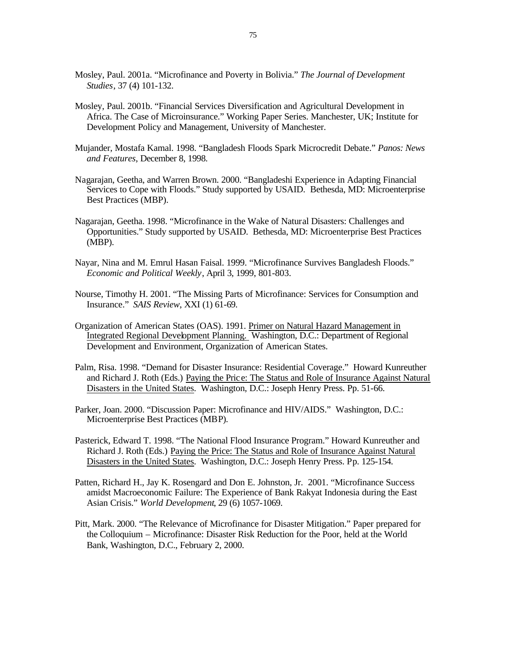- Mosley, Paul. 2001a. "Microfinance and Poverty in Bolivia." *The Journal of Development Studies*, 37 (4) 101-132.
- Mosley, Paul. 2001b. "Financial Services Diversification and Agricultural Development in Africa. The Case of Microinsurance." Working Paper Series. Manchester, UK; Institute for Development Policy and Management, University of Manchester.
- Mujander, Mostafa Kamal. 1998. "Bangladesh Floods Spark Microcredit Debate." *Panos: News and Features*, December 8, 1998.
- Nagarajan, Geetha, and Warren Brown. 2000. "Bangladeshi Experience in Adapting Financial Services to Cope with Floods." Study supported by USAID. Bethesda, MD: Microenterprise Best Practices (MBP).
- Nagarajan, Geetha. 1998. "Microfinance in the Wake of Natural Disasters: Challenges and Opportunities." Study supported by USAID. Bethesda, MD: Microenterprise Best Practices (MBP).
- Nayar, Nina and M. Emrul Hasan Faisal. 1999. "Microfinance Survives Bangladesh Floods." *Economic and Political Weekly*, April 3, 1999, 801-803.
- Nourse, Timothy H. 2001. "The Missing Parts of Microfinance: Services for Consumption and Insurance." *SAIS Review*, XXI (1) 61-69.
- Organization of American States (OAS). 1991. Primer on Natural Hazard Management in Integrated Regional Development Planning. Washington, D.C.: Department of Regional Development and Environment, Organization of American States.
- Palm, Risa. 1998. "Demand for Disaster Insurance: Residential Coverage." Howard Kunreuther and Richard J. Roth (Eds.) Paying the Price: The Status and Role of Insurance Against Natural Disasters in the United States. Washington, D.C.: Joseph Henry Press. Pp. 51-66.
- Parker, Joan. 2000. "Discussion Paper: Microfinance and HIV/AIDS." Washington, D.C.: Microenterprise Best Practices (MBP).
- Pasterick, Edward T. 1998. "The National Flood Insurance Program." Howard Kunreuther and Richard J. Roth (Eds.) Paying the Price: The Status and Role of Insurance Against Natural Disasters in the United States. Washington, D.C.: Joseph Henry Press. Pp. 125-154.
- Patten, Richard H., Jay K. Rosengard and Don E. Johnston, Jr. 2001. "Microfinance Success amidst Macroeconomic Failure: The Experience of Bank Rakyat Indonesia during the East Asian Crisis." *World Development*, 29 (6) 1057-1069.
- Pitt, Mark. 2000. "The Relevance of Microfinance for Disaster Mitigation." Paper prepared for the Colloquium – Microfinance: Disaster Risk Reduction for the Poor, held at the World Bank, Washington, D.C., February 2, 2000.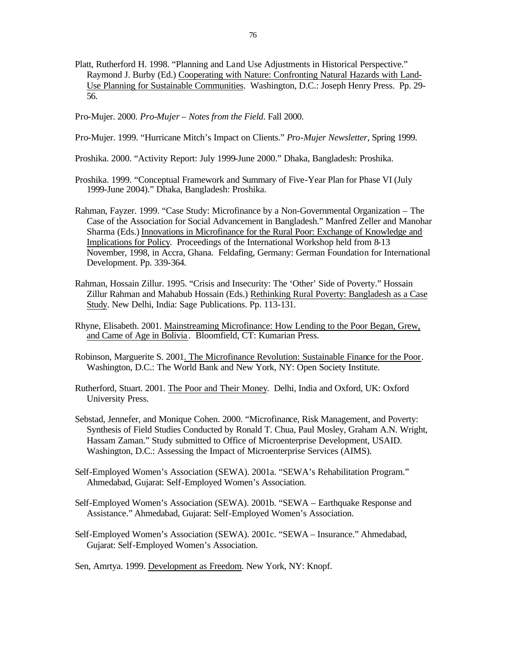- Platt, Rutherford H. 1998. "Planning and Land Use Adjustments in Historical Perspective." Raymond J. Burby (Ed.) Cooperating with Nature: Confronting Natural Hazards with Land-Use Planning for Sustainable Communities. Washington, D.C.: Joseph Henry Press. Pp. 29- 56.
- Pro-Mujer. 2000. *Pro-Mujer Notes from the Field*. Fall 2000.
- Pro-Mujer. 1999. "Hurricane Mitch's Impact on Clients." *Pro-Mujer Newsletter*, Spring 1999.
- Proshika. 2000. "Activity Report: July 1999-June 2000." Dhaka, Bangladesh: Proshika.
- Proshika. 1999. "Conceptual Framework and Summary of Five-Year Plan for Phase VI (July 1999-June 2004)." Dhaka, Bangladesh: Proshika.
- Rahman, Fayzer. 1999. "Case Study: Microfinance by a Non-Governmental Organization The Case of the Association for Social Advancement in Bangladesh." Manfred Zeller and Manohar Sharma (Eds.) Innovations in Microfinance for the Rural Poor: Exchange of Knowledge and Implications for Policy. Proceedings of the International Workshop held from 8-13 November, 1998, in Accra, Ghana. Feldafing, Germany: German Foundation for International Development. Pp. 339-364.
- Rahman, Hossain Zillur. 1995. "Crisis and Insecurity: The 'Other' Side of Poverty." Hossain Zillur Rahman and Mahabub Hossain (Eds.) Rethinking Rural Poverty: Bangladesh as a Case Study. New Delhi, India: Sage Publications. Pp. 113-131.
- Rhyne, Elisabeth. 2001. Mainstreaming Microfinance: How Lending to the Poor Began, Grew, and Came of Age in Bolivia . Bloomfield, CT: Kumarian Press.
- Robinson, Marguerite S. 2001. The Microfinance Revolution: Sustainable Finance for the Poor. Washington, D.C.: The World Bank and New York, NY: Open Society Institute.
- Rutherford, Stuart. 2001. The Poor and Their Money. Delhi, India and Oxford, UK: Oxford University Press.
- Sebstad, Jennefer, and Monique Cohen. 2000. "Microfinance, Risk Management, and Poverty: Synthesis of Field Studies Conducted by Ronald T. Chua, Paul Mosley, Graham A.N. Wright, Hassam Zaman." Study submitted to Office of Microenterprise Development, USAID. Washington, D.C.: Assessing the Impact of Microenterprise Services (AIMS).
- Self-Employed Women's Association (SEWA). 2001a. "SEWA's Rehabilitation Program." Ahmedabad, Gujarat: Self-Employed Women's Association.
- Self-Employed Women's Association (SEWA). 2001b. "SEWA Earthquake Response and Assistance." Ahmedabad, Gujarat: Self-Employed Women's Association.
- Self-Employed Women's Association (SEWA). 2001c. "SEWA Insurance." Ahmedabad, Gujarat: Self-Employed Women's Association.

Sen, Amrtya. 1999. Development as Freedom. New York, NY: Knopf.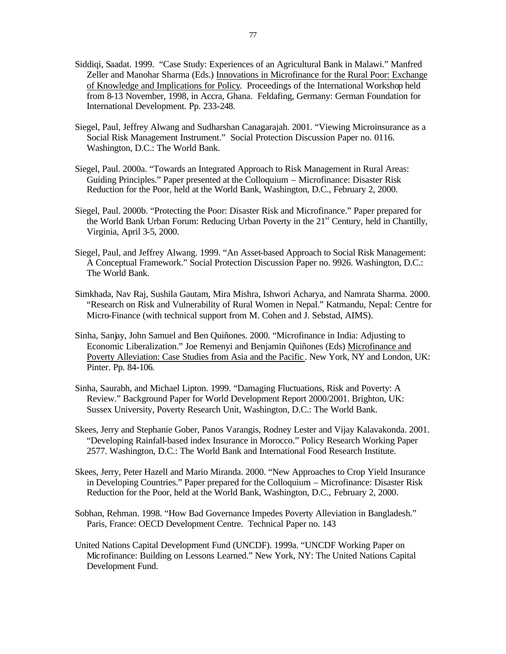- Siddiqi, Saadat. 1999. "Case Study: Experiences of an Agricultural Bank in Malawi." Manfred Zeller and Manohar Sharma (Eds.) Innovations in Microfinance for the Rural Poor: Exchange of Knowledge and Implications for Policy. Proceedings of the International Workshop held from 8-13 November, 1998, in Accra, Ghana. Feldafing, Germany: German Foundation for International Development. Pp. 233-248.
- Siegel, Paul, Jeffrey Alwang and Sudharshan Canagarajah. 2001. "Viewing Microinsurance as a Social Risk Management Instrument." Social Protection Discussion Paper no. 0116. Washington, D.C.: The World Bank.
- Siegel, Paul. 2000a. "Towards an Integrated Approach to Risk Management in Rural Areas: Guiding Principles." Paper presented at the Colloquium – Microfinance: Disaster Risk Reduction for the Poor, held at the World Bank, Washington, D.C., February 2, 2000.
- Siegel, Paul. 2000b. "Protecting the Poor: Disaster Risk and Microfinance." Paper prepared for the World Bank Urban Forum: Reducing Urban Poverty in the  $21<sup>st</sup>$  Century, held in Chantilly, Virginia, April 3-5, 2000.
- Siegel, Paul, and Jeffrey Alwang. 1999. "An Asset-based Approach to Social Risk Management: A Conceptual Framework." Social Protection Discussion Paper no. 9926. Washington, D.C.: The World Bank.
- Simkhada, Nav Raj, Sushila Gautam, Mira Mishra, Ishwori Acharya, and Namrata Sharma. 2000. "Research on Risk and Vulnerability of Rural Women in Nepal." Katmandu, Nepal: Centre for Micro-Finance (with technical support from M. Cohen and J. Sebstad, AIMS).
- Sinha, Sanjay, John Samuel and Ben Quiñones. 2000. "Microfinance in India: Adjusting to Economic Liberalization." Joe Remenyi and Benjamin Quiñones (Eds) Microfinance and Poverty Alleviation: Case Studies from Asia and the Pacific . New York, NY and London, UK: Pinter. Pp. 84-106.
- Sinha, Saurabh, and Michael Lipton. 1999. "Damaging Fluctuations, Risk and Poverty: A Review." Background Paper for World Development Report 2000/2001. Brighton, UK: Sussex University, Poverty Research Unit, Washington, D.C.: The World Bank.
- Skees, Jerry and Stephanie Gober, Panos Varangis, Rodney Lester and Vijay Kalavakonda. 2001. "Developing Rainfall-based index Insurance in Morocco." Policy Research Working Paper 2577. Washington, D.C.: The World Bank and International Food Research Institute.
- Skees, Jerry, Peter Hazell and Mario Miranda. 2000. "New Approaches to Crop Yield Insurance in Developing Countries." Paper prepared for the Colloquium – Microfinance: Disaster Risk Reduction for the Poor, held at the World Bank, Washington, D.C., February 2, 2000.
- Sobhan, Rehman. 1998. "How Bad Governance Impedes Poverty Alleviation in Bangladesh." Paris, France: OECD Development Centre. Technical Paper no. 143
- United Nations Capital Development Fund (UNCDF). 1999a. "UNCDF Working Paper on Microfinance: Building on Lessons Learned." New York, NY: The United Nations Capital Development Fund.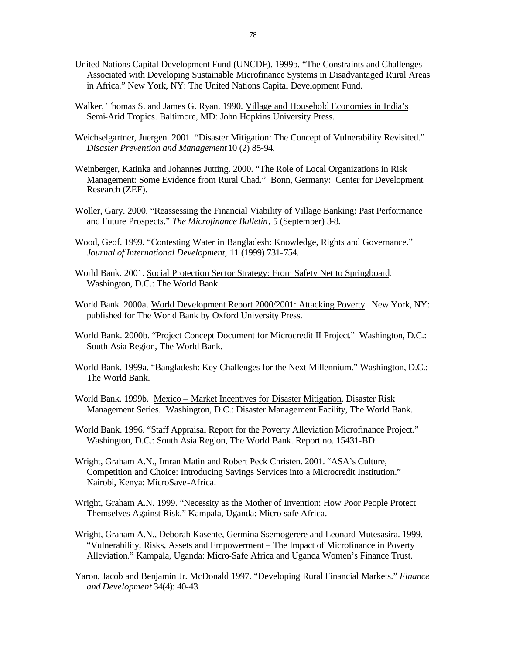- United Nations Capital Development Fund (UNCDF). 1999b. "The Constraints and Challenges Associated with Developing Sustainable Microfinance Systems in Disadvantaged Rural Areas in Africa." New York, NY: The United Nations Capital Development Fund.
- Walker, Thomas S. and James G. Ryan. 1990. Village and Household Economies in India's Semi-Arid Tropics. Baltimore, MD: John Hopkins University Press.
- Weichselgartner, Juergen. 2001. "Disaster Mitigation: The Concept of Vulnerability Revisited." *Disaster Prevention and Management* 10 (2) 85-94.
- Weinberger, Katinka and Johannes Jutting. 2000. "The Role of Local Organizations in Risk Management: Some Evidence from Rural Chad." Bonn, Germany: Center for Development Research (ZEF).
- Woller, Gary. 2000. "Reassessing the Financial Viability of Village Banking: Past Performance and Future Prospects." *The Microfinance Bulletin*, 5 (September) 3-8.
- Wood, Geof. 1999. "Contesting Water in Bangladesh: Knowledge, Rights and Governance." *Journal of International Development,* 11 (1999) 731-754.
- World Bank. 2001. Social Protection Sector Strategy: From Safety Net to Springboard. Washington, D.C.: The World Bank.
- World Bank. 2000a. World Development Report 2000/2001: Attacking Poverty. New York, NY: published for The World Bank by Oxford University Press.
- World Bank. 2000b. "Project Concept Document for Microcredit II Project*.*" Washington, D.C.: South Asia Region, The World Bank.
- World Bank. 1999a. "Bangladesh: Key Challenges for the Next Millennium." Washington, D.C.: The World Bank.
- World Bank. 1999b. Mexico Market Incentives for Disaster Mitigation. Disaster Risk Management Series. Washington, D.C.: Disaster Management Facility, The World Bank.

World Bank. 1996. "Staff Appraisal Report for the Poverty Alleviation Microfinance Project." Washington, D.C.: South Asia Region, The World Bank. Report no. 15431-BD.

- Wright, Graham A.N., Imran Matin and Robert Peck Christen. 2001. "ASA's Culture, Competition and Choice: Introducing Savings Services into a Microcredit Institution." Nairobi, Kenya: MicroSave-Africa.
- Wright, Graham A.N. 1999. "Necessity as the Mother of Invention: How Poor People Protect Themselves Against Risk." Kampala, Uganda: Micro-safe Africa.
- Wright, Graham A.N., Deborah Kasente, Germina Ssemogerere and Leonard Mutesasira. 1999. "Vulnerability, Risks, Assets and Empowerment – The Impact of Microfinance in Poverty Alleviation." Kampala, Uganda: Micro-Safe Africa and Uganda Women's Finance Trust.
- Yaron, Jacob and Benjamin Jr. McDonald 1997. "Developing Rural Financial Markets." *Finance and Development* 34(4): 40-43.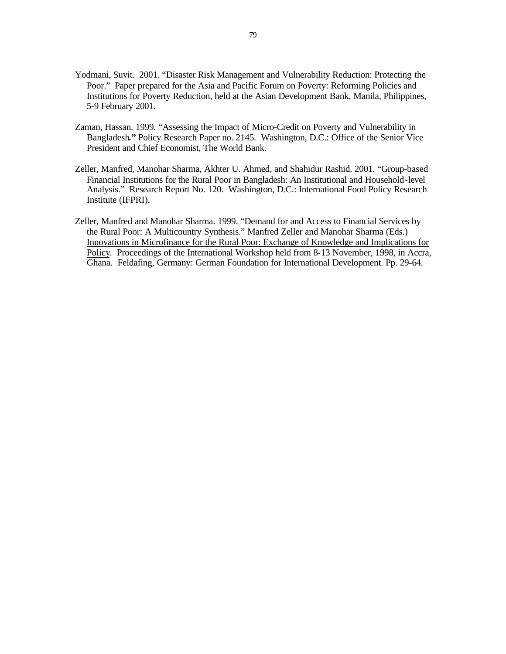- Yodmani, Suvit. 2001. "Disaster Risk Management and Vulnerability Reduction: Protecting the Poor." Paper prepared for the Asia and Pacific Forum on Poverty: Reforming Policies and Institutions for Poverty Reduction, held at the Asian Development Bank, Manila, Philippines, 5-9 February 2001.
- Zaman, Hassan. 1999. "Assessing the Impact of Micro-Credit on Poverty and Vulnerability in Bangladesh**."** Policy Research Paper no. 2145. Washington, D.C.: Office of the Senior Vice President and Chief Economist, The World Bank.
- Zeller, Manfred, Manohar Sharma, Akhter U. Ahmed, and Shahidur Rashid. 2001. "Group-based Financial Institutions for the Rural Poor in Bangladesh: An Institutional and Household-level Analysis." Research Report No. 120. Washington, D.C.: International Food Policy Research Institute (IFPRI).
- Zeller, Manfred and Manohar Sharma. 1999. "Demand for and Access to Financial Services by the Rural Poor: A Multicountry Synthesis." Manfred Zeller and Manohar Sharma (Eds.) Innovations in Microfinance for the Rural Poor: Exchange of Knowledge and Implications for Policy. Proceedings of the International Workshop held from 8-13 November, 1998, in Accra, Ghana. Feldafing, Germany: German Foundation for International Development. Pp. 29-64.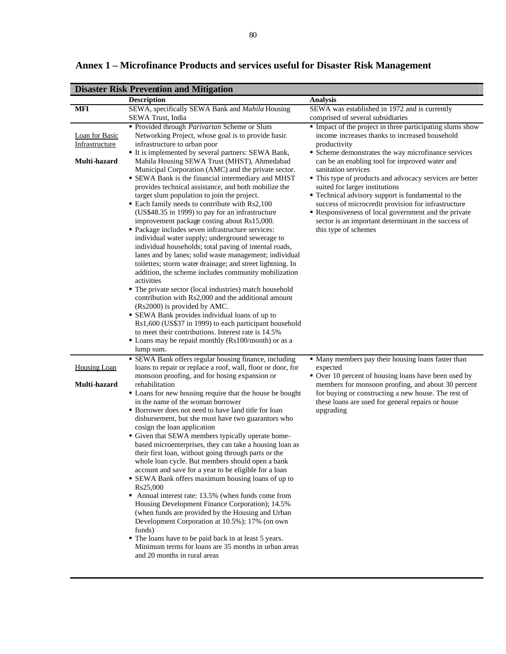| <b>Disaster Risk Prevention and Mitigation</b>          |                                                                                                                                                                                                                                                                                                                                                                                                                                                                                                                                                                                                                                                                                                                                                                                                                                                                                                                                                                            |                                                                                                                                                                                                                                                                                                                                                                                                                                                                                                                                                                                                              |  |
|---------------------------------------------------------|----------------------------------------------------------------------------------------------------------------------------------------------------------------------------------------------------------------------------------------------------------------------------------------------------------------------------------------------------------------------------------------------------------------------------------------------------------------------------------------------------------------------------------------------------------------------------------------------------------------------------------------------------------------------------------------------------------------------------------------------------------------------------------------------------------------------------------------------------------------------------------------------------------------------------------------------------------------------------|--------------------------------------------------------------------------------------------------------------------------------------------------------------------------------------------------------------------------------------------------------------------------------------------------------------------------------------------------------------------------------------------------------------------------------------------------------------------------------------------------------------------------------------------------------------------------------------------------------------|--|
|                                                         | <b>Description</b>                                                                                                                                                                                                                                                                                                                                                                                                                                                                                                                                                                                                                                                                                                                                                                                                                                                                                                                                                         | <b>Analysis</b>                                                                                                                                                                                                                                                                                                                                                                                                                                                                                                                                                                                              |  |
| <b>MFI</b>                                              | SEWA, specifically SEWA Bank and Mahila Housing                                                                                                                                                                                                                                                                                                                                                                                                                                                                                                                                                                                                                                                                                                                                                                                                                                                                                                                            | SEWA was established in 1972 and is currently                                                                                                                                                                                                                                                                                                                                                                                                                                                                                                                                                                |  |
|                                                         | SEWA Trust, India                                                                                                                                                                                                                                                                                                                                                                                                                                                                                                                                                                                                                                                                                                                                                                                                                                                                                                                                                          | comprised of several subsidiaries                                                                                                                                                                                                                                                                                                                                                                                                                                                                                                                                                                            |  |
| <b>Loan</b> for Basic<br>Infrastructure<br>Multi-hazard | Provided through Parivartan Scheme or Slum<br>Networking Project, whose goal is to provide basic<br>infrastructure to urban poor<br>It is implemented by several partners: SEWA Bank,<br>Mahila Housing SEWA Trust (MHST), Ahmedabad<br>Municipal Corporation (AMC) and the private sector.<br>• SEWA Bank is the financial intermediary and MHST<br>provides technical assistance, and both mobilize the<br>target slum population to join the project.<br>• Each family needs to contribute with Rs2,100<br>(US\$48.35 in 1999) to pay for an infrastructure<br>improvement package costing about Rs15,000.<br>· Package includes seven infrastructure services:<br>individual water supply; underground sewerage to<br>individual households; total paving of internal roads,<br>lanes and by lanes; solid waste management; individual                                                                                                                                 | • Impact of the project in three participating slums show<br>income increases thanks to increased household<br>productivity<br>• Scheme demonstrates the way microfinance services<br>can be an enabling tool for improved water and<br>sanitation services<br>· This type of products and advocacy services are better<br>suited for larger institutions<br>• Technical advisory support is fundamental to the<br>success of microcredit provision for infrastructure<br>Responsiveness of local government and the private<br>sector is an important determinant in the success of<br>this type of schemes |  |
|                                                         | toilettes; storm water drainage; and street lightning. In<br>addition, the scheme includes community mobilization<br>activities<br>• The private sector (local industries) match household<br>contribution with Rs2,000 and the additional amount<br>(Rs2000) is provided by AMC.<br>• SEWA Bank provides individual loans of up to<br>Rs1,600 (US\$37 in 1999) to each participant household<br>to meet their contributions. Interest rate is 14.5%<br>• Loans may be repaid monthly (Rs100/month) or as a<br>lump sum.<br>• SEWA Bank offers regular housing finance, including                                                                                                                                                                                                                                                                                                                                                                                          |                                                                                                                                                                                                                                                                                                                                                                                                                                                                                                                                                                                                              |  |
| Housing Loan                                            | loans to repair or replace a roof, wall, floor or door, for                                                                                                                                                                                                                                                                                                                                                                                                                                                                                                                                                                                                                                                                                                                                                                                                                                                                                                                | • Many members pay their housing loans faster than<br>expected                                                                                                                                                                                                                                                                                                                                                                                                                                                                                                                                               |  |
| Multi-hazard                                            | monsoon proofing, and for hosing expansion or<br>rehabilitation                                                                                                                                                                                                                                                                                                                                                                                                                                                                                                                                                                                                                                                                                                                                                                                                                                                                                                            | Over 10 percent of housing loans have been used by<br>members for monsoon proofing, and about 30 percent                                                                                                                                                                                                                                                                                                                                                                                                                                                                                                     |  |
|                                                         | • Loans for new housing require that the house be bought<br>in the name of the woman borrower<br>• Borrower does not need to have land title for loan<br>disbursement, but she must have two guarantors who<br>cosign the loan application<br>Given that SEWA members typically operate home-<br>based microenterprises, they can take a housing loan as<br>their first loan, without going through parts or the<br>whole loan cycle. But members should open a bank<br>account and save for a year to be eligible for a loan<br>• SEWA Bank offers maximum housing loans of up to<br>Rs25,000<br>• Annual interest rate: 13.5% (when funds come from<br>Housing Development Finance Corporation); 14.5%<br>(when funds are provided by the Housing and Urban<br>Development Corporation at 10.5%); 17% (on own<br>funds)<br>• The loans have to be paid back in at least 5 years.<br>Minimum terms for loans are 35 months in urban areas<br>and 20 months in rural areas | for buying or constructing a new house. The rest of<br>these loans are used for general repairs or house<br>upgrading                                                                                                                                                                                                                                                                                                                                                                                                                                                                                        |  |

**Annex 1 – Microfinance Products and services useful for Disaster Risk Management**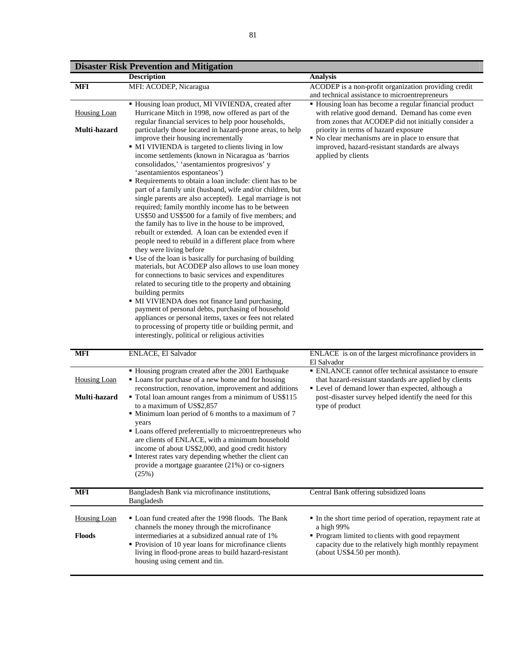|                     | <b>Disaster Risk Prevention and Mitigation</b>                                                                                                                                                                                                                                                                                                                                                                                                                                                                                                                                                                                                                                                                                                                                                                                                                                                                                                                                                                                                                                                                                                                                                                                                                                                                                               |                                                                                                                                                                      |
|---------------------|----------------------------------------------------------------------------------------------------------------------------------------------------------------------------------------------------------------------------------------------------------------------------------------------------------------------------------------------------------------------------------------------------------------------------------------------------------------------------------------------------------------------------------------------------------------------------------------------------------------------------------------------------------------------------------------------------------------------------------------------------------------------------------------------------------------------------------------------------------------------------------------------------------------------------------------------------------------------------------------------------------------------------------------------------------------------------------------------------------------------------------------------------------------------------------------------------------------------------------------------------------------------------------------------------------------------------------------------|----------------------------------------------------------------------------------------------------------------------------------------------------------------------|
|                     | <b>Description</b>                                                                                                                                                                                                                                                                                                                                                                                                                                                                                                                                                                                                                                                                                                                                                                                                                                                                                                                                                                                                                                                                                                                                                                                                                                                                                                                           | <b>Analysis</b>                                                                                                                                                      |
| MFI                 | MFI: ACODEP, Nicaragua                                                                                                                                                                                                                                                                                                                                                                                                                                                                                                                                                                                                                                                                                                                                                                                                                                                                                                                                                                                                                                                                                                                                                                                                                                                                                                                       | ACODEP is a non-profit organization providing credit<br>and technical assistance to microentrepreneurs                                                               |
| <b>Housing Loan</b> | · Housing loan product, MI VIVIENDA, created after<br>Hurricane Mitch in 1998, now offered as part of the<br>regular financial services to help poor households,                                                                                                                                                                                                                                                                                                                                                                                                                                                                                                                                                                                                                                                                                                                                                                                                                                                                                                                                                                                                                                                                                                                                                                             | • Housing loan has become a regular financial product<br>with relative good demand. Demand has come even<br>from zones that ACODEP did not initially consider a      |
| Multi-hazard        | particularly those located in hazard-prone areas, to help<br>improve their housing incrementally<br>• MI VIVIENDA is targeted to clients living in low<br>income settlements (known in Nicaragua as 'barrios<br>consolidados,' 'asentamientos progresivos' y<br>'asentamientos espontaneos')<br>Requirements to obtain a loan include: client has to be<br>part of a family unit (husband, wife and/or children, but<br>single parents are also accepted). Legal marriage is not<br>required; family monthly income has to be between<br>US\$50 and US\$500 for a family of five members; and<br>the family has to live in the house to be improved,<br>rebuilt or extended. A loan can be extended even if<br>people need to rebuild in a different place from where<br>they were living before<br>• Use of the loan is basically for purchasing of building<br>materials, but ACODEP also allows to use loan money<br>for connections to basic services and expenditures<br>related to securing title to the property and obtaining<br>building permits<br>• MI VIVIENDA does not finance land purchasing,<br>payment of personal debts, purchasing of household<br>appliances or personal items, taxes or fees not related<br>to processing of property title or building permit, and<br>interestingly, political or religious activities | priority in terms of hazard exposure<br>• No clear mechanisms are in place to ensure that<br>improved, hazard-resistant standards are always<br>applied by clients   |
| <b>MFI</b>          | <b>ENLACE, El Salvador</b>                                                                                                                                                                                                                                                                                                                                                                                                                                                                                                                                                                                                                                                                                                                                                                                                                                                                                                                                                                                                                                                                                                                                                                                                                                                                                                                   | ENLACE is on of the largest microfinance providers in<br>El Salvador                                                                                                 |
| <b>Housing Loan</b> | • Housing program created after the 2001 Earthquake<br>• Loans for purchase of a new home and for housing<br>reconstruction, renovation, improvement and additions                                                                                                                                                                                                                                                                                                                                                                                                                                                                                                                                                                                                                                                                                                                                                                                                                                                                                                                                                                                                                                                                                                                                                                           | • ENLANCE cannot offer technical assistance to ensure<br>that hazard-resistant standards are applied by clients<br>• Level of demand lower than expected, although a |
| Multi-hazard        | • Total loan amount ranges from a minimum of US\$115<br>to a maximum of US\$2,857<br>• Minimum loan period of 6 months to a maximum of 7<br>years<br>• Loans offered preferentially to microentrepreneurs who<br>are clients of ENLACE, with a minimum household<br>income of about US\$2,000, and good credit history<br>Interest rates vary depending whether the client can<br>provide a mortgage guarantee (21%) or co-signers<br>(25%)                                                                                                                                                                                                                                                                                                                                                                                                                                                                                                                                                                                                                                                                                                                                                                                                                                                                                                  | post-disaster survey helped identify the need for this<br>type of product                                                                                            |

|  |  | <b>Disaster Risk Prevention and Mitigation</b> |  |  |
|--|--|------------------------------------------------|--|--|
|--|--|------------------------------------------------|--|--|

|                               | income of about US\$2,000, and good credit history<br>• Interest rates vary depending whether the client can<br>provide a mortgage guarantee $(21%)$ or co-signers<br>(25%)                                                                                                                               |                                                                                                                                                                                                                      |
|-------------------------------|-----------------------------------------------------------------------------------------------------------------------------------------------------------------------------------------------------------------------------------------------------------------------------------------------------------|----------------------------------------------------------------------------------------------------------------------------------------------------------------------------------------------------------------------|
| MFI                           | Bangladesh Bank via microfinance institutions,<br>Bangladesh                                                                                                                                                                                                                                              | Central Bank offering subsidized loans                                                                                                                                                                               |
| Housing Loan<br><b>Floods</b> | • Loan fund created after the 1998 floods. The Bank<br>channels the money through the microfinance<br>intermediaries at a subsidized annual rate of 1%<br>• Provision of 10 year loans for microfinance clients<br>living in flood-prone areas to build hazard-resistant<br>housing using cement and tin. | • In the short time period of operation, repayment rate at<br>a high 99%<br>• Program limited to clients with good repayment<br>capacity due to the relatively high monthly repayment<br>(about US\$4.50 per month). |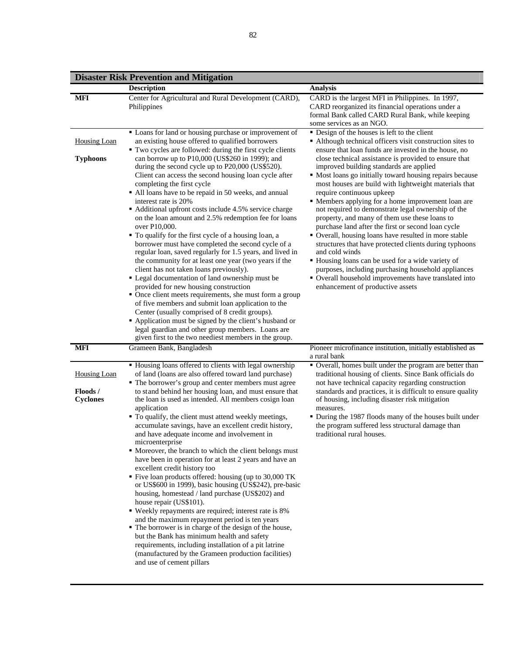|                                                                         | <b>Disaster Risk Prevention and Mitigation</b>                                                                                                                                                                                                                                                                                                                                                                                                                                                                                                                                                                                                                                                                                                                                                                                                                                                                                                                                                                                                                                                                                                                                                                                                        |                                                                                                                                                                                                                                                                                                                                                                                                                                                                                                                                                                                                                                                                                                                                                                                                                                                                                                                                                                                        |
|-------------------------------------------------------------------------|-------------------------------------------------------------------------------------------------------------------------------------------------------------------------------------------------------------------------------------------------------------------------------------------------------------------------------------------------------------------------------------------------------------------------------------------------------------------------------------------------------------------------------------------------------------------------------------------------------------------------------------------------------------------------------------------------------------------------------------------------------------------------------------------------------------------------------------------------------------------------------------------------------------------------------------------------------------------------------------------------------------------------------------------------------------------------------------------------------------------------------------------------------------------------------------------------------------------------------------------------------|----------------------------------------------------------------------------------------------------------------------------------------------------------------------------------------------------------------------------------------------------------------------------------------------------------------------------------------------------------------------------------------------------------------------------------------------------------------------------------------------------------------------------------------------------------------------------------------------------------------------------------------------------------------------------------------------------------------------------------------------------------------------------------------------------------------------------------------------------------------------------------------------------------------------------------------------------------------------------------------|
|                                                                         | <b>Description</b>                                                                                                                                                                                                                                                                                                                                                                                                                                                                                                                                                                                                                                                                                                                                                                                                                                                                                                                                                                                                                                                                                                                                                                                                                                    | <b>Analysis</b>                                                                                                                                                                                                                                                                                                                                                                                                                                                                                                                                                                                                                                                                                                                                                                                                                                                                                                                                                                        |
| <b>MFI</b>                                                              | Center for Agricultural and Rural Development (CARD),<br>Philippines                                                                                                                                                                                                                                                                                                                                                                                                                                                                                                                                                                                                                                                                                                                                                                                                                                                                                                                                                                                                                                                                                                                                                                                  | CARD is the largest MFI in Philippines. In 1997,<br>CARD reorganized its financial operations under a<br>formal Bank called CARD Rural Bank, while keeping<br>some services as an NGO.                                                                                                                                                                                                                                                                                                                                                                                                                                                                                                                                                                                                                                                                                                                                                                                                 |
| <b>Housing Loan</b><br><b>Typhoons</b>                                  | • Loans for land or housing purchase or improvement of<br>an existing house offered to qualified borrowers<br>" Two cycles are followed: during the first cycle clients<br>can borrow up to P10,000 (US\$260 in 1999); and<br>during the second cycle up to P20,000 (US\$520).<br>Client can access the second housing loan cycle after<br>completing the first cycle<br>All loans have to be repaid in 50 weeks, and annual<br>interest rate is 20%<br>• Additional upfront costs include 4.5% service charge<br>on the loan amount and 2.5% redemption fee for loans<br>over P10,000.<br>• To qualify for the first cycle of a housing loan, a<br>borrower must have completed the second cycle of a<br>regular loan, saved regularly for 1.5 years, and lived in<br>the community for at least one year (two years if the<br>client has not taken loans previously).<br>• Legal documentation of land ownership must be<br>provided for new housing construction<br>• Once client meets requirements, she must form a group<br>of five members and submit loan application to the<br>Center (usually comprised of 8 credit groups).                                                                                                                | • Design of the houses is left to the client<br>• Although technical officers visit construction sites to<br>ensure that loan funds are invested in the house, no<br>close technical assistance is provided to ensure that<br>improved building standards are applied<br>• Most loans go initially toward housing repairs because<br>most houses are build with lightweight materials that<br>require continuous upkeep<br>• Members applying for a home improvement loan are<br>not required to demonstrate legal ownership of the<br>property, and many of them use these loans to<br>purchase land after the first or second loan cycle<br>• Overall, housing loans have resulted in more stable<br>structures that have protected clients during typhoons<br>and cold winds<br>Housing loans can be used for a wide variety of<br>purposes, including purchasing household appliances<br>• Overall household improvements have translated into<br>enhancement of productive assets |
|                                                                         | • Application must be signed by the client's husband or<br>legal guardian and other group members. Loans are<br>given first to the two neediest members in the group.                                                                                                                                                                                                                                                                                                                                                                                                                                                                                                                                                                                                                                                                                                                                                                                                                                                                                                                                                                                                                                                                                 |                                                                                                                                                                                                                                                                                                                                                                                                                                                                                                                                                                                                                                                                                                                                                                                                                                                                                                                                                                                        |
|                                                                         |                                                                                                                                                                                                                                                                                                                                                                                                                                                                                                                                                                                                                                                                                                                                                                                                                                                                                                                                                                                                                                                                                                                                                                                                                                                       |                                                                                                                                                                                                                                                                                                                                                                                                                                                                                                                                                                                                                                                                                                                                                                                                                                                                                                                                                                                        |
| <b>MFI</b><br><b>Housing Loan</b><br><b>Floods</b> /<br><b>Cyclones</b> | Grameen Bank, Bangladesh<br>" Housing loans offered to clients with legal ownership<br>of land (loans are also offered toward land purchase)<br>• The borrower's group and center members must agree<br>to stand behind her housing loan, and must ensure that<br>the loan is used as intended. All members cosign loan<br>application<br>" To qualify, the client must attend weekly meetings,<br>accumulate savings, have an excellent credit history,<br>and have adequate income and involvement in<br>microenterprise<br>• Moreover, the branch to which the client belongs must<br>have been in operation for at least 2 years and have an<br>excellent credit history too<br>• Five loan products offered: housing (up to 30,000 TK)<br>or US\$600 in 1999), basic housing (US\$242), pre-basic<br>housing, homestead / land purchase (US\$202) and<br>house repair (US\$101).<br>• Weekly repayments are required; interest rate is 8%<br>and the maximum repayment period is ten years<br>• The borrower is in charge of the design of the house,<br>but the Bank has minimum health and safety<br>requirements, including installation of a pit latrine<br>(manufactured by the Grameen production facilities)<br>and use of cement pillars | Pioneer microfinance institution, initially established as<br>a rural bank<br>• Overall, homes built under the program are better than<br>traditional housing of clients. Since Bank officials do<br>not have technical capacity regarding construction<br>standards and practices, it is difficult to ensure quality<br>of housing, including disaster risk mitigation<br>measures.<br>• During the 1987 floods many of the houses built under<br>the program suffered less structural damage than<br>traditional rural houses.                                                                                                                                                                                                                                                                                                                                                                                                                                                       |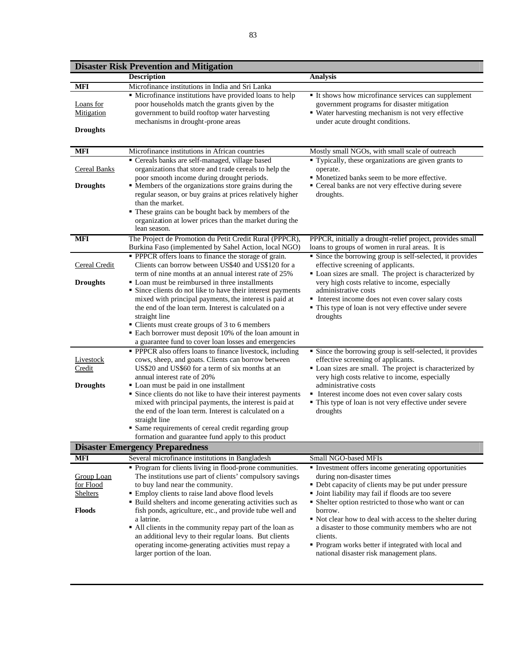|                                                             | <b>Disaster Risk Prevention and Mitigation</b>                                                                                                                                                                                                                                                                                                                                                                                                                                                                                                                |                                                                                                                                                                                                                                                                                                                                                                                                                                                                                                   |
|-------------------------------------------------------------|---------------------------------------------------------------------------------------------------------------------------------------------------------------------------------------------------------------------------------------------------------------------------------------------------------------------------------------------------------------------------------------------------------------------------------------------------------------------------------------------------------------------------------------------------------------|---------------------------------------------------------------------------------------------------------------------------------------------------------------------------------------------------------------------------------------------------------------------------------------------------------------------------------------------------------------------------------------------------------------------------------------------------------------------------------------------------|
|                                                             | <b>Description</b>                                                                                                                                                                                                                                                                                                                                                                                                                                                                                                                                            | <b>Analysis</b>                                                                                                                                                                                                                                                                                                                                                                                                                                                                                   |
| <b>MFI</b>                                                  | Microfinance institutions in India and Sri Lanka                                                                                                                                                                                                                                                                                                                                                                                                                                                                                                              |                                                                                                                                                                                                                                                                                                                                                                                                                                                                                                   |
| Loans for<br>Mitigation<br><b>Droughts</b>                  | • Microfinance institutions have provided loans to help<br>poor households match the grants given by the<br>government to build rooftop water harvesting<br>mechanisms in drought-prone areas                                                                                                                                                                                                                                                                                                                                                                 | It shows how microfinance services can supplement<br>government programs for disaster mitigation<br>• Water harvesting mechanism is not very effective<br>under acute drought conditions.                                                                                                                                                                                                                                                                                                         |
|                                                             |                                                                                                                                                                                                                                                                                                                                                                                                                                                                                                                                                               |                                                                                                                                                                                                                                                                                                                                                                                                                                                                                                   |
| <b>MFI</b>                                                  | Microfinance institutions in African countries                                                                                                                                                                                                                                                                                                                                                                                                                                                                                                                | Mostly small NGOs, with small scale of outreach                                                                                                                                                                                                                                                                                                                                                                                                                                                   |
| <b>Cereal Banks</b>                                         | Cereals banks are self-managed, village based<br>organizations that store and trade cereals to help the<br>poor smooth income during drought periods.                                                                                                                                                                                                                                                                                                                                                                                                         | • Typically, these organizations are given grants to<br>operate.<br>• Monetized banks seem to be more effective.                                                                                                                                                                                                                                                                                                                                                                                  |
| <b>Droughts</b>                                             | • Members of the organizations store grains during the<br>regular season, or buy grains at prices relatively higher<br>than the market.<br>These grains can be bought back by members of the<br>organization at lower prices than the market during the                                                                                                                                                                                                                                                                                                       | • Cereal banks are not very effective during severe<br>droughts.                                                                                                                                                                                                                                                                                                                                                                                                                                  |
|                                                             | lean season.                                                                                                                                                                                                                                                                                                                                                                                                                                                                                                                                                  |                                                                                                                                                                                                                                                                                                                                                                                                                                                                                                   |
| <b>MFI</b>                                                  | The Project de Promotion du Petit Credit Rural (PPPCR),<br>Burkina Faso (implemented by Sahel Action, local NGO)                                                                                                                                                                                                                                                                                                                                                                                                                                              | PPPCR, initially a drought-relief project, provides small<br>loans to groups of women in rural areas. It is                                                                                                                                                                                                                                                                                                                                                                                       |
| Cereal Credit                                               | • PPPCR offers loans to finance the storage of grain.<br>Clients can borrow between US\$40 and US\$120 for a<br>term of nine months at an annual interest rate of 25%                                                                                                                                                                                                                                                                                                                                                                                         | • Since the borrowing group is self-selected, it provides<br>effective screening of applicants.<br>• Loan sizes are small. The project is characterized by                                                                                                                                                                                                                                                                                                                                        |
| <b>Droughts</b>                                             | • Loan must be reimbursed in three installments<br>• Since clients do not like to have their interest payments<br>mixed with principal payments, the interest is paid at<br>the end of the loan term. Interest is calculated on a                                                                                                                                                                                                                                                                                                                             | very high costs relative to income, especially<br>administrative costs<br>Interest income does not even cover salary costs<br>• This type of loan is not very effective under severe                                                                                                                                                                                                                                                                                                              |
|                                                             | straight line<br>• Clients must create groups of 3 to 6 members<br>• Each borrower must deposit 10% of the loan amount in<br>a guarantee fund to cover loan losses and emergencies                                                                                                                                                                                                                                                                                                                                                                            | droughts                                                                                                                                                                                                                                                                                                                                                                                                                                                                                          |
| Livestock<br>Credit                                         | • PPPCR also offers loans to finance livestock, including<br>cows, sheep, and goats. Clients can borrow between<br>US\$20 and US\$60 for a term of six months at an<br>annual interest rate of 20%                                                                                                                                                                                                                                                                                                                                                            | • Since the borrowing group is self-selected, it provides<br>effective screening of applicants.<br>• Loan sizes are small. The project is characterized by<br>very high costs relative to income, especially                                                                                                                                                                                                                                                                                      |
| <b>Droughts</b>                                             | • Loan must be paid in one installment<br>Since clients do not like to have their interest payments<br>mixed with principal payments, the interest is paid at<br>the end of the loan term. Interest is calculated on a<br>straight line<br>• Same requirements of cereal credit regarding group                                                                                                                                                                                                                                                               | administrative costs<br>Interest income does not even cover salary costs<br>• This type of loan is not very effective under severe<br>droughts                                                                                                                                                                                                                                                                                                                                                    |
|                                                             | formation and guarantee fund apply to this product                                                                                                                                                                                                                                                                                                                                                                                                                                                                                                            |                                                                                                                                                                                                                                                                                                                                                                                                                                                                                                   |
|                                                             | <b>Disaster Emergency Preparedness</b>                                                                                                                                                                                                                                                                                                                                                                                                                                                                                                                        |                                                                                                                                                                                                                                                                                                                                                                                                                                                                                                   |
| <b>MFI</b>                                                  | Several microfinance institutions in Bangladesh                                                                                                                                                                                                                                                                                                                                                                                                                                                                                                               | Small NGO-based MFIs                                                                                                                                                                                                                                                                                                                                                                                                                                                                              |
| Group Loan<br>for Flood<br><b>Shelters</b><br><b>Floods</b> | • Program for clients living in flood-prone communities.<br>The institutions use part of clients' compulsory savings<br>to buy land near the community.<br>Employ clients to raise land above flood levels<br>• Build shelters and income generating activities such as<br>fish ponds, agriculture, etc., and provide tube well and<br>a latrine.<br>• All clients in the community repay part of the loan as<br>an additional levy to their regular loans. But clients<br>operating income-generating activities must repay a<br>larger portion of the loan. | Investment offers income generating opportunities<br>during non-disaster times<br>• Debt capacity of clients may be put under pressure<br>• Joint liability may fail if floods are too severe<br>• Shelter option restricted to those who want or can<br>borrow.<br>• Not clear how to deal with access to the shelter during<br>a disaster to those community members who are not<br>clients.<br>• Program works better if integrated with local and<br>national disaster risk management plans. |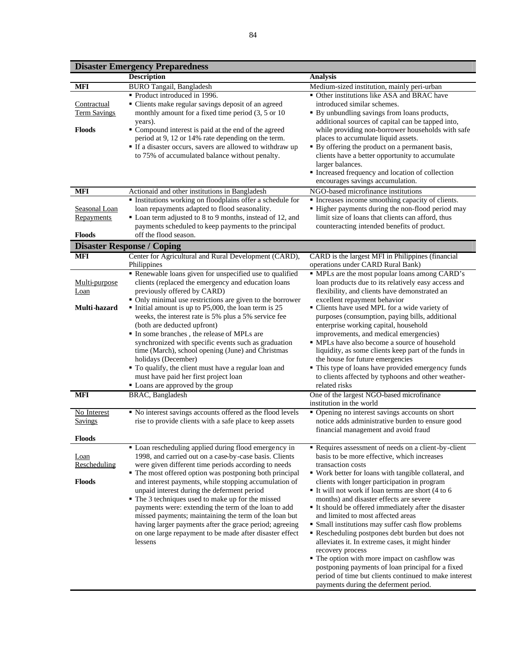**Disaster Emergency Preparedness**

|                        | різамет епісі gency і герагеннезз<br><b>Description</b>                                                            | Analysis                                                                                              |
|------------------------|--------------------------------------------------------------------------------------------------------------------|-------------------------------------------------------------------------------------------------------|
| <b>MFI</b>             | <b>BURO Tangail</b> , Bangladesh                                                                                   | Medium-sized institution, mainly peri-urban                                                           |
|                        | Product introduced in 1996.                                                                                        | • Other institutions like ASA and BRAC have                                                           |
| Contractual            | • Clients make regular savings deposit of an agreed                                                                | introduced similar schemes.                                                                           |
| <b>Term Savings</b>    | monthly amount for a fixed time period (3, 5 or 10)                                                                | • By unbundling savings from loans products,                                                          |
| Floods                 | years).                                                                                                            | additional sources of capital can be tapped into,                                                     |
|                        | • Compound interest is paid at the end of the agreed<br>period at 9, 12 or 14% rate depending on the term.         | while providing non-borrower households with safe<br>places to accumulate liquid assets.              |
|                        | If a disaster occurs, savers are allowed to withdraw up                                                            | • By offering the product on a permanent basis,                                                       |
|                        | to 75% of accumulated balance without penalty.                                                                     | clients have a better opportunity to accumulate                                                       |
|                        |                                                                                                                    | larger balances.                                                                                      |
|                        |                                                                                                                    | Increased frequency and location of collection<br>encourages savings accumulation.                    |
| <b>MFI</b>             |                                                                                                                    | NGO-based microfinance institutions                                                                   |
|                        | Actionaid and other institutions in Bangladesh<br>· Institutions working on floodplains offer a schedule for       | Increases income smoothing capacity of clients.                                                       |
| Seasonal Loan          | loan repayments adapted to flood seasonality.                                                                      | • Higher payments during the non-flood period may                                                     |
| <b>Repayments</b>      | • Loan term adjusted to 8 to 9 months, instead of 12, and                                                          | limit size of loans that clients can afford, thus                                                     |
|                        | payments scheduled to keep payments to the principal                                                               | counteracting intended benefits of product.                                                           |
| <b>Floods</b>          | off the flood season.                                                                                              |                                                                                                       |
|                        | <b>Disaster Response / Coping</b>                                                                                  |                                                                                                       |
| <b>MFI</b>             | Center for Agricultural and Rural Development (CARD),<br>Philippines                                               | CARD is the largest MFI in Philippines (financial<br>operations under CARD Rural Bank)                |
|                        | Renewable loans given for unspecified use to qualified                                                             | • MPLs are the most popular loans among CARD's                                                        |
| Multi-purpose          | clients (replaced the emergency and education loans                                                                | loan products due to its relatively easy access and                                                   |
| <b>Loan</b>            | previously offered by CARD)                                                                                        | flexibility, and clients have demonstrated an                                                         |
|                        | • Only minimal use restrictions are given to the borrower                                                          | excellent repayment behavior                                                                          |
| Multi-hazard           | Initial amount is up to P5,000, the loan term is 25<br>weeks, the interest rate is 5% plus a 5% service fee        | " Clients have used MPL for a wide variety of<br>purposes (consumption, paying bills, additional      |
|                        | (both are deducted upfront)                                                                                        | enterprise working capital, household                                                                 |
|                        | In some branches, the release of MPLs are                                                                          | improvements, and medical emergencies)                                                                |
|                        | synchronized with specific events such as graduation                                                               | • MPLs have also become a source of household                                                         |
|                        | time (March), school opening (June) and Christmas                                                                  | liquidity, as some clients keep part of the funds in                                                  |
|                        | holidays (December)<br>" To qualify, the client must have a regular loan and                                       | the house for future emergencies<br>• This type of loans have provided emergency funds                |
|                        | must have paid her first project loan                                                                              | to clients affected by typhoons and other weather-                                                    |
|                        | Loans are approved by the group                                                                                    | related risks                                                                                         |
| <b>MFI</b>             | BRAC, Bangladesh                                                                                                   | One of the largest NGO-based microfinance                                                             |
|                        |                                                                                                                    | institution in the world                                                                              |
| No Interest<br>Savings | • No interest savings accounts offered as the flood levels                                                         | • Opening no interest savings accounts on short                                                       |
|                        | rise to provide clients with a safe place to keep assets                                                           | notice adds administrative burden to ensure good<br>financial management and avoid fraud              |
| <b>Floods</b>          |                                                                                                                    |                                                                                                       |
|                        | • Loan rescheduling applied during flood emergency in                                                              | Requires assessment of needs on a client-by-client                                                    |
| Loan                   | 1998, and carried out on a case-by-case basis. Clients                                                             | basis to be more effective, which increases                                                           |
| Rescheduling           | were given different time periods according to needs<br>• The most offered option was postponing both principal    | transaction costs<br>" Work better for loans with tangible collateral, and                            |
| <b>Floods</b>          | and interest payments, while stopping accumulation of                                                              | clients with longer participation in program                                                          |
|                        | unpaid interest during the deferment period                                                                        | It will not work if loan terms are short (4 to 6                                                      |
|                        | • The 3 techniques used to make up for the missed                                                                  | months) and disaster effects are severe                                                               |
|                        | payments were: extending the term of the loan to add                                                               | It should be offered immediately after the disaster                                                   |
|                        | missed payments; maintaining the term of the loan but                                                              | and limited to most affected areas                                                                    |
|                        | having larger payments after the grace period; agreeing<br>on one large repayment to be made after disaster effect | • Small institutions may suffer cash flow problems<br>Rescheduling postpones debt burden but does not |
|                        | lessens                                                                                                            | alleviates it. In extreme cases, it might hinder                                                      |
|                        |                                                                                                                    | recovery process                                                                                      |
|                        |                                                                                                                    | • The option with more impact on cashflow was                                                         |
|                        |                                                                                                                    | postponing payments of loan principal for a fixed                                                     |
|                        |                                                                                                                    | period of time but clients continued to make interest<br>payments during the deferment period.        |
|                        |                                                                                                                    |                                                                                                       |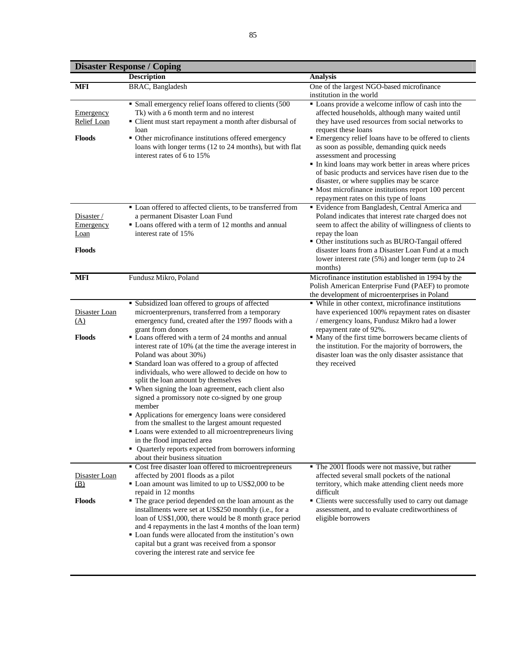## **Disaster Response / Coping**

|                                                                | <b>Disaster Response / Coping</b><br><b>Description</b>                                                                                                                                                                                                                                                                                                                                                                                                                                                                                                                                                                                                                                                                                                                                                                                                                                        | <b>Analysis</b>                                                                                                                                                                                                                                                                                                                                                                                                                                                                                                                                                                |
|----------------------------------------------------------------|------------------------------------------------------------------------------------------------------------------------------------------------------------------------------------------------------------------------------------------------------------------------------------------------------------------------------------------------------------------------------------------------------------------------------------------------------------------------------------------------------------------------------------------------------------------------------------------------------------------------------------------------------------------------------------------------------------------------------------------------------------------------------------------------------------------------------------------------------------------------------------------------|--------------------------------------------------------------------------------------------------------------------------------------------------------------------------------------------------------------------------------------------------------------------------------------------------------------------------------------------------------------------------------------------------------------------------------------------------------------------------------------------------------------------------------------------------------------------------------|
| <b>MFI</b>                                                     | BRAC, Bangladesh                                                                                                                                                                                                                                                                                                                                                                                                                                                                                                                                                                                                                                                                                                                                                                                                                                                                               | One of the largest NGO-based microfinance                                                                                                                                                                                                                                                                                                                                                                                                                                                                                                                                      |
|                                                                |                                                                                                                                                                                                                                                                                                                                                                                                                                                                                                                                                                                                                                                                                                                                                                                                                                                                                                | institution in the world                                                                                                                                                                                                                                                                                                                                                                                                                                                                                                                                                       |
| Emergency<br><b>Relief Loan</b><br><b>Floods</b>               | • Small emergency relief loans offered to clients (500<br>Tk) with a 6 month term and no interest<br>• Client must start repayment a month after disbursal of<br>loan<br>• Other microfinance institutions offered emergency<br>loans with longer terms (12 to 24 months), but with flat<br>interest rates of 6 to 15%                                                                                                                                                                                                                                                                                                                                                                                                                                                                                                                                                                         | • Loans provide a welcome inflow of cash into the<br>affected households, although many waited until<br>they have used resources from social networks to<br>request these loans<br>Emergency relief loans have to be offered to clients<br>as soon as possible, demanding quick needs<br>assessment and processing<br>In kind loans may work better in areas where prices<br>of basic products and services have risen due to the<br>disaster, or where supplies may be scarce<br>• Most microfinance institutions report 100 percent<br>repayment rates on this type of loans |
| Disaster /<br><b>Emergency</b><br><b>Loan</b><br><b>Floods</b> | • Loan offered to affected clients, to be transferred from<br>a permanent Disaster Loan Fund<br>• Loans offered with a term of 12 months and annual<br>interest rate of 15%                                                                                                                                                                                                                                                                                                                                                                                                                                                                                                                                                                                                                                                                                                                    | · Evidence from Bangladesh, Central America and<br>Poland indicates that interest rate charged does not<br>seem to affect the ability of willingness of clients to<br>repay the loan<br>• Other institutions such as BURO-Tangail offered<br>disaster loans from a Disaster Loan Fund at a much<br>lower interest rate (5%) and longer term (up to 24<br>months)                                                                                                                                                                                                               |
| <b>MFI</b>                                                     | Fundusz Mikro, Poland                                                                                                                                                                                                                                                                                                                                                                                                                                                                                                                                                                                                                                                                                                                                                                                                                                                                          | Microfinance institution established in 1994 by the<br>Polish American Enterprise Fund (PAEF) to promote<br>the development of microenterprises in Poland                                                                                                                                                                                                                                                                                                                                                                                                                      |
| Disaster Loan<br>(A)<br><b>Floods</b>                          | • Subsidized loan offered to groups of affected<br>microenterprenurs, transferred from a temporary<br>emergency fund, created after the 1997 floods with a<br>grant from donors<br>• Loans offered with a term of 24 months and annual<br>interest rate of 10% (at the time the average interest in<br>Poland was about 30%)<br>• Standard loan was offered to a group of affected<br>individuals, who were allowed to decide on how to<br>split the loan amount by themselves<br>• When signing the loan agreement, each client also<br>signed a promissory note co-signed by one group<br>member<br>Applications for emergency loans were considered<br>from the smallest to the largest amount requested<br>• Loans were extended to all microentrepreneurs living<br>in the flood impacted area<br>• Quarterly reports expected from borrowers informing<br>about their business situation | • While in other context, microfinance institutions<br>have experienced 100% repayment rates on disaster<br>/ emergency loans, Fundusz Mikro had a lower<br>repayment rate of 92%.<br>• Many of the first time borrowers became clients of<br>the institution. For the majority of borrowers, the<br>disaster loan was the only disaster assistance that<br>they received                                                                                                                                                                                                      |
| Disaster Loan<br>(B)<br><b>Floods</b>                          | • Cost free disaster loan offered to microentrepreneurs<br>affected by 2001 floods as a pilot<br>Loan amount was limited to up to US\$2,000 to be<br>repaid in 12 months<br>• The grace period depended on the loan amount as the<br>installments were set at US\$250 monthly (i.e., for a<br>loan of US\$1,000, there would be 8 month grace period<br>and 4 repayments in the last 4 months of the loan term)<br>• Loan funds were allocated from the institution's own<br>capital but a grant was received from a sponsor<br>covering the interest rate and service fee                                                                                                                                                                                                                                                                                                                     | • The 2001 floods were not massive, but rather<br>affected several small pockets of the national<br>territory, which make attending client needs more<br>difficult<br>• Clients were successfully used to carry out damage<br>assessment, and to evaluate creditworthiness of<br>eligible borrowers                                                                                                                                                                                                                                                                            |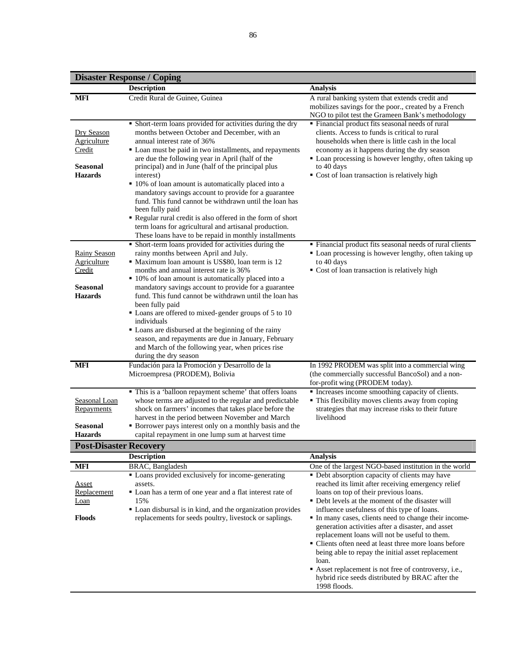|                                                                            | <b>Disaster Response / Coping</b>                                                                                                                                                                                                                                                                                                                                                                                                                                                                                                                                                                                                                           |                                                                                                                                                                                                                                                                                                                                                                                                                                                                                                                                                                                                                                                                |
|----------------------------------------------------------------------------|-------------------------------------------------------------------------------------------------------------------------------------------------------------------------------------------------------------------------------------------------------------------------------------------------------------------------------------------------------------------------------------------------------------------------------------------------------------------------------------------------------------------------------------------------------------------------------------------------------------------------------------------------------------|----------------------------------------------------------------------------------------------------------------------------------------------------------------------------------------------------------------------------------------------------------------------------------------------------------------------------------------------------------------------------------------------------------------------------------------------------------------------------------------------------------------------------------------------------------------------------------------------------------------------------------------------------------------|
|                                                                            | <b>Description</b>                                                                                                                                                                                                                                                                                                                                                                                                                                                                                                                                                                                                                                          | <b>Analysis</b>                                                                                                                                                                                                                                                                                                                                                                                                                                                                                                                                                                                                                                                |
| <b>MFI</b>                                                                 | Credit Rural de Guinee, Guinea                                                                                                                                                                                                                                                                                                                                                                                                                                                                                                                                                                                                                              | A rural banking system that extends credit and<br>mobilizes savings for the poor., created by a French<br>NGO to pilot test the Grameen Bank's methodology                                                                                                                                                                                                                                                                                                                                                                                                                                                                                                     |
| Dry Season<br>Agriculture<br>Credit<br>Seasonal<br><b>Hazards</b>          | • Short-term loans provided for activities during the dry<br>months between October and December, with an<br>annual interest rate of 36%<br>• Loan must be paid in two installments, and repayments<br>are due the following year in April (half of the<br>principal) and in June (half of the principal plus<br>interest)<br>• 10% of loan amount is automatically placed into a<br>mandatory savings account to provide for a guarantee<br>fund. This fund cannot be withdrawn until the loan has<br>been fully paid                                                                                                                                      | • Financial product fits seasonal needs of rural<br>clients. Access to funds is critical to rural<br>households when there is little cash in the local<br>economy as it happens during the dry season<br>• Loan processing is however lengthy, often taking up<br>to 40 days<br>Cost of loan transaction is relatively high                                                                                                                                                                                                                                                                                                                                    |
|                                                                            | Regular rural credit is also offered in the form of short<br>term loans for agricultural and artisanal production.<br>These loans have to be repaid in monthly installments                                                                                                                                                                                                                                                                                                                                                                                                                                                                                 |                                                                                                                                                                                                                                                                                                                                                                                                                                                                                                                                                                                                                                                                |
| <b>Rainy Season</b><br>Agriculture<br>Credit<br>Seasonal<br><b>Hazards</b> | • Short-term loans provided for activities during the<br>rainy months between April and July.<br>• Maximum loan amount is US\$80, loan term is 12<br>months and annual interest rate is 36%<br>• 10% of loan amount is automatically placed into a<br>mandatory savings account to provide for a guarantee<br>fund. This fund cannot be withdrawn until the loan has<br>been fully paid<br>• Loans are offered to mixed-gender groups of 5 to 10<br>individuals<br>• Loans are disbursed at the beginning of the rainy<br>season, and repayments are due in January, February<br>and March of the following year, when prices rise<br>during the dry season | " Financial product fits seasonal needs of rural clients<br>• Loan processing is however lengthy, often taking up<br>to 40 days<br>• Cost of loan transaction is relatively high                                                                                                                                                                                                                                                                                                                                                                                                                                                                               |
| <b>MFI</b>                                                                 | Fundación para la Promoción y Desarrollo de la<br>Microempresa (PRODEM), Bolivia                                                                                                                                                                                                                                                                                                                                                                                                                                                                                                                                                                            | In 1992 PRODEM was split into a commercial wing<br>(the commercially successful BancoSol) and a non-<br>for-profit wing (PRODEM today).                                                                                                                                                                                                                                                                                                                                                                                                                                                                                                                        |
| Seasonal Loan<br>Repayments<br>Seasonal<br><b>Hazards</b>                  | • This is a 'balloon repayment scheme' that offers loans<br>whose terms are adjusted to the regular and predictable<br>shock on farmers' incomes that takes place before the<br>harvest in the period between November and March<br>• Borrower pays interest only on a monthly basis and the<br>capital repayment in one lump sum at harvest time                                                                                                                                                                                                                                                                                                           | Increases income smoothing capacity of clients.<br>• This flexibility moves clients away from coping<br>strategies that may increase risks to their future<br>livelihood                                                                                                                                                                                                                                                                                                                                                                                                                                                                                       |
| <b>Post-Disaster Recovery</b>                                              |                                                                                                                                                                                                                                                                                                                                                                                                                                                                                                                                                                                                                                                             |                                                                                                                                                                                                                                                                                                                                                                                                                                                                                                                                                                                                                                                                |
|                                                                            | <b>Description</b>                                                                                                                                                                                                                                                                                                                                                                                                                                                                                                                                                                                                                                          | <b>Analysis</b>                                                                                                                                                                                                                                                                                                                                                                                                                                                                                                                                                                                                                                                |
| <b>MFI</b>                                                                 | <b>BRAC</b> , Bangladesh                                                                                                                                                                                                                                                                                                                                                                                                                                                                                                                                                                                                                                    | One of the largest NGO-based institution in the world                                                                                                                                                                                                                                                                                                                                                                                                                                                                                                                                                                                                          |
| <u>Asset</u><br>Replacement<br><b>Loan</b><br><b>Floods</b>                | • Loans provided exclusively for income-generating<br>assets.<br>• Loan has a term of one year and a flat interest rate of<br>15%<br>• Loan disbursal is in kind, and the organization provides<br>replacements for seeds poultry, livestock or saplings.                                                                                                                                                                                                                                                                                                                                                                                                   | • Debt absorption capacity of clients may have<br>reached its limit after receiving emergency relief<br>loans on top of their previous loans.<br>• Debt levels at the moment of the disaster will<br>influence usefulness of this type of loans.<br>In many cases, clients need to change their income-<br>generation activities after a disaster, and asset<br>replacement loans will not be useful to them.<br>• Clients often need at least three more loans before<br>being able to repay the initial asset replacement<br>loan.<br>Asset replacement is not free of controversy, i.e.,<br>hybrid rice seeds distributed by BRAC after the<br>1998 floods. |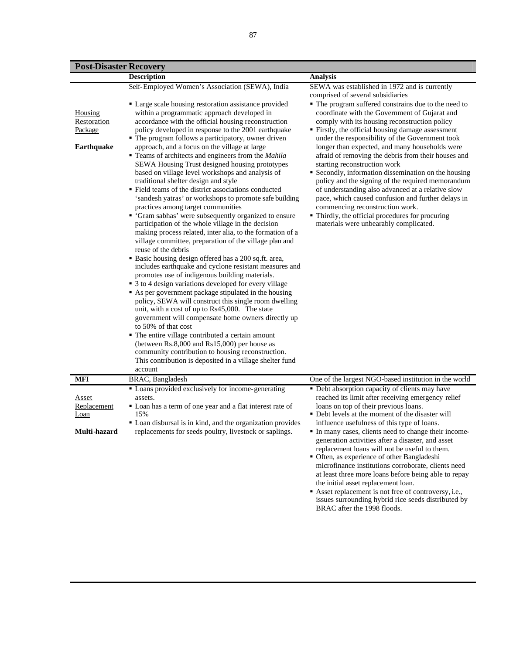| <b>Post-Disaster Recovery</b>                          |                                                                                                                                                                                                                                                                                                                                                                                                                                                                                                                                                                                                                                                                                                                                                                                                                                                                                                                                                                                                                                                                                                                                                                                                                                                                                                                                                                                                                                                                                                                                                                                                                                                                                 |                                                                                                                                                                                                                                                                                                                                                                                                                                                                                                                                                                                                                                                                                                                                                                  |
|--------------------------------------------------------|---------------------------------------------------------------------------------------------------------------------------------------------------------------------------------------------------------------------------------------------------------------------------------------------------------------------------------------------------------------------------------------------------------------------------------------------------------------------------------------------------------------------------------------------------------------------------------------------------------------------------------------------------------------------------------------------------------------------------------------------------------------------------------------------------------------------------------------------------------------------------------------------------------------------------------------------------------------------------------------------------------------------------------------------------------------------------------------------------------------------------------------------------------------------------------------------------------------------------------------------------------------------------------------------------------------------------------------------------------------------------------------------------------------------------------------------------------------------------------------------------------------------------------------------------------------------------------------------------------------------------------------------------------------------------------|------------------------------------------------------------------------------------------------------------------------------------------------------------------------------------------------------------------------------------------------------------------------------------------------------------------------------------------------------------------------------------------------------------------------------------------------------------------------------------------------------------------------------------------------------------------------------------------------------------------------------------------------------------------------------------------------------------------------------------------------------------------|
|                                                        | <b>Description</b>                                                                                                                                                                                                                                                                                                                                                                                                                                                                                                                                                                                                                                                                                                                                                                                                                                                                                                                                                                                                                                                                                                                                                                                                                                                                                                                                                                                                                                                                                                                                                                                                                                                              | <b>Analysis</b>                                                                                                                                                                                                                                                                                                                                                                                                                                                                                                                                                                                                                                                                                                                                                  |
|                                                        | Self-Employed Women's Association (SEWA), India                                                                                                                                                                                                                                                                                                                                                                                                                                                                                                                                                                                                                                                                                                                                                                                                                                                                                                                                                                                                                                                                                                                                                                                                                                                                                                                                                                                                                                                                                                                                                                                                                                 | SEWA was established in 1972 and is currently<br>comprised of several subsidiaries                                                                                                                                                                                                                                                                                                                                                                                                                                                                                                                                                                                                                                                                               |
| Housing<br>Restoration<br>Package<br><b>Earthquake</b> | • Large scale housing restoration assistance provided<br>within a programmatic approach developed in<br>accordance with the official housing reconstruction<br>policy developed in response to the 2001 earthquake<br>• The program follows a participatory, owner driven<br>approach, and a focus on the village at large<br>■ Teams of architects and engineers from the <i>Mahila</i><br>SEWA Housing Trust designed housing prototypes<br>based on village level workshops and analysis of<br>traditional shelter design and style<br>• Field teams of the district associations conducted<br>'sandesh yatras' or workshops to promote safe building<br>practices among target communities<br>• 'Gram sabhas' were subsequently organized to ensure<br>participation of the whole village in the decision<br>making process related, inter alia, to the formation of a<br>village committee, preparation of the village plan and<br>reuse of the debris<br>• Basic housing design offered has a 200 sq.ft. area,<br>includes earthquake and cyclone resistant measures and<br>promotes use of indigenous building materials.<br>• 3 to 4 design variations developed for every village<br>As per government package stipulated in the housing<br>policy, SEWA will construct this single room dwelling<br>unit, with a cost of up to Rs45,000. The state<br>government will compensate home owners directly up<br>to 50% of that cost<br>• The entire village contributed a certain amount<br>(between $Rs.8,000$ and $Rs15,000$ ) per house as<br>community contribution to housing reconstruction.<br>This contribution is deposited in a village shelter fund<br>account | • The program suffered constrains due to the need to<br>coordinate with the Government of Gujarat and<br>comply with its housing reconstruction policy<br>• Firstly, the official housing damage assessment<br>under the responsibility of the Government took<br>longer than expected, and many households were<br>afraid of removing the debris from their houses and<br>starting reconstruction work<br>• Secondly, information dissemination on the housing<br>policy and the signing of the required memorandum<br>of understanding also advanced at a relative slow<br>pace, which caused confusion and further delays in<br>commencing reconstruction work.<br>• Thirdly, the official procedures for procuring<br>materials were unbearably complicated. |
| <b>MFI</b>                                             | BRAC, Bangladesh                                                                                                                                                                                                                                                                                                                                                                                                                                                                                                                                                                                                                                                                                                                                                                                                                                                                                                                                                                                                                                                                                                                                                                                                                                                                                                                                                                                                                                                                                                                                                                                                                                                                | One of the largest NGO-based institution in the world                                                                                                                                                                                                                                                                                                                                                                                                                                                                                                                                                                                                                                                                                                            |
| <u>Asset</u><br>Replacement<br>Loan<br>Multi-hazard    | • Loans provided exclusively for income-generating<br>assets.<br>" Loan has a term of one year and a flat interest rate of<br>15%<br>" Loan disbursal is in kind, and the organization provides<br>replacements for seeds poultry, livestock or saplings.                                                                                                                                                                                                                                                                                                                                                                                                                                                                                                                                                                                                                                                                                                                                                                                                                                                                                                                                                                                                                                                                                                                                                                                                                                                                                                                                                                                                                       | • Debt absorption capacity of clients may have<br>reached its limit after receiving emergency relief<br>loans on top of their previous loans.<br>• Debt levels at the moment of the disaster will<br>influence usefulness of this type of loans.<br>In many cases, clients need to change their income-<br>generation activities after a disaster, and asset<br>replacement loans will not be useful to them.<br>• Often, as experience of other Bangladeshi<br>microfinance institutions corroborate, clients need<br>at least three more loans before being able to repay                                                                                                                                                                                      |

the initial asset replacement loan. Asset replacement is not free of controversy, i.e., issues surrounding hybrid rice seeds distributed by BRAC after the 1998 floods.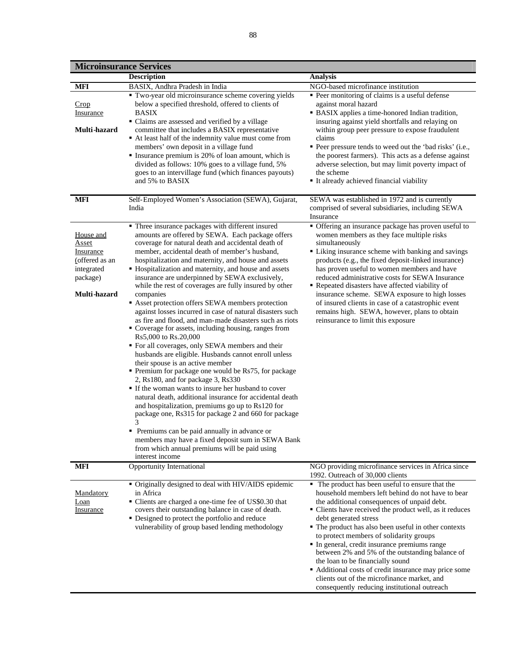|                                                                                                                                         | <b>Microinsurance Services</b>                                                                                                                                                                                                                                                                                                                                                                                                                                                                                                                                                                                                                                                                                                                                                                                                                                                                                                                                                                                                                                                                                                                                                                                                                                                                                                                                                                                                                                                                                                                                                                                                                                                                                                                                                              |                                                                                                                                                                                                                                                                                                                                                                                                                                                                                                                                                                                                                                                                                                                                                                                                                                                                                                                                                                                                                                                                                                                                                                                            |
|-----------------------------------------------------------------------------------------------------------------------------------------|---------------------------------------------------------------------------------------------------------------------------------------------------------------------------------------------------------------------------------------------------------------------------------------------------------------------------------------------------------------------------------------------------------------------------------------------------------------------------------------------------------------------------------------------------------------------------------------------------------------------------------------------------------------------------------------------------------------------------------------------------------------------------------------------------------------------------------------------------------------------------------------------------------------------------------------------------------------------------------------------------------------------------------------------------------------------------------------------------------------------------------------------------------------------------------------------------------------------------------------------------------------------------------------------------------------------------------------------------------------------------------------------------------------------------------------------------------------------------------------------------------------------------------------------------------------------------------------------------------------------------------------------------------------------------------------------------------------------------------------------------------------------------------------------|--------------------------------------------------------------------------------------------------------------------------------------------------------------------------------------------------------------------------------------------------------------------------------------------------------------------------------------------------------------------------------------------------------------------------------------------------------------------------------------------------------------------------------------------------------------------------------------------------------------------------------------------------------------------------------------------------------------------------------------------------------------------------------------------------------------------------------------------------------------------------------------------------------------------------------------------------------------------------------------------------------------------------------------------------------------------------------------------------------------------------------------------------------------------------------------------|
|                                                                                                                                         | <b>Description</b>                                                                                                                                                                                                                                                                                                                                                                                                                                                                                                                                                                                                                                                                                                                                                                                                                                                                                                                                                                                                                                                                                                                                                                                                                                                                                                                                                                                                                                                                                                                                                                                                                                                                                                                                                                          | <b>Analysis</b>                                                                                                                                                                                                                                                                                                                                                                                                                                                                                                                                                                                                                                                                                                                                                                                                                                                                                                                                                                                                                                                                                                                                                                            |
| <b>MFI</b>                                                                                                                              | BASIX, Andhra Pradesh in India                                                                                                                                                                                                                                                                                                                                                                                                                                                                                                                                                                                                                                                                                                                                                                                                                                                                                                                                                                                                                                                                                                                                                                                                                                                                                                                                                                                                                                                                                                                                                                                                                                                                                                                                                              | NGO-based microfinance institution                                                                                                                                                                                                                                                                                                                                                                                                                                                                                                                                                                                                                                                                                                                                                                                                                                                                                                                                                                                                                                                                                                                                                         |
| Crop<br>Insurance<br>Multi-hazard<br>MFI<br>House and<br>Asset<br>Insurance<br>(offered as an<br>integrated<br>package)<br>Multi-hazard | Two-year old microinsurance scheme covering yields<br>below a specified threshold, offered to clients of<br><b>BASIX</b><br>• Claims are assessed and verified by a village<br>committee that includes a BASIX representative<br>At least half of the indemnity value must come from<br>members' own deposit in a village fund<br>• Insurance premium is 20% of loan amount, which is<br>divided as follows: 10% goes to a village fund, 5%<br>goes to an intervillage fund (which finances payouts)<br>and 5% to BASIX<br>Self-Employed Women's Association (SEWA), Gujarat,<br>India<br>• Three insurance packages with different insured<br>amounts are offered by SEWA. Each package offers<br>coverage for natural death and accidental death of<br>member, accidental death of member's husband,<br>hospitalization and maternity, and house and assets<br>• Hospitalization and maternity, and house and assets<br>insurance are underpinned by SEWA exclusively,<br>while the rest of coverages are fully insured by other<br>companies<br>Asset protection offers SEWA members protection<br>against losses incurred in case of natural disasters such<br>as fire and flood, and man-made disasters such as riots<br>" Coverage for assets, including housing, ranges from<br>Rs5,000 to Rs.20,000<br>• For all coverages, only SEWA members and their<br>husbands are eligible. Husbands cannot enroll unless<br>their spouse is an active member<br>Premium for package one would be Rs75, for package<br>2, Rs180, and for package 3, Rs330<br>• If the woman wants to insure her husband to cover<br>natural death, additional insurance for accidental death<br>and hospitalization, premiums go up to Rs120 for<br>package one, Rs315 for package 2 and 660 for package<br>3 | • Peer monitoring of claims is a useful defense<br>against moral hazard<br>• BASIX applies a time-honored Indian tradition,<br>insuring against yield shortfalls and relaying on<br>within group peer pressure to expose fraudulent<br>claims<br>• Peer pressure tends to weed out the 'bad risks' (i.e.,<br>the poorest farmers). This acts as a defense against<br>adverse selection, but may limit poverty impact of<br>the scheme<br>■ It already achieved financial viability<br>SEWA was established in 1972 and is currently<br>comprised of several subsidiaries, including SEWA<br>Insurance<br>• Offering an insurance package has proven useful to<br>women members as they face multiple risks<br>simultaneously<br>• Liking insurance scheme with banking and savings<br>products (e.g., the fixed deposit-linked insurance)<br>has proven useful to women members and have<br>reduced administrative costs for SEWA Insurance<br>Repeated disasters have affected viability of<br>insurance scheme. SEWA exposure to high losses<br>of insured clients in case of a catastrophic event<br>remains high. SEWA, however, plans to obtain<br>reinsurance to limit this exposure |
|                                                                                                                                         | Premiums can be paid annually in advance or<br>members may have a fixed deposit sum in SEWA Bank<br>from which annual premiums will be paid using<br>interest income                                                                                                                                                                                                                                                                                                                                                                                                                                                                                                                                                                                                                                                                                                                                                                                                                                                                                                                                                                                                                                                                                                                                                                                                                                                                                                                                                                                                                                                                                                                                                                                                                        |                                                                                                                                                                                                                                                                                                                                                                                                                                                                                                                                                                                                                                                                                                                                                                                                                                                                                                                                                                                                                                                                                                                                                                                            |
| <b>MFI</b>                                                                                                                              | Opportunity International                                                                                                                                                                                                                                                                                                                                                                                                                                                                                                                                                                                                                                                                                                                                                                                                                                                                                                                                                                                                                                                                                                                                                                                                                                                                                                                                                                                                                                                                                                                                                                                                                                                                                                                                                                   | NGO providing microfinance services in Africa since<br>1992. Outreach of 30,000 clients                                                                                                                                                                                                                                                                                                                                                                                                                                                                                                                                                                                                                                                                                                                                                                                                                                                                                                                                                                                                                                                                                                    |
| <u>Mandatory</u><br>Loan<br><i><u><b>Insurance</b></u></i>                                                                              | • Originally designed to deal with HIV/AIDS epidemic<br>in Africa<br>• Clients are charged a one-time fee of US\$0.30 that<br>covers their outstanding balance in case of death.<br>• Designed to protect the portfolio and reduce<br>vulnerability of group based lending methodology                                                                                                                                                                                                                                                                                                                                                                                                                                                                                                                                                                                                                                                                                                                                                                                                                                                                                                                                                                                                                                                                                                                                                                                                                                                                                                                                                                                                                                                                                                      | • The product has been useful to ensure that the<br>household members left behind do not have to bear<br>the additional consequences of unpaid debt.<br>• Clients have received the product well, as it reduces<br>debt generated stress<br>• The product has also been useful in other contexts<br>to protect members of solidarity groups<br>• In general, credit insurance premiums range<br>between 2% and 5% of the outstanding balance of<br>the loan to be financially sound<br>• Additional costs of credit insurance may price some<br>clients out of the microfinance market, and<br>consequently reducing institutional outreach                                                                                                                                                                                                                                                                                                                                                                                                                                                                                                                                                |